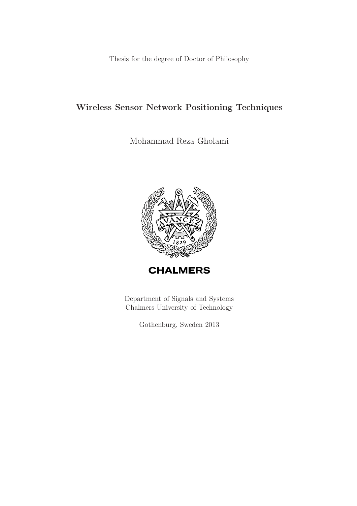### Wireless Sensor Network Positioning Techniques

Mohammad Reza Gholami



Department of Signals and Systems Chalmers University of Technology

Gothenburg, Sweden 2013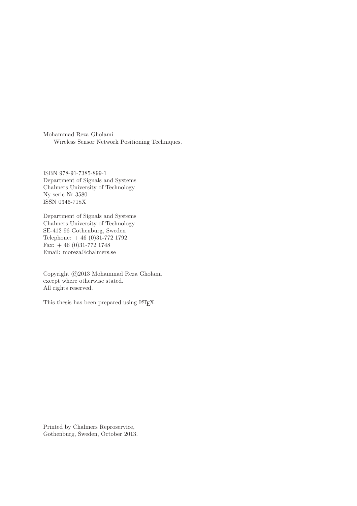Mohammad Reza Gholami Wireless Sensor Network Positioning Techniques.

ISBN 978-91-7385-899-1 Department of Signals and Systems Chalmers University of Technology Ny serie Nr 3580 ISSN 0346-718X

Department of Signals and Systems Chalmers University of Technology SE-412 96 Gothenburg, Sweden Telephone: + 46 (0)31-772 1792 Fax:  $+ 46 (0)31-772 1748$ Email: moreza@chalmers.se

Copyright ©2013 Mohammad Reza Gholami except where otherwise stated. All rights reserved.

This thesis has been prepared using LAT<sub>E</sub>X.

Printed by Chalmers Reproservice, Gothenburg, Sweden, October 2013.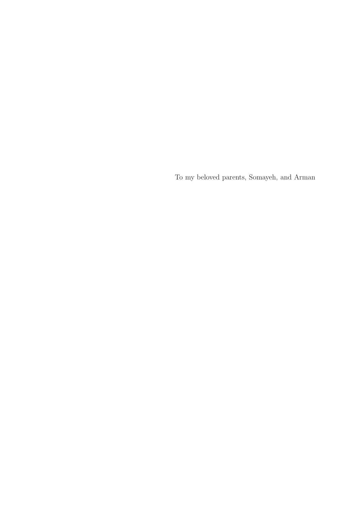To my beloved parents, Somayeh, and Arman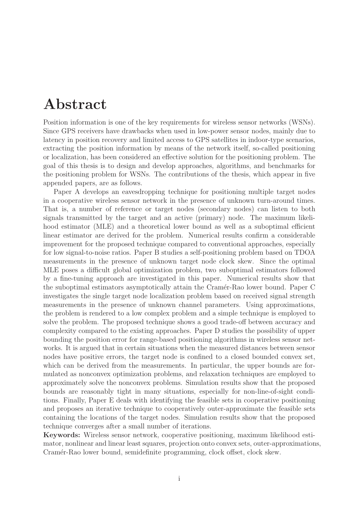# Abstract

Position information is one of the key requirements for wireless sensor networks (WSNs). Since GPS receivers have drawbacks when used in low-power sensor nodes, mainly due to latency in position recovery and limited access to GPS satellites in indoor-type scenarios, extracting the position information by means of the network itself, so-called positioning or localization, has been considered an effective solution for the positioning problem. The goal of this thesis is to design and develop approaches, algorithms, and benchmarks for the positioning problem for WSNs. The contributions of the thesis, which appear in five appended papers, are as follows.

Paper A develops an eavesdropping technique for positioning multiple target nodes in a cooperative wireless sensor network in the presence of unknown turn-around times. That is, a number of reference or target nodes (secondary nodes) can listen to both signals transmitted by the target and an active (primary) node. The maximum likelihood estimator (MLE) and a theoretical lower bound as well as a suboptimal efficient linear estimator are derived for the problem. Numerical results confirm a considerable improvement for the proposed technique compared to conventional approaches, especially for low signal-to-noise ratios. Paper B studies a self-positioning problem based on TDOA measurements in the presence of unknown target node clock skew. Since the optimal MLE poses a difficult global optimization problem, two suboptimal estimators followed by a fine-tuning approach are investigated in this paper. Numerical results show that the suboptimal estimators asymptotically attain the Cram´er-Rao lower bound. Paper C investigates the single target node localization problem based on received signal strength measurements in the presence of unknown channel parameters. Using approximations, the problem is rendered to a low complex problem and a simple technique is employed to solve the problem. The proposed technique shows a good trade-off between accuracy and complexity compared to the existing approaches. Paper D studies the possibility of upper bounding the position error for range-based positioning algorithms in wireless sensor networks. It is argued that in certain situations when the measured distances between sensor nodes have positive errors, the target node is confined to a closed bounded convex set, which can be derived from the measurements. In particular, the upper bounds are formulated as nonconvex optimization problems, and relaxation techniques are employed to approximately solve the nonconvex problems. Simulation results show that the proposed bounds are reasonably tight in many situations, especially for non-line-of-sight conditions. Finally, Paper E deals with identifying the feasible sets in cooperative positioning and proposes an iterative technique to cooperatively outer-approximate the feasible sets containing the locations of the target nodes. Simulation results show that the proposed technique converges after a small number of iterations.

Keywords: Wireless sensor network, cooperative positioning, maximum likelihood estimator, nonlinear and linear least squares, projection onto convex sets, outer-approximations, Cram´er-Rao lower bound, semidefinite programming, clock offset, clock skew.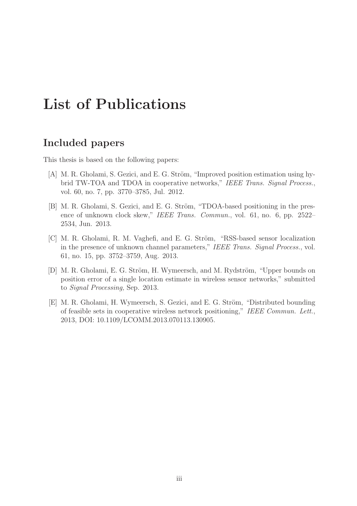# List of Publications

## Included papers

This thesis is based on the following papers:

- [A] M. R. Gholami, S. Gezici, and E. G. Ström, "Improved position estimation using hybrid TW-TOA and TDOA in cooperative networks," IEEE Trans. Signal Process., vol. 60, no. 7, pp. 3770–3785, Jul. 2012.
- [B] M. R. Gholami, S. Gezici, and E. G. Ström, "TDOA-based positioning in the presence of unknown clock skew," IEEE Trans. Commun., vol. 61, no. 6, pp. 2522-2534, Jun. 2013.
- [C] M. R. Gholami, R. M. Vaghefi, and E. G. Ström, "RSS-based sensor localization in the presence of unknown channel parameters," IEEE Trans. Signal Process., vol. 61, no. 15, pp. 3752–3759, Aug. 2013.
- [D] M. R. Gholami, E. G. Ström, H. Wymeersch, and M. Rydström, "Upper bounds on position error of a single location estimate in wireless sensor networks," submitted to Signal Processing, Sep. 2013.
- [E] M. R. Gholami, H. Wymeersch, S. Gezici, and E. G. Ström, "Distributed bounding of feasible sets in cooperative wireless network positioning," IEEE Commun. Lett., 2013, DOI: 10.1109/LCOMM.2013.070113.130905.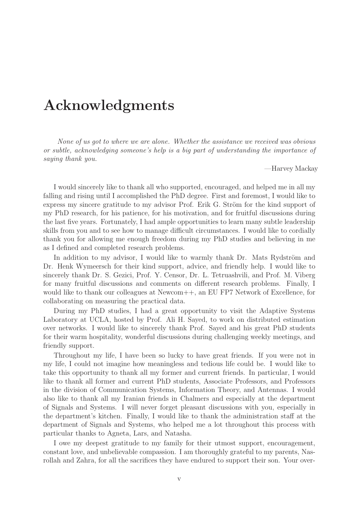# Acknowledgments

None of us got to where we are alone. Whether the assistance we received was obvious or subtle, acknowledging someone's help is a big part of understanding the importance of saying thank you.

—Harvey Mackay

I would sincerely like to thank all who supported, encouraged, and helped me in all my falling and rising until I accomplished the PhD degree. First and foremost, I would like to express my sincere gratitude to my advisor Prof. Erik G. Ström for the kind support of my PhD research, for his patience, for his motivation, and for fruitful discussions during the last five years. Fortunately, I had ample opportunities to learn many subtle leadership skills from you and to see how to manage difficult circumstances. I would like to cordially thank you for allowing me enough freedom during my PhD studies and believing in me as I defined and completed research problems.

In addition to my advisor, I would like to warmly thank Dr. Mats Rydström and Dr. Henk Wymeersch for their kind support, advice, and friendly help. I would like to sincerely thank Dr. S. Gezici, Prof. Y. Censor, Dr. L. Tetruashvili, and Prof. M. Viberg for many fruitful discussions and comments on different research problems. Finally, I would like to thank our colleagues at Newcom++, an EU FP7 Network of Excellence, for collaborating on measuring the practical data.

During my PhD studies, I had a great opportunity to visit the Adaptive Systems Laboratory at UCLA, hosted by Prof. Ali H. Sayed, to work on distributed estimation over networks. I would like to sincerely thank Prof. Sayed and his great PhD students for their warm hospitality, wonderful discussions during challenging weekly meetings, and friendly support.

Throughout my life, I have been so lucky to have great friends. If you were not in my life, I could not imagine how meaningless and tedious life could be. I would like to take this opportunity to thank all my former and current friends. In particular, I would like to thank all former and current PhD students, Associate Professors, and Professors in the division of Communication Systems, Information Theory, and Antennas. I would also like to thank all my Iranian friends in Chalmers and especially at the department of Signals and Systems. I will never forget pleasant discussions with you, especially in the department's kitchen. Finally, I would like to thank the administration staff at the department of Signals and Systems, who helped me a lot throughout this process with particular thanks to Agneta, Lars, and Natasha.

I owe my deepest gratitude to my family for their utmost support, encouragement, constant love, and unbelievable compassion. I am thoroughly grateful to my parents, Nasrollah and Zahra, for all the sacrifices they have endured to support their son. Your over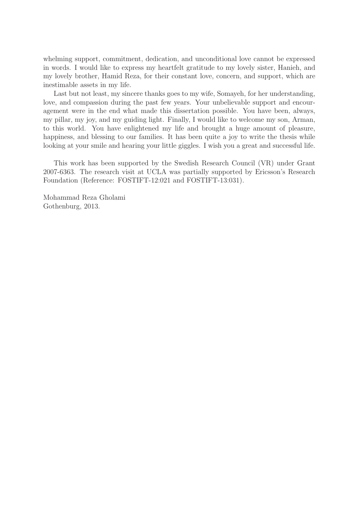whelming support, commitment, dedication, and unconditional love cannot be expressed in words. I would like to express my heartfelt gratitude to my lovely sister, Hanieh, and my lovely brother, Hamid Reza, for their constant love, concern, and support, which are inestimable assets in my life.

Last but not least, my sincere thanks goes to my wife, Somayeh, for her understanding, love, and compassion during the past few years. Your unbelievable support and encouragement were in the end what made this dissertation possible. You have been, always, my pillar, my joy, and my guiding light. Finally, I would like to welcome my son, Arman, to this world. You have enlightened my life and brought a huge amount of pleasure, happiness, and blessing to our families. It has been quite a joy to write the thesis while looking at your smile and hearing your little giggles. I wish you a great and successful life.

This work has been supported by the Swedish Research Council (VR) under Grant 2007-6363. The research visit at UCLA was partially supported by Ericsson's Research Foundation (Reference: FOSTIFT-12:021 and FOSTIFT-13:031).

Mohammad Reza Gholami Gothenburg, 2013.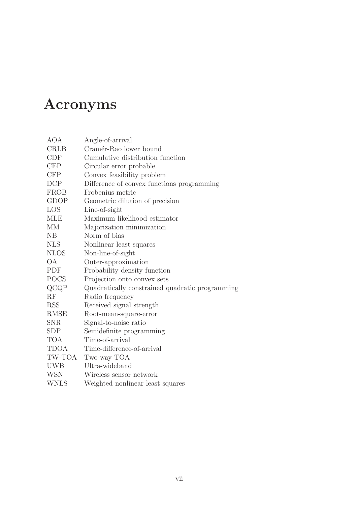# Acronyms

| AOA         | Angle-of-arrival                                |  |  |  |
|-------------|-------------------------------------------------|--|--|--|
| <b>CRLB</b> | Cramér-Rao lower bound                          |  |  |  |
| <b>CDF</b>  | Cumulative distribution function                |  |  |  |
| <b>CEP</b>  | Circular error probable                         |  |  |  |
| <b>CFP</b>  | Convex feasibility problem                      |  |  |  |
| DCP         | Difference of convex functions programming      |  |  |  |
| <b>FROB</b> | Frobenius metric                                |  |  |  |
| GDOP        | Geometric dilution of precision                 |  |  |  |
| LOS         | Line-of-sight                                   |  |  |  |
| <b>MLE</b>  | Maximum likelihood estimator                    |  |  |  |
| MМ          | Majorization minimization                       |  |  |  |
| NΒ          | Norm of bias                                    |  |  |  |
| <b>NLS</b>  | Nonlinear least squares                         |  |  |  |
| <b>NLOS</b> | Non-line-of-sight                               |  |  |  |
| <b>OA</b>   | Outer-approximation                             |  |  |  |
| PDF         | Probability density function                    |  |  |  |
| <b>POCS</b> | Projection onto convex sets                     |  |  |  |
| QCQP        | Quadratically constrained quadratic programming |  |  |  |
| RF          | Radio frequency                                 |  |  |  |
| <b>RSS</b>  | Received signal strength                        |  |  |  |
| RMSE        | Root-mean-square-error                          |  |  |  |
| SNR         | Signal-to-noise ratio                           |  |  |  |
| SDP         | Semidefinite programming                        |  |  |  |
| <b>TOA</b>  | Time-of-arrival                                 |  |  |  |
| TDOA        | Time-difference-of-arrival                      |  |  |  |
| TW-TOA      | Two-way TOA                                     |  |  |  |
| <b>UWB</b>  | Ultra-wideband                                  |  |  |  |
| WSN         | Wireless sensor network                         |  |  |  |
| <b>WNLS</b> | Weighted nonlinear least squares                |  |  |  |
|             |                                                 |  |  |  |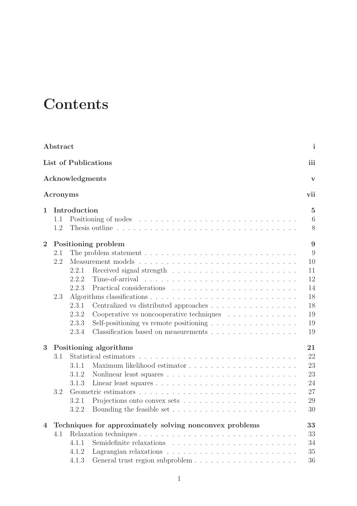# **Contents**

|                | Abstract |                 |                                                                                        | i              |
|----------------|----------|-----------------|----------------------------------------------------------------------------------------|----------------|
|                |          |                 | List of Publications                                                                   | iii            |
|                |          | Acknowledgments |                                                                                        | V              |
|                | Acronyms |                 |                                                                                        | vii            |
| 1              |          | Introduction    |                                                                                        | $\overline{5}$ |
|                | 1.1      |                 |                                                                                        | 6              |
|                | 1.2      |                 |                                                                                        | 8              |
| $\overline{2}$ |          |                 | Positioning problem                                                                    | 9              |
|                | 2.1      |                 | The problem statement $\ldots \ldots \ldots \ldots \ldots \ldots \ldots \ldots \ldots$ | 9              |
|                | 2.2      |                 |                                                                                        | 10             |
|                |          | 2.2.1           |                                                                                        | 11             |
|                |          | 2.2.2           |                                                                                        | 12             |
|                |          | 2.2.3           |                                                                                        | 14             |
|                | 2.3      |                 |                                                                                        | 18             |
|                |          | 2.3.1           | Centralized vs distributed approaches                                                  | 18             |
|                |          | 2.3.2           | Cooperative vs noncooperative techniques $\ldots \ldots \ldots \ldots$                 | 19             |
|                |          | 2.3.3           | Self-positioning vs remote positioning $\dots \dots \dots \dots \dots$                 | 19             |
|                |          | 2.3.4           | Classification based on measurements                                                   | 19             |
| 3              |          |                 | Positioning algorithms                                                                 | 21             |
|                | 3.1      |                 | Statistical estimators                                                                 | 22             |
|                |          | 3.1.1           |                                                                                        | 23             |
|                |          | 3.1.2           |                                                                                        | 23             |
|                |          | 3.1.3           |                                                                                        | 24             |
|                | 3.2      |                 |                                                                                        | 27             |
|                |          | 3.2.1           |                                                                                        | 29             |
|                |          | 3.2.2           |                                                                                        | 30             |
| $\overline{4}$ |          |                 | Techniques for approximately solving nonconvex problems                                | 33             |
|                | 4.1      |                 |                                                                                        | 33             |
|                |          | 4.1.1           |                                                                                        | 34             |
|                |          | 4.1.2           |                                                                                        | 35             |
|                |          | 4.1.3           |                                                                                        | 36             |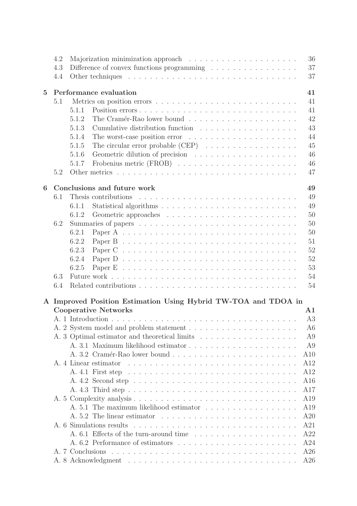|                | 4.2 |       |                                                                                        | 36             |
|----------------|-----|-------|----------------------------------------------------------------------------------------|----------------|
|                | 4.3 |       | Difference of convex functions programming $\ldots \ldots \ldots \ldots \ldots$        | 37             |
|                | 4.4 |       |                                                                                        | 37             |
|                |     |       |                                                                                        |                |
| $\overline{5}$ |     |       | Performance evaluation                                                                 | 41             |
|                | 5.1 |       |                                                                                        | 41             |
|                |     | 5.1.1 | Position errors                                                                        | 41             |
|                |     | 5.1.2 |                                                                                        | 42             |
|                |     | 5.1.3 | Cumulative distribution function                                                       | 43             |
|                |     | 5.1.4 |                                                                                        | 44             |
|                |     | 5.1.5 | The circular error probable $(CEP) \dots \dots \dots \dots \dots \dots$                | 45             |
|                |     | 5.1.6 |                                                                                        | 46             |
|                |     | 5.1.7 |                                                                                        | 46             |
|                | 5.2 |       | Other metrics                                                                          | 47             |
| 6              |     |       | Conclusions and future work                                                            | 49             |
|                | 6.1 |       | Thesis contributions                                                                   | 49             |
|                |     | 6.1.1 |                                                                                        | 49             |
|                |     | 6.1.2 |                                                                                        | 50             |
|                | 6.2 |       |                                                                                        | 50             |
|                |     | 6.2.1 |                                                                                        | 50             |
|                |     | 6.2.2 |                                                                                        | 51             |
|                |     | 6.2.3 | Paper $C \ldots \ldots \ldots \ldots \ldots \ldots \ldots \ldots \ldots \ldots \ldots$ | 52             |
|                |     | 6.2.4 |                                                                                        | 52             |
|                |     | 6.2.5 |                                                                                        | 53             |
|                | 6.3 |       |                                                                                        | 54             |
|                | 6.4 |       |                                                                                        | 54             |
|                |     |       |                                                                                        |                |
| $\mathbf{A}$   |     |       | Improved Position Estimation Using Hybrid TW-TOA and TDOA in                           |                |
|                |     |       | <b>Cooperative Networks</b>                                                            | $\mathbf{A1}$  |
|                |     |       |                                                                                        | A3             |
|                |     |       |                                                                                        | A6             |
|                |     |       |                                                                                        | A9             |
|                |     |       | A. 3.1 Maximum likelihood estimator                                                    | A <sub>9</sub> |
|                |     |       | A. 3.2 Cramér-Rao lower bound                                                          | A10            |
|                |     |       | A. 4 Linear estimator                                                                  | A12            |
|                |     |       | A. 4.1 First step                                                                      | A12            |
|                |     |       |                                                                                        | A16            |
|                |     |       |                                                                                        | A17            |
|                |     |       |                                                                                        | A19            |
|                |     |       |                                                                                        |                |
|                |     |       |                                                                                        | A19            |
|                |     |       | A. 5.2 The linear estimator                                                            | A20            |
|                |     |       | A. 6 Simulations results                                                               | A21            |
|                |     |       |                                                                                        | A22            |
|                |     |       |                                                                                        | A24            |
|                |     |       |                                                                                        | A26            |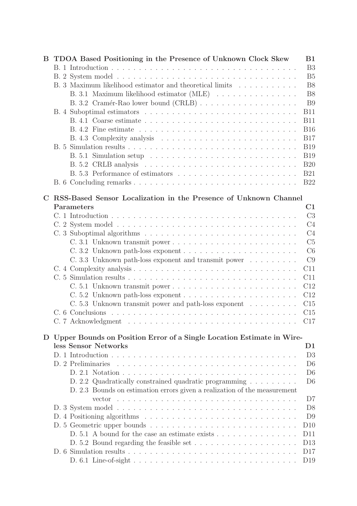| B           | TDOA Based Positioning in the Presence of Unknown Clock Skew                           | B1                   |
|-------------|----------------------------------------------------------------------------------------|----------------------|
|             |                                                                                        | B <sub>3</sub>       |
|             |                                                                                        | B <sub>5</sub>       |
|             | B. 3 Maximum likelihood estimator and theoretical limits                               | B <sub>8</sub>       |
|             | B. 3.1 Maximum likelihood estimator (MLE)                                              | B <sub>8</sub>       |
|             |                                                                                        | B <sub>9</sub>       |
|             |                                                                                        | <b>B11</b>           |
|             |                                                                                        | <b>B11</b>           |
|             |                                                                                        | <b>B16</b>           |
|             |                                                                                        | <b>B17</b>           |
|             |                                                                                        | <b>B19</b>           |
|             |                                                                                        | <b>B19</b>           |
|             |                                                                                        | <b>B20</b>           |
|             |                                                                                        | <b>B21</b>           |
|             |                                                                                        | <b>B22</b>           |
| $\mathbf C$ | RSS-Based Sensor Localization in the Presence of Unknown Channel                       |                      |
|             | Parameters                                                                             | C1                   |
|             |                                                                                        | C <sub>3</sub>       |
|             |                                                                                        | C <sub>4</sub>       |
|             |                                                                                        | C <sub>4</sub>       |
|             | C. 3.1 Unknown transmit power                                                          | C <sub>5</sub>       |
|             |                                                                                        | C6                   |
|             | C. 3.3 Unknown path-loss exponent and transmit power $\ldots \ldots \ldots$            | C9                   |
|             |                                                                                        | C11                  |
|             |                                                                                        | C11                  |
|             |                                                                                        | C12                  |
|             | $C. 5.2$ Unknown path-loss exponent $\ldots \ldots \ldots \ldots \ldots \ldots \ldots$ | C12                  |
|             | C. 5.3 Unknown transmit power and path-loss exponent                                   | C15                  |
|             |                                                                                        | C15                  |
|             |                                                                                        | C17                  |
|             | D Upper Bounds on Position Error of a Single Location Estimate in Wire-                |                      |
|             | less Sensor Networks                                                                   | $\rm{D}1$            |
|             |                                                                                        | D3                   |
|             |                                                                                        | D <sub>6</sub>       |
|             |                                                                                        | D <sub>6</sub>       |
|             | D. 2.2 Quadratically constrained quadratic programming                                 | D <sub>6</sub>       |
|             | D. 2.3 Bounds on estimation errors given a realization of the measurement              |                      |
|             | vector                                                                                 | D7<br>D <sub>8</sub> |
|             |                                                                                        | D <sub>9</sub>       |
|             |                                                                                        | D10                  |
|             | D. 5.1 A bound for the case an estimate exists $\dots \dots \dots \dots \dots$         | D11                  |
|             |                                                                                        | D13                  |
|             |                                                                                        | D17                  |
|             |                                                                                        | D19                  |
|             |                                                                                        |                      |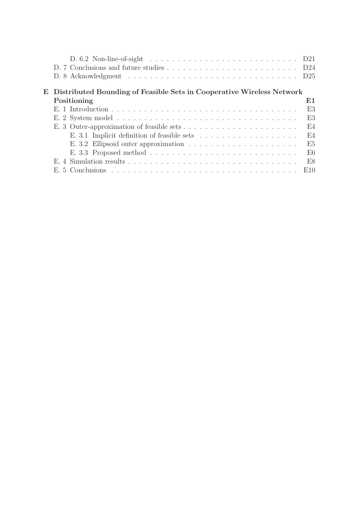|                                                                         | 1)25           |
|-------------------------------------------------------------------------|----------------|
| E Distributed Bounding of Feasible Sets in Cooperative Wireless Network |                |
| Positioning                                                             | E1             |
|                                                                         | E3             |
|                                                                         | E3             |
|                                                                         | F4             |
|                                                                         | E4             |
|                                                                         | E <sub>5</sub> |
|                                                                         | E6             |
|                                                                         | E8             |
|                                                                         | E10            |
|                                                                         |                |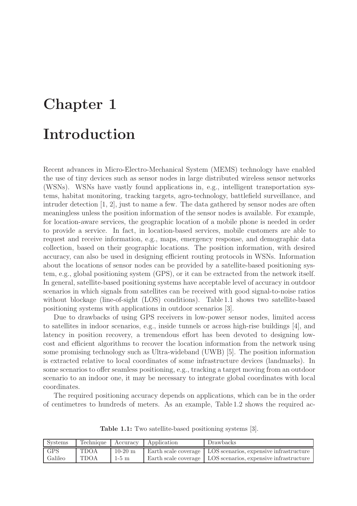# Chapter 1 Introduction

Recent advances in Micro-Electro-Mechanical System (MEMS) technology have enabled the use of tiny devices such as sensor nodes in large distributed wireless sensor networks (WSNs). WSNs have vastly found applications in, e.g., intelligent transportation systems, habitat monitoring, tracking targets, agro-technology, battlefield surveillance, and intruder detection [1, 2], just to name a few. The data gathered by sensor nodes are often meaningless unless the position information of the sensor nodes is available. For example, for location-aware services, the geographic location of a mobile phone is needed in order to provide a service. In fact, in location-based services, mobile customers are able to request and receive information, e.g., maps, emergency response, and demographic data collection, based on their geographic locations. The position information, with desired accuracy, can also be used in designing efficient routing protocols in WSNs. Information about the locations of sensor nodes can be provided by a satellite-based positioning system, e.g., global positioning system (GPS), or it can be extracted from the network itself. In general, satellite-based positioning systems have acceptable level of accuracy in outdoor scenarios in which signals from satellites can be received with good signal-to-noise ratios without blockage (line-of-sight (LOS) conditions). Table 1.1 shows two satellite-based positioning systems with applications in outdoor scenarios [3].

Due to drawbacks of using GPS receivers in low-power sensor nodes, limited access to satellites in indoor scenarios, e.g., inside tunnels or across high-rise buildings [4], and latency in position recovery, a tremendous effort has been devoted to designing lowcost and efficient algorithms to recover the location information from the network using some promising technology such as Ultra-wideband (UWB) [5]. The position information is extracted relative to local coordinates of some infrastructure devices (landmarks). In some scenarios to offer seamless positioning, e.g., tracking a target moving from an outdoor scenario to an indoor one, it may be necessary to integrate global coordinates with local coordinates.

The required positioning accuracy depends on applications, which can be in the order of centimetres to hundreds of meters. As an example, Table 1.2 shows the required ac-

| Systems | Technique   | Accuracy  | Application | Drawbacks                                                      |
|---------|-------------|-----------|-------------|----------------------------------------------------------------|
| GPS     | <b>TDOA</b> | $10-20$ m |             | Earth scale coverage   LOS scenarios, expensive infrastructure |
| Galileo | TDOA        | $1-5$ m   |             | Earth scale coverage   LOS scenarios, expensive infrastructure |

Table 1.1: Two satellite-based positioning systems [3].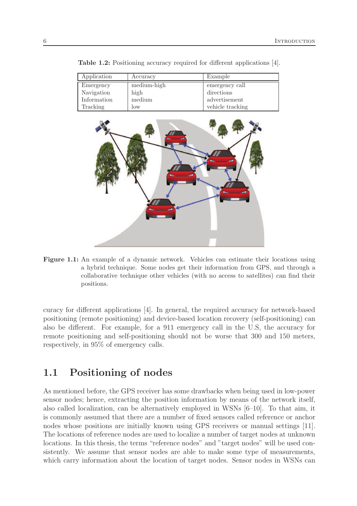| Application | Accuracy    | Example          |
|-------------|-------------|------------------|
| Emergency   | medium-high | emergency call   |
| Navigation  | high        | directions       |
| Information | medium      | advertisement    |
| Tracking    | 10W         | vehicle tracking |

Table 1.2: Positioning accuracy required for different applications [4].



Figure 1.1: An example of a dynamic network. Vehicles can estimate their locations using a hybrid technique. Some nodes get their information from GPS, and through a collaborative technique other vehicles (with no access to satellites) can find their positions.

curacy for different applications [4]. In general, the required accuracy for network-based positioning (remote positioning) and device-based location recovery (self-positioning) can also be different. For example, for a 911 emergency call in the U.S, the accuracy for remote positioning and self-positioning should not be worse that 300 and 150 meters, respectively, in 95% of emergency calls.

## 1.1 Positioning of nodes

As mentioned before, the GPS receiver has some drawbacks when being used in low-power sensor nodes; hence, extracting the position information by means of the network itself, also called localization, can be alternatively employed in WSNs [6–10]. To that aim, it is commonly assumed that there are a number of fixed sensors called reference or anchor nodes whose positions are initially known using GPS receivers or manual settings [11]. The locations of reference nodes are used to localize a number of target nodes at unknown locations. In this thesis, the terms "reference nodes" and "target nodes" will be used consistently. We assume that sensor nodes are able to make some type of measurements, which carry information about the location of target nodes. Sensor nodes in WSNs can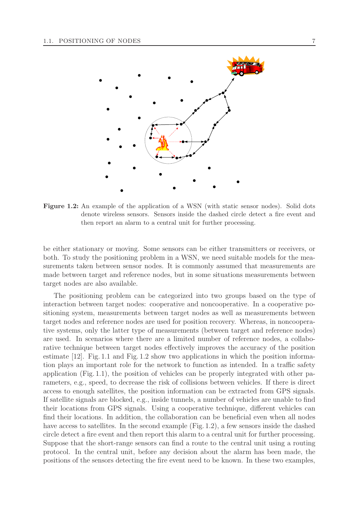

Figure 1.2: An example of the application of a WSN (with static sensor nodes). Solid dots denote wireless sensors. Sensors inside the dashed circle detect a fire event and then report an alarm to a central unit for further processing.

be either stationary or moving. Some sensors can be either transmitters or receivers, or both. To study the positioning problem in a WSN, we need suitable models for the measurements taken between sensor nodes. It is commonly assumed that measurements are made between target and reference nodes, but in some situations measurements between target nodes are also available.

The positioning problem can be categorized into two groups based on the type of interaction between target nodes: cooperative and noncooperative. In a cooperative positioning system, measurements between target nodes as well as measurements between target nodes and reference nodes are used for position recovery. Whereas, in noncooperative systems, only the latter type of measurements (between target and reference nodes) are used. In scenarios where there are a limited number of reference nodes, a collaborative technique between target nodes effectively improves the accuracy of the position estimate [12]. Fig. 1.1 and Fig. 1.2 show two applications in which the position information plays an important role for the network to function as intended. In a traffic safety application (Fig. 1.1), the position of vehicles can be properly integrated with other parameters, e.g., speed, to decrease the risk of collisions between vehicles. If there is direct access to enough satellites, the position information can be extracted from GPS signals. If satellite signals are blocked, e.g., inside tunnels, a number of vehicles are unable to find their locations from GPS signals. Using a cooperative technique, different vehicles can find their locations. In addition, the collaboration can be beneficial even when all nodes have access to satellites. In the second example (Fig. 1.2), a few sensors inside the dashed circle detect a fire event and then report this alarm to a central unit for further processing. Suppose that the short-range sensors can find a route to the central unit using a routing protocol. In the central unit, before any decision about the alarm has been made, the positions of the sensors detecting the fire event need to be known. In these two examples,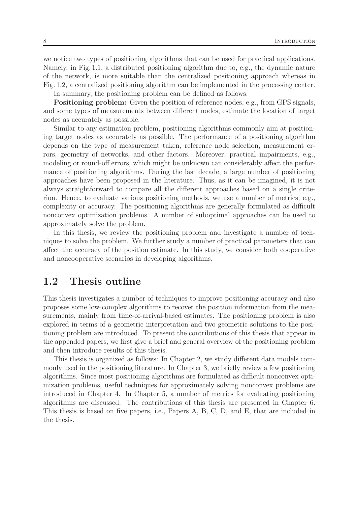we notice two types of positioning algorithms that can be used for practical applications. Namely, in Fig. 1.1, a distributed positioning algorithm due to, e.g., the dynamic nature of the network, is more suitable than the centralized positioning approach whereas in Fig. 1.2, a centralized positioning algorithm can be implemented in the processing center. In summary, the positioning problem can be defined as follows:

Positioning problem: Given the position of reference nodes, e.g., from GPS signals, and some types of measurements between different nodes, estimate the location of target nodes as accurately as possible.

Similar to any estimation problem, positioning algorithms commonly aim at positioning target nodes as accurately as possible. The performance of a positioning algorithm depends on the type of measurement taken, reference node selection, measurement errors, geometry of networks, and other factors. Moreover, practical impairments, e.g., modeling or round-off errors, which might be unknown can considerably affect the performance of positioning algorithms. During the last decade, a large number of positioning approaches have been proposed in the literature. Thus, as it can be imagined, it is not always straightforward to compare all the different approaches based on a single criterion. Hence, to evaluate various positioning methods, we use a number of metrics, e.g., complexity or accuracy. The positioning algorithms are generally formulated as difficult nonconvex optimization problems. A number of suboptimal approaches can be used to approximately solve the problem.

In this thesis, we review the positioning problem and investigate a number of techniques to solve the problem. We further study a number of practical parameters that can affect the accuracy of the position estimate. In this study, we consider both cooperative and noncooperative scenarios in developing algorithms.

### 1.2 Thesis outline

This thesis investigates a number of techniques to improve positioning accuracy and also proposes some low-complex algorithms to recover the position information from the measurements, mainly from time-of-arrival-based estimates. The positioning problem is also explored in terms of a geometric interpretation and two geometric solutions to the positioning problem are introduced. To present the contributions of this thesis that appear in the appended papers, we first give a brief and general overview of the positioning problem and then introduce results of this thesis.

This thesis is organized as follows: In Chapter 2, we study different data models commonly used in the positioning literature. In Chapter 3, we briefly review a few positioning algorithms. Since most positioning algorithms are formulated as difficult nonconvex optimization problems, useful techniques for approximately solving nonconvex problems are introduced in Chapter 4. In Chapter 5, a number of metrics for evaluating positioning algorithms are discussed. The contributions of this thesis are presented in Chapter 6. This thesis is based on five papers, i.e., Papers A, B, C, D, and E, that are included in the thesis.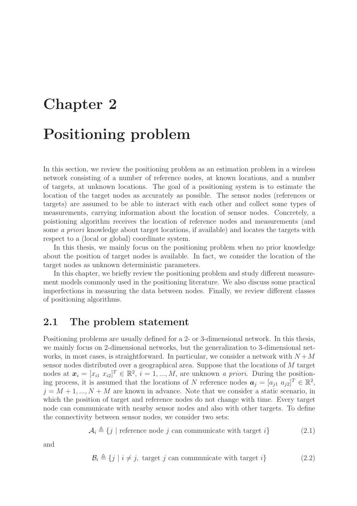# Chapter 2

# Positioning problem

In this section, we review the positioning problem as an estimation problem in a wireless network consisting of a number of reference nodes, at known locations, and a number of targets, at unknown locations. The goal of a positioning system is to estimate the location of the target nodes as accurately as possible. The sensor nodes (references or targets) are assumed to be able to interact with each other and collect some types of measurements, carrying information about the location of sensor nodes. Concretely, a poistioning algorithm receives the location of reference nodes and measurements (and some a priori knowledge about target locations, if available) and locates the targets with respect to a (local or global) coordinate system.

In this thesis, we mainly focus on the positioning problem when no prior knowledge about the position of target nodes is available. In fact, we consider the location of the target nodes as unknown deterministic parameters.

In this chapter, we briefly review the positioning problem and study different measurement models commonly used in the positioning literature. We also discuss some practical imperfections in measuring the data between nodes. Finally, we review different classes of positioning algorithms.

### 2.1 The problem statement

Positioning problems are usually defined for a 2- or 3-dimensional network. In this thesis, we mainly focus on 2-dimensional networks, but the generalization to 3-dimensional networks, in most cases, is straightforward. In particular, we consider a network with  $N + M$ sensor nodes distributed over a geographical area. Suppose that the locations of M target nodes at  $\boldsymbol{x}_i = [x_{i1} \ x_{i2}]^T \in \mathbb{R}^2$ ,  $i = 1, ..., M$ , are unknown a priori. During the positioning process, it is assumed that the locations of N reference nodes  $a_j = [a_{j1} \ a_{j2}]^T \in \mathbb{R}^2$ ,  $j = M + 1, ..., N + M$  are known in advance. Note that we consider a static scenario, in which the position of target and reference nodes do not change with time. Every target node can communicate with nearby sensor nodes and also with other targets. To define the connectivity between sensor nodes, we consider two sets:

 $A_i \triangleq \{j \mid \text{reference node } j \text{ can communicate with target } i\}$  (2.1)

and

$$
\mathcal{B}_i \triangleq \{j \mid i \neq j, \text{ target } j \text{ can communicate with target } i\}
$$
 (2.2)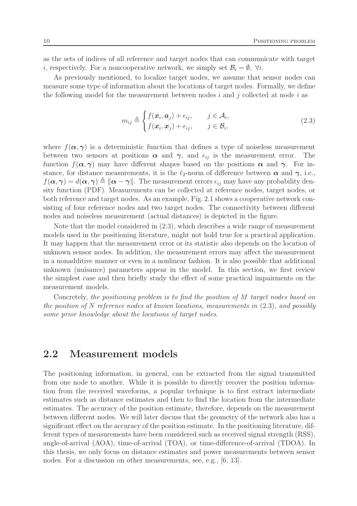as the sets of indices of all reference and target nodes that can communicate with target *i*, respectively. For a noncooperative network, we simply set  $B_i = \emptyset$ ,  $\forall i$ .

As previously mentioned, to localize target nodes, we assume that sensor nodes can measure some type of information about the locations of target nodes. Formally, we define the following model for the measurement between nodes  $i$  and  $j$  collected at node  $i$  as

$$
m_{ij} \triangleq \begin{cases} f(\boldsymbol{x}_i, \boldsymbol{a}_j) + \epsilon_{ij}, & j \in \mathcal{A}_i, \\ f(\boldsymbol{x}_i, \boldsymbol{x}_j) + \epsilon_{ij}, & j \in \mathcal{B}_i, \end{cases}
$$
(2.3)

where  $f(\alpha, \gamma)$  is a deterministic function that defines a type of noiseless measurement between two sensors at positions  $\alpha$  and  $\gamma$ , and  $\epsilon_{ij}$  is the measurement error. The function  $f(\alpha, \gamma)$  may have different shapes based on the positions  $\alpha$  and  $\gamma$ . For instance, for distance measurements, it is the  $\ell_2$ -norm of difference between  $\alpha$  and  $\gamma$ , i.e.,  $f(\boldsymbol{\alpha}, \boldsymbol{\gamma}) = d(\boldsymbol{\alpha}, \boldsymbol{\gamma}) \triangleq ||\boldsymbol{\alpha} - \boldsymbol{\gamma}||$ . The measurement errors  $\epsilon_{ij}$  may have any probability density function (PDF). Measurements can be collected at reference nodes, target nodes, or both reference and target nodes. As an example, Fig. 2.1 shows a cooperative network consisting of four reference nodes and two target nodes. The connectivity between different nodes and noiseless measurement (actual distances) is depicted in the figure.

Note that the model considered in (2.3), which describes a wide range of measurement models used in the positioning literature, might not hold true for a practical application. It may happen that the measurement error or its statistic also depends on the location of unknown sensor nodes. In addition, the measurement errors may affect the measurement in a nonadditive manner or even in a nonlinear fashion. It is also possible that additional unknown (nuisance) parameters appear in the model. In this section, we first review the simplest case and then briefly study the effect of some practical impairments on the measurement models.

Concretely, the positioning problem is to find the position of M target nodes based on the position of N reference nodes at known locations, measurements in  $(2.3)$ , and possibly some prior knowledge about the locations of target nodes.

### 2.2 Measurement models

The positioning information, in general, can be extracted from the signal transmitted from one node to another. While it is possible to directly recover the position information from the received waveforms, a popular technique is to first extract intermediate estimates such as distance estimates and then to find the location from the intermediate estimates. The accuracy of the position estimate, therefore, depends on the measurement between different nodes. We will later discuss that the geometry of the network also has a significant effect on the accuracy of the position estimate. In the positioning literature, different types of measurements have been considered such as received signal strength (RSS), angle-of-arrival (AOA), time-of-arrival (TOA), or time-difference-of-arrival (TDOA). In this thesis, we only focus on distance estimates and power measurements between sensor nodes. For a discussion on other measurements, see, e.g., [6, 13].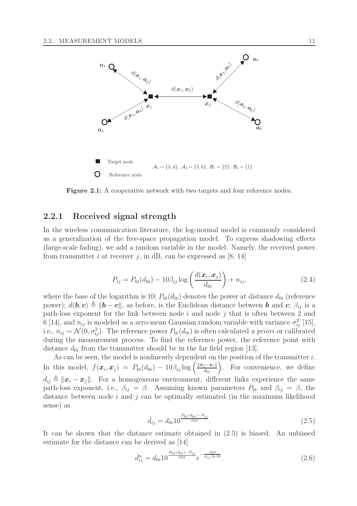

Figure 2.1: A cooperative network with two targets and four reference nodes.

#### 2.2.1 Received signal strength

In the wireless communication literature, the log-normal model is commonly considered as a generalization of the free-space propagation model. To express shadowing effects (large-scale fading), we add a random variable in the model. Namely, the received power from transmitter i at receiver j, in dB, can be expressed as  $[8, 14]$ 

$$
P_{ij} = P_{0i}(d_{0i}) - 10\beta_{ij}\log\left(\frac{d(\bm{x}_i, \bm{x}_j)}{d_{0i}}\right) + n_{ij},
$$
\n(2.4)

where the base of the logarithm is 10;  $P_{0i}(d_{0i})$  denotes the power at distance  $d_{0i}$  (reference power);  $d(\mathbf{b}, \mathbf{c}) \triangleq ||\mathbf{b} - \mathbf{c}||$ , as before, is the Euclidean distance between b and c;  $\beta_{ij}$  is a path-loss exponent for the link between node  $i$  and node  $j$  that is often between 2 and 6 [14], and  $n_{ij}$  is modeled as a zero-mean Gaussian random variable with variance  $\sigma_{ij}^2$  [15], i.e.,  $n_{ij} \sim \mathcal{N}(0, \sigma_{ij}^2)$ . The reference power  $P_{0i}(d_{0i})$  is often calculated a priori or calibrated during the measurement process. To find the reference power, the reference point with distance  $d_{0i}$  from the transmitter should be in the far field region [13].

As can be seen, the model is nonlinearly dependent on the position of the transmitter  $i$ . In this model,  $f(\boldsymbol{x}_i, \boldsymbol{x}_j) = P_{0i}(d_{0i}) - 10\beta_{ij}\log\left(\frac{\|\boldsymbol{x}_j - \boldsymbol{x}_i\|}{d_{0i}}\right)$  $d_{0i}$  . For convenience, we define  $d_{ij} \triangleq ||x_i - x_j||$ . For a homogeneous environment, different links experience the same path-loss exponent, i.e.,  $\beta_{ij} = \beta$ . Assuming known parameters  $P_{0i}$  and  $\beta_{ij} = \beta$ , the distance between node  $i$  and  $j$  can be optimally estimated (in the maximum likelihood sense) as

$$
\hat{d}_{ij} = d_{0i} 10^{\frac{P_{0i}(d_{0i}) - P_{ij}}{10\beta}}.
$$
\n(2.5)

It can be shown that the distance estimate obtained in (2.5) is biased. An unbiased estimate for the distance can be derived as [14]

$$
\hat{d}_{ij}^u = d_{0i} 10^{\frac{P_{0i}(d_{0i}) - P_{ij}}{10\beta}} e^{-\frac{10\beta}{\sigma_{ij}\ln 10}}.
$$
\n(2.6)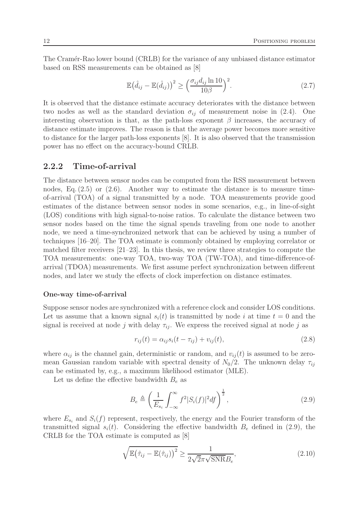The Cramér-Rao lower bound (CRLB) for the variance of any unbiased distance estimator based on RSS measurements can be obtained as [8]

$$
\mathbb{E}(\hat{d}_{ij} - \mathbb{E}(\hat{d}_{ij}))^2 \ge \left(\frac{\sigma_{ij} d_{ij} \ln 10}{10\beta}\right)^2.
$$
\n(2.7)

It is observed that the distance estimate accuracy deteriorates with the distance between two nodes as well as the standard deviation  $\sigma_{ii}$  of measurement noise in (2.4). One interesting observation is that, as the path-loss exponent  $\beta$  increases, the accuracy of distance estimate improves. The reason is that the average power becomes more sensitive to distance for the larger path-loss exponents [8]. It is also observed that the transmission power has no effect on the accuracy-bound CRLB.

#### 2.2.2 Time-of-arrival

The distance between sensor nodes can be computed from the RSS measurement between nodes, Eq.  $(2.5)$  or  $(2.6)$ . Another way to estimate the distance is to measure timeof-arrival (TOA) of a signal transmitted by a node. TOA measurements provide good estimates of the distance between sensor nodes in some scenarios, e.g., in line-of-sight (LOS) conditions with high signal-to-noise ratios. To calculate the distance between two sensor nodes based on the time the signal spends traveling from one node to another node, we need a time-synchronized network that can be achieved by using a number of techniques [16–20]. The TOA estimate is commonly obtained by employing correlator or matched filter receivers [21–23]. In this thesis, we review three strategies to compute the TOA measurements: one-way TOA, two-way TOA (TW-TOA), and time-difference-ofarrival (TDOA) measurements. We first assume perfect synchronization between different nodes, and later we study the effects of clock imperfection on distance estimates.

#### One-way time-of-arrival

Suppose sensor nodes are synchronized with a reference clock and consider LOS conditions. Let us assume that a known signal  $s_i(t)$  is transmitted by node i at time  $t = 0$  and the signal is received at node j with delay  $\tau_{ii}$ . We express the received signal at node j as

$$
r_{ij}(t) = \alpha_{ij} s_i(t - \tau_{ij}) + v_{ij}(t),
$$
\n(2.8)

where  $\alpha_{ij}$  is the channel gain, deterministic or random, and  $v_{ij}(t)$  is assumed to be zeromean Gaussian random variable with spectral density of  $N_0/2$ . The unknown delay  $\tau_{ij}$ can be estimated by, e.g., a maximum likelihood estimator (MLE).

Let us define the effective bandwidth  $B_e$  as

$$
B_e \triangleq \left(\frac{1}{E_{s_i}} \int_{-\infty}^{\infty} f^2 |S_i(f)|^2 df\right)^{\frac{1}{2}},\tag{2.9}
$$

where  $E_{s_i}$  and  $S_i(f)$  represent, respectively, the energy and the Fourier transform of the transmitted signal  $s_i(t)$ . Considering the effective bandwidth  $B_e$  defined in (2.9), the CRLB for the TOA estimate is computed as [8]

$$
\sqrt{\mathbb{E}(\hat{\tau}_{ij} - \mathbb{E}(\hat{\tau}_{ij}))^2} \ge \frac{1}{2\sqrt{2}\pi\sqrt{\text{SNR}}B_e},
$$
\n(2.10)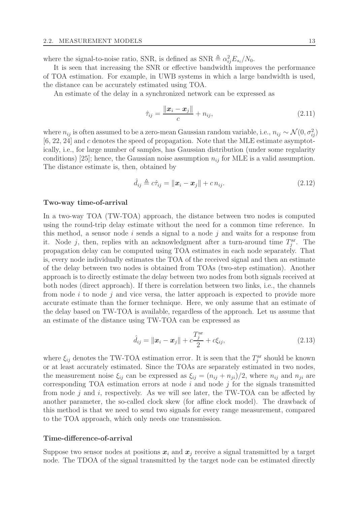where the signal-to-noise ratio, SNR, is defined as SNR  $\triangleq \alpha_{ij}^2 E_{s_i}/N_0$ .

It is seen that increasing the SNR or effective bandwidth improves the performance of TOA estimation. For example, in UWB systems in which a large bandwidth is used, the distance can be accurately estimated using TOA.

An estimate of the delay in a synchronized network can be expressed as

$$
\hat{\tau}_{ij} = \frac{\|\bm{x}_i - \bm{x}_j\|}{c} + n_{ij},\tag{2.11}
$$

where  $n_{ij}$  is often assumed to be a zero-mean Gaussian random variable, i.e.,  $n_{ij} \sim \mathcal{N}(0, \sigma_{ij}^2)$ [6, 22, 24] and c denotes the speed of propagation. Note that the MLE estimate asymptotically, i.e., for large number of samples, has Gaussian distribution (under some regularity conditions) [25]; hence, the Gaussian noise assumption  $n_{ij}$  for MLE is a valid assumption. The distance estimate is, then, obtained by

$$
\hat{d}_{ij} \triangleq c\hat{\tau}_{ij} = \|\boldsymbol{x}_i - \boldsymbol{x}_j\| + c n_{ij}.
$$
\n(2.12)

#### Two-way time-of-arrival

In a two-way TOA (TW-TOA) approach, the distance between two nodes is computed using the round-trip delay estimate without the need for a common time reference. In this method, a sensor node i sends a signal to a node j and waits for a response from it. Node j, then, replies with an acknowledgment after a turn-around time  $T_j^{\text{ar}}$ . The propagation delay can be computed using TOA estimates in each node separately. That is, every node individually estimates the TOA of the received signal and then an estimate of the delay between two nodes is obtained from TOAs (two-step estimation). Another approach is to directly estimate the delay between two nodes from both signals received at both nodes (direct approach). If there is correlation between two links, i.e., the channels from node  $i$  to node  $j$  and vice versa, the latter approach is expected to provide more accurate estimate than the former technique. Here, we only assume that an estimate of the delay based on TW-TOA is available, regardless of the approach. Let us assume that an estimate of the distance using TW-TOA can be expressed as

$$
\hat{d}_{ij} = \|\mathbf{x}_i - \mathbf{x}_j\| + c \frac{T_j^{\text{ar}}}{2} + c\xi_{ij},
$$
\n(2.13)

where  $\xi_{ij}$  denotes the TW-TOA estimation error. It is seen that the  $T_j^{\text{ar}}$  should be known or at least accurately estimated. Since the TOAs are separately estimated in two nodes, the measurement noise  $\xi_{ij}$  can be expressed as  $\xi_{ij} = (n_{ij} + n_{ji})/2$ , where  $n_{ij}$  and  $n_{ji}$  are corresponding TOA estimation errors at node  $i$  and node  $j$  for the signals transmitted from node  $j$  and  $i$ , respectively. As we will see later, the TW-TOA can be affected by another parameter, the so-called clock skew (for affine clock model). The drawback of this method is that we need to send two signals for every range measurement, compared to the TOA approach, which only needs one transmission.

#### Time-difference-of-arrival

Suppose two sensor nodes at positions  $x_i$  and  $x_j$  receive a signal transmitted by a target node. The TDOA of the signal transmitted by the target node can be estimated directly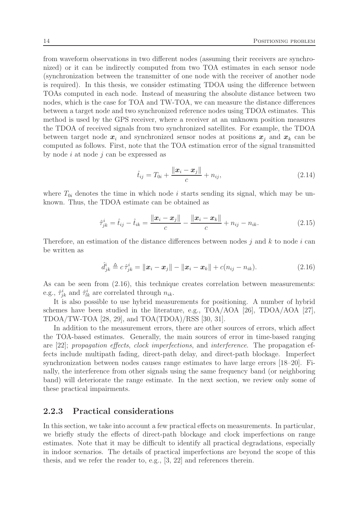from waveform observations in two different nodes (assuming their receivers are synchronized) or it can be indirectly computed from two TOA estimates in each sensor node (synchronization between the transmitter of one node with the receiver of another node is required). In this thesis, we consider estimating TDOA using the difference between TOAs computed in each node. Instead of measuring the absolute distance between two nodes, which is the case for TOA and TW-TOA, we can measure the distance differences between a target node and two synchronized reference nodes using TDOA estimates. This method is used by the GPS receiver, where a receiver at an unknown position measures the TDOA of received signals from two synchronized satellites. For example, the TDOA between target node  $x_i$  and synchronized sensor nodes at positions  $x_j$  and  $x_k$  can be computed as follows. First, note that the TOA estimation error of the signal transmitted by node i at node j can be expressed as

$$
\hat{t}_{ij} = T_{0i} + \frac{\|\mathbf{x}_i - \mathbf{x}_j\|}{c} + n_{ij},
$$
\n(2.14)

where  $T_{0i}$  denotes the time in which node i starts sending its signal, which may be unknown. Thus, the TDOA estimate can be obtained as

$$
\hat{\tau}_{jk}^i = \hat{t}_{ij} - \hat{t}_{ik} = \frac{\|\boldsymbol{x}_i - \boldsymbol{x}_j\|}{c} - \frac{\|\boldsymbol{x}_i - \boldsymbol{x}_k\|}{c} + n_{ij} - n_{ik}.
$$
\n(2.15)

Therefore, an estimation of the distance differences between nodes  $j$  and  $k$  to node  $i$  can be written as

$$
\hat{d}_{jk}^i \triangleq c \,\hat{\tau}_{jk}^i = \|\boldsymbol{x}_i - \boldsymbol{x}_j\| - \|\boldsymbol{x}_i - \boldsymbol{x}_k\| + c(n_{ij} - n_{ik}).\tag{2.16}
$$

As can be seen from  $(2.16)$ , this technique creates correlation between measurements: e.g.,  $\hat{\tau}_{jk}^i$  and  $\hat{\tau}_{lk}^i$  are correlated through  $n_{ik}$ .

It is also possible to use hybrid measurements for positioning. A number of hybrid schemes have been studied in the literature, e.g., TOA/AOA [26], TDOA/AOA [27], TDOA/TW-TOA [28, 29], and TOA(TDOA)/RSS [30, 31].

In addition to the measurement errors, there are other sources of errors, which affect the TOA-based estimates. Generally, the main sources of error in time-based ranging are [22]; propagation effects, clock imperfections, and interference. The propagation effects include multipath fading, direct-path delay, and direct-path blockage. Imperfect synchronization between nodes causes range estimates to have large errors [18–20]. Finally, the interference from other signals using the same frequency band (or neighboring band) will deteriorate the range estimate. In the next section, we review only some of these practical impairments.

#### 2.2.3 Practical considerations

In this section, we take into account a few practical effects on measurements. In particular, we briefly study the effects of direct-path blockage and clock imperfections on range estimates. Note that it may be difficult to identify all practical degradations, especially in indoor scenarios. The details of practical imperfections are beyond the scope of this thesis, and we refer the reader to, e.g., [3, 22] and references therein.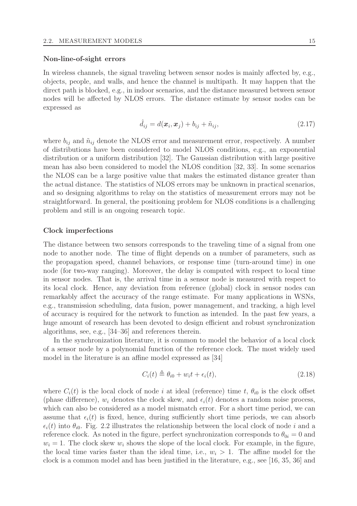#### Non-line-of-sight errors

In wireless channels, the signal traveling between sensor nodes is mainly affected by, e.g., objects, people, and walls, and hence the channel is multipath. It may happen that the direct path is blocked, e.g., in indoor scenarios, and the distance measured between sensor nodes will be affected by NLOS errors. The distance estimate by sensor nodes can be expressed as

$$
\hat{d}_{ij} = d(\boldsymbol{x}_i, \boldsymbol{x}_j) + b_{ij} + \tilde{n}_{ij},\tag{2.17}
$$

where  $b_{ij}$  and  $\tilde{n}_{ij}$  denote the NLOS error and measurement error, respectively. A number of distributions have been considered to model NLOS conditions, e.g., an exponential distribution or a uniform distribution [32]. The Gaussian distribution with large positive mean has also been considered to model the NLOS condition [32, 33]. In some scenarios the NLOS can be a large positive value that makes the estimated distance greater than the actual distance. The statistics of NLOS errors may be unknown in practical scenarios, and so designing algorithms to relay on the statistics of measurement errors may not be straightforward. In general, the positioning problem for NLOS conditions is a challenging problem and still is an ongoing research topic.

#### Clock imperfections

The distance between two sensors corresponds to the traveling time of a signal from one node to another node. The time of flight depends on a number of parameters, such as the propagation speed, channel behaviors, or response time (turn-around time) in one node (for two-way ranging). Moreover, the delay is computed with respect to local time in sensor nodes. That is, the arrival time in a sensor node is measured with respect to its local clock. Hence, any deviation from reference (global) clock in sensor nodes can remarkably affect the accuracy of the range estimate. For many applications in WSNs, e.g., transmission scheduling, data fusion, power management, and tracking, a high level of accuracy is required for the network to function as intended. In the past few years, a huge amount of research has been devoted to design efficient and robust synchronization algorithms, see, e.g., [34–36] and references therein.

In the synchronization literature, it is common to model the behavior of a local clock of a sensor node by a polynomial function of the reference clock. The most widely used model in the literature is an affine model expressed as [34]

$$
C_i(t) \triangleq \theta_{i0} + w_i t + \epsilon_i(t), \qquad (2.18)
$$

where  $C_i(t)$  is the local clock of node i at ideal (reference) time t,  $\theta_{i0}$  is the clock offset (phase difference),  $w_i$  denotes the clock skew, and  $\epsilon_i(t)$  denotes a random noise process, which can also be considered as a model mismatch error. For a short time period, we can assume that  $\epsilon_i(t)$  is fixed, hence, during sufficiently short time periods, we can absorb  $\epsilon_i(t)$  into  $\theta_{i0}$ . Fig. 2.2 illustrates the relationship between the local clock of node i and a reference clock. As noted in the figure, perfect synchronization corresponds to  $\theta_{0i} = 0$  and  $w_i = 1$ . The clock skew  $w_i$  shows the slope of the local clock. For example, in the figure, the local time varies faster than the ideal time, i.e.,  $w_i > 1$ . The affine model for the clock is a common model and has been justified in the literature, e.g., see [16, 35, 36] and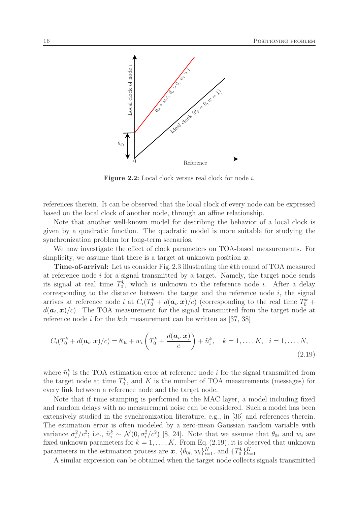

Figure 2.2: Local clock versus real clock for node i.

references therein. It can be observed that the local clock of every node can be expressed based on the local clock of another node, through an affine relationship.

Note that another well-known model for describing the behavior of a local clock is given by a quadratic function. The quadratic model is more suitable for studying the synchronization problem for long-term scenarios.

We now investigate the effect of clock parameters on TOA-based measurements. For simplicity, we assume that there is a target at unknown position  $x$ .

Time-of-arrival: Let us consider Fig. 2.3 illustrating the kth round of TOA measured at reference node  $i$  for a signal transmitted by a target. Namely, the target node sends its signal at real time  $T_0^k$ , which is unknown to the reference node *i*. After a delay corresponding to the distance between the target and the reference node  $i$ , the signal arrives at reference node *i* at  $C_i(T_0^k + d(a_i, x)/c)$  (corresponding to the real time  $T_0^k$  +  $d(\boldsymbol{a}_i, \boldsymbol{x})/c$ ). The TOA measurement for the signal transmitted from the target node at reference node i for the kth measurement can be written as  $[37, 38]$ 

$$
C_i(T_0^k + d(\boldsymbol{a}_i, \boldsymbol{x})/c) = \theta_{0i} + w_i \left(T_0^k + \frac{d(\boldsymbol{a}_i, \boldsymbol{x})}{c}\right) + \tilde{n}_i^k, \quad k = 1, \dots, K, \quad i = 1, \dots, N,
$$
\n(2.19)

where  $\tilde{n}_i^k$  is the TOA estimation error at reference node *i* for the signal transmitted from the target node at time  $T_0^k$ , and K is the number of TOA measurements (messages) for every link between a reference node and the target node.

Note that if time stamping is performed in the MAC layer, a model including fixed and random delays with no measurement noise can be considered. Such a model has been extensively studied in the synchronization literature, e.g., in [36] and references therein. The estimation error is often modeled by a zero-mean Gaussian random variable with variance  $\sigma_i^2/c^2$ ; i.e.,  $\tilde{n}_i^k \sim \mathcal{N}(0, \sigma_i^2/c^2)$  [8, 24]. Note that we assume that  $\theta_{0i}$  and  $w_i$  are fixed unknown parameters for  $k = 1, ..., K$ . From Eq. (2.19), it is observed that unknown parameters in the estimation process are  $\boldsymbol{x}, \{\theta_{0i}, w_i\}_{i=1}^N$ , and  $\{T_0^k\}_{k=1}^K$ .

A similar expression can be obtained when the target node collects signals transmitted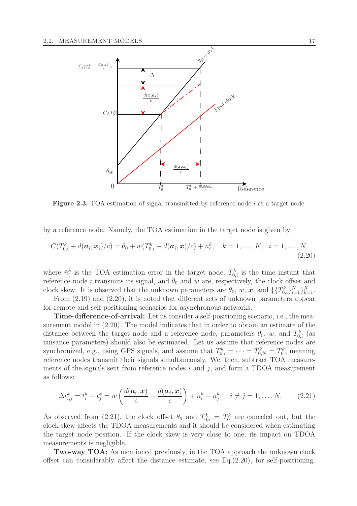

Figure 2.3: TOA estimation of signal transmitted by reference node i at a target node.

by a reference node. Namely, the TOA estimation in the target node is given by

$$
C(T_{0,i}^k + d(\mathbf{a}_i, \mathbf{x}_i)/c) = \theta_0 + w(T_{0,i}^k + d(\mathbf{a}_i, \mathbf{x})/c) + \bar{n}_i^k, \quad k = 1, ..., K, \quad i = 1, ..., N,
$$
\n(2.20)

where  $\bar{n}_i^k$  is the TOA estimation error in the target node,  $T_{0,i}^k$  is the time instant that reference node *i* transmits its signal, and  $\theta_0$  and w are, respectively, the clock offset and clock skew. It is observed that the unknown parameters are  $\theta_0$ , w, x, and  $\{\{T_{0,i}^k\}_{i=1}^N\}_{k=1}^K$ .

From (2.19) and (2.20), it is noted that different sets of unknown parameters appear for remote and self positioning scenarios for asynchronous networks.

Time-difference-of-arrival: Let us consider a self-positioning scenario, i.e., the measurement model in (2.20). The model indicates that in order to obtain an estimate of the distance between the target node and a reference node, parameters  $\theta_0$ , w, and  $T_{0,i}^k$  (as nuisance parameters) should also be estimated. Let us assume that reference nodes are synchronized, e.g., using GPS signals, and assume that  $T_{0,i}^k = \cdots = T_{0,N}^k = T_0^k$ , meaning reference nodes transmit their signals simultaneously. We, then, subtract TOA measurements of the signals sent from reference nodes  $i$  and  $j$ , and form a TDOA measurement as follows:

$$
\Delta t_{i,j}^k = t_i^k - t_j^k = w \left( \frac{d(\boldsymbol{a}_i, \boldsymbol{x})}{c} - \frac{d(\boldsymbol{a}_j, \boldsymbol{x})}{c} \right) + \bar{n}_i^k - \bar{n}_j^k, \quad i \neq j = 1, \dots, N. \tag{2.21}
$$

As observed from (2.21), the clock offset  $\theta_0$  and  $T_{0,i}^k = T_0^k$  are canceled out, but the clock skew affects the TDOA measurements and it should be considered when estimating the target node position. If the clock skew is very close to one, its impact on TDOA measurements is negligible.

Two-way TOA: As mentioned previously, in the TOA approach the unknown clock offset can considerably affect the distance estimate, see Eq. $(2.20)$ , for self-positioning.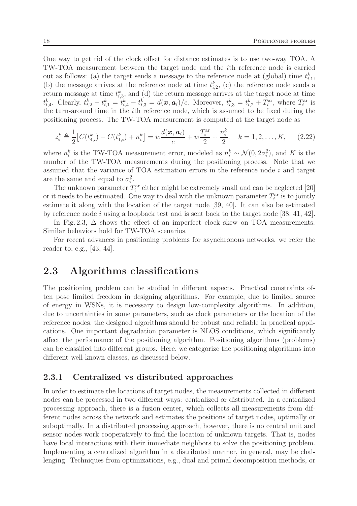One way to get rid of the clock offset for distance estimates is to use two-way TOA. A TW-TOA measurement between the target node and the ith reference node is carried out as follows: (a) the target sends a message to the reference node at (global) time  $t_{i,1}^k$ , (b) the message arrives at the reference node at time  $t_{i,2}^k$ , (c) the reference node sends a return message at time  $t_{i,3}^k$ , and (d) the return message arrives at the target node at time  $t_{i,4}^k$ . Clearly,  $t_{i,2}^k - t_{i,1}^k = t_{i,4}^k - t_{i,3}^k = d(x, a_i)/c$ . Moreover,  $t_{i,3}^k = t_{i,2}^k + T_i^{\text{ar}}$ , where  $T_i^{\text{ar}}$  is the turn-around time in the ith reference node, which is assumed to be fixed during the positioning process. The TW-TOA measurement is computed at the target node as

$$
z_i^k \triangleq \frac{1}{2} \left[ C(t_{4,i}^k) - C(t_{1,i}^k) + n_i^k \right] = w \frac{d(\boldsymbol{x}, \boldsymbol{a}_i)}{c} + w \frac{T_i^{\text{ar}}}{2} + \frac{n_i^k}{2}, \quad k = 1, 2, \dots, K,
$$
 (2.22)

where  $n_i^k$  is the TW-TOA measurement error, modeled as  $n_i^k \sim \mathcal{N}(0, 2\sigma_i^2)$ , and K is the number of the TW-TOA measurements during the positioning process. Note that we assumed that the variance of  $TOA$  estimation errors in the reference node  $i$  and target are the same and equal to  $\sigma_i^2$ .

The unknown parameter  $T_i^{\text{ar}}$  either might be extremely small and can be neglected [20] or it needs to be estimated. One way to deal with the unknown parameter  $T_i^{\text{ar}}$  is to jointly estimate it along with the location of the target node [39, 40]. It can also be estimated by reference node i using a loopback test and is sent back to the target node [38, 41, 42].

In Fig. 2.3,  $\Delta$  shows the effect of an imperfect clock skew on TOA measurements. Similar behaviors hold for TW-TOA scenarios.

For recent advances in positioning problems for asynchronous networks, we refer the reader to, e.g., [43, 44].

# 2.3 Algorithms classifications

The positioning problem can be studied in different aspects. Practical constraints often pose limited freedom in designing algorithms. For example, due to limited source of energy in WSNs, it is necessary to design low-complexity algorithms. In addition, due to uncertainties in some parameters, such as clock parameters or the location of the reference nodes, the designed algorithms should be robust and reliable in practical applications. One important degradation parameter is NLOS conditions, which significantly affect the performance of the positioning algorithm. Positioning algorithms (problems) can be classified into different groups. Here, we categorize the positioning algorithms into different well-known classes, as discussed below.

#### 2.3.1 Centralized vs distributed approaches

In order to estimate the locations of target nodes, the measurements collected in different nodes can be processed in two different ways: centralized or distributed. In a centralized processing approach, there is a fusion center, which collects all measurements from different nodes across the network and estimates the positions of target nodes, optimally or suboptimally. In a distributed processing approach, however, there is no central unit and sensor nodes work cooperatively to find the location of unknown targets. That is, nodes have local interactions with their immediate neighbors to solve the positioning problem. Implementing a centralized algorithm in a distributed manner, in general, may be challenging. Techniques from optimizations, e.g., dual and primal decomposition methods, or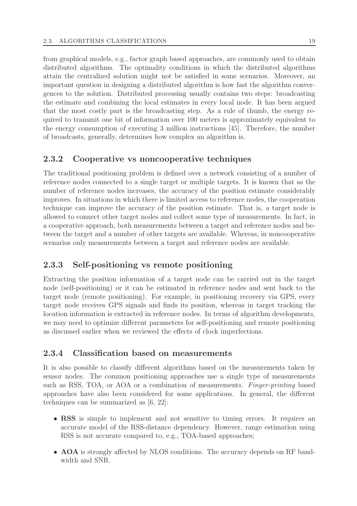from graphical models, e.g., factor graph based approaches, are commonly used to obtain distributed algorithms. The optimality conditions in which the distributed algorithms attain the centralized solution might not be satisfied in some scenarios. Moreover, an important question in designing a distributed algorithm is how fast the algorithm convergences to the solution. Distributed processing usually contains two steps: broadcasting the estimate and combining the local estimates in every local node. It has been argued that the most costly part is the broadcasting step. As a rule of thumb, the energy required to transmit one bit of information over 100 meters is approximately equivalent to the energy consumption of executing 3 million instructions [45]. Therefore, the number of broadcasts, generally, determines how complex an algorithm is.

### 2.3.2 Cooperative vs noncooperative techniques

The traditional positioning problem is defined over a network consisting of a number of reference nodes connected to a single target or multiple targets. It is known that as the number of reference nodes increases, the accuracy of the position estimate considerably improves. In situations in which there is limited access to reference nodes, the cooperation technique can improve the accuracy of the position estimate. That is, a target node is allowed to connect other target nodes and collect some type of measurements. In fact, in a cooperative approach, both measurements between a target and reference nodes and between the target and a number of other targets are available. Whereas, in noncooperative scenarios only measurements between a target and reference nodes are available.

### 2.3.3 Self-positioning vs remote positioning

Extracting the position information of a target node can be carried out in the target node (self-positioning) or it can be estimated in reference nodes and sent back to the target node (remote positioning). For example, in positioning recovery via GPS, every target node receives GPS signals and finds its position, whereas in target tracking the location information is extracted in reference nodes. In terms of algorithm developments, we may need to optimize different parameters for self-positioning and remote positioning as discussed earlier when we reviewed the effects of clock imperfections.

#### 2.3.4 Classification based on measurements

It is also possible to classify different algorithms based on the measurements taken by sensor nodes. The common positioning approaches use a single type of measurements such as RSS, TOA, or AOA or a combination of measurements. Finger-printing based approaches have also been considered for some applications. In general, the different techniques can be summarized as [6, 22]:

- RSS is simple to implement and not sensitive to timing errors. It requires an accurate model of the RSS-distance dependency. However, range estimation using RSS is not accurate compared to, e.g., TOA-based approaches;
- AOA is strongly affected by NLOS conditions. The accuracy depends on RF bandwidth and SNR.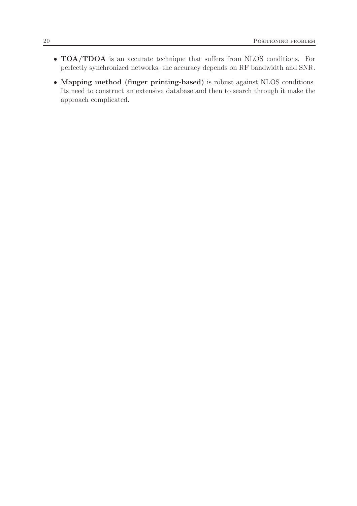- TOA/TDOA is an accurate technique that suffers from NLOS conditions. For perfectly synchronized networks, the accuracy depends on RF bandwidth and SNR.
- Mapping method (finger printing-based) is robust against NLOS conditions. Its need to construct an extensive database and then to search through it make the approach complicated.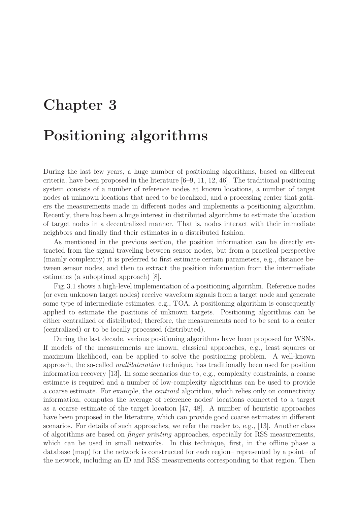# Chapter 3 Positioning algorithms

During the last few years, a huge number of positioning algorithms, based on different criteria, have been proposed in the literature [6–9, 11, 12, 46]. The traditional positioning system consists of a number of reference nodes at known locations, a number of target nodes at unknown locations that need to be localized, and a processing center that gathers the measurements made in different nodes and implements a positioning algorithm. Recently, there has been a huge interest in distributed algorithms to estimate the location of target nodes in a decentralized manner. That is, nodes interact with their immediate neighbors and finally find their estimates in a distributed fashion.

As mentioned in the previous section, the position information can be directly extracted from the signal traveling between sensor nodes, but from a practical perspective (mainly complexity) it is preferred to first estimate certain parameters, e.g., distance between sensor nodes, and then to extract the position information from the intermediate estimates (a suboptimal approach) [8].

Fig. 3.1 shows a high-level implementation of a positioning algorithm. Reference nodes (or even unknown target nodes) receive waveform signals from a target node and generate some type of intermediate estimates, e.g., TOA. A positioning algorithm is consequently applied to estimate the positions of unknown targets. Positioning algorithms can be either centralized or distributed; therefore, the measurements need to be sent to a center (centralized) or to be locally processed (distributed).

During the last decade, various positioning algorithms have been proposed for WSNs. If models of the measurements are known, classical approaches, e.g., least squares or maximum likelihood, can be applied to solve the positioning problem. A well-known approach, the so-called multilateration technique, has traditionally been used for position information recovery [13]. In some scenarios due to, e.g., complexity constraints, a coarse estimate is required and a number of low-complexity algorithms can be used to provide a coarse estimate. For example, the centroid algorithm, which relies only on connectivity information, computes the average of reference nodes' locations connected to a target as a coarse estimate of the target location [47, 48]. A number of heuristic approaches have been proposed in the literature, which can provide good coarse estimates in different scenarios. For details of such approaches, we refer the reader to, e.g., [13]. Another class of algorithms are based on finger printing approaches, especially for RSS measurements, which can be used in small networks. In this technique, first, in the offline phase a database (map) for the network is constructed for each region– represented by a point– of the network, including an ID and RSS measurements corresponding to that region. Then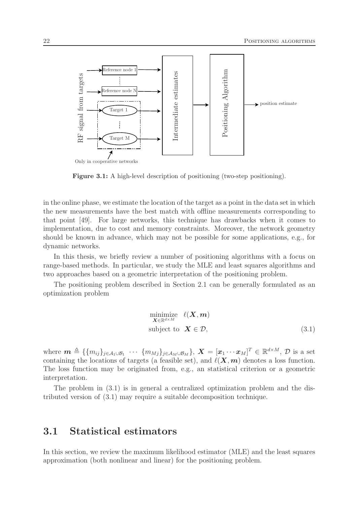

Figure 3.1: A high-level description of positioning (two-step positioning).

in the online phase, we estimate the location of the target as a point in the data set in which the new measurements have the best match with offline measurements corresponding to that point [49]. For large networks, this technique has drawbacks when it comes to implementation, due to cost and memory constraints. Moreover, the network geometry should be known in advance, which may not be possible for some applications, e.g., for dynamic networks.

In this thesis, we briefly review a number of positioning algorithms with a focus on range-based methods. In particular, we study the MLE and least squares algorithms and two approaches based on a geometric interpretation of the positioning problem.

The positioning problem described in Section 2.1 can be generally formulated as an optimization problem

$$
\begin{array}{ll}\n\text{minimize} & \ell(\mathbf{X}, \mathbf{m}) \\
\text{subject to} & \mathbf{X} \in \mathcal{D},\n\end{array} \tag{3.1}
$$

where  $\boldsymbol{m} \triangleq \{\{m_{ij}\}_{j\in\mathcal{A}_1\cup\mathcal{B}_1}$   $\cdots$   $\{m_{Mj}\}_{j\in\mathcal{A}_M\cup\mathcal{B}_M}\},$   $\boldsymbol{X} = [\boldsymbol{x}_1 \cdots \boldsymbol{x}_M]^T \in \mathbb{R}^{d\times M}$ ,  $\mathcal{D}$  is a set containing the locations of targets (a feasible set), and  $\ell(X,m)$  denotes a loss function. The loss function may be originated from, e.g., an statistical criterion or a geometric interpretation.

The problem in (3.1) is in general a centralized optimization problem and the distributed version of (3.1) may require a suitable decomposition technique.

### 3.1 Statistical estimators

In this section, we review the maximum likelihood estimator (MLE) and the least squares approximation (both nonlinear and linear) for the positioning problem.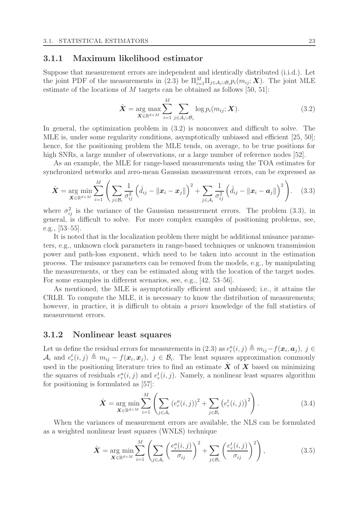#### 3.1.1 Maximum likelihood estimator

Suppose that measurement errors are independent and identically distributed (i.i.d.). Let the joint PDF of the measurements in (2.3) be  $\Pi_{i=1}^M \Pi_{j \in \mathcal{A}_i \cup \mathcal{B}_i} p_i(m_{ij}; \mathbf{X})$ . The joint MLE estimate of the locations of  $M$  targets can be obtained as follows [50, 51]:

$$
\hat{\boldsymbol{X}} = \underset{\boldsymbol{X} \in \mathbb{R}^{d \times M}}{\arg \max} \sum_{i=1}^{M} \sum_{j \in A_i \cup B_i} \log p_i(m_{ij}; \boldsymbol{X}). \tag{3.2}
$$

In general, the optimization problem in (3.2) is nonconvex and difficult to solve. The MLE is, under some regularity conditions, asymptotically unbiased and efficient [25, 50]; hence, for the positioning problem the MLE tends, on average, to be true positions for high SNRs, a large number of observations, or a large number of reference nodes [52].

As an example, the MLE for range-based measurements using the TOA estimates for synchronized networks and zero-mean Gaussian measurement errors, can be expressed as

$$
\hat{\boldsymbol{X}} = \arg\min_{\boldsymbol{X} \in \mathbb{R}^{d \times M}} \sum_{i=1}^{M} \left( \sum_{j \in \mathcal{B}_i} \frac{1}{\sigma_{ij}^2} \left( \hat{d}_{ij} - \|\boldsymbol{x}_i - \boldsymbol{x}_j\| \right)^2 + \sum_{j \in \mathcal{A}_i} \frac{1}{\sigma_{ij}^2} \left( \hat{d}_{ij} - \|\boldsymbol{x}_i - \boldsymbol{a}_j\| \right)^2 \right). \tag{3.3}
$$

where  $\sigma_{ij}^2$  is the variance of the Gaussian measurement errors. The problem (3.3), in general, is difficult to solve. For more complex examples of positioning problems, see, e.g., [53–55].

It is noted that in the localization problem there might be additional nuisance parameters, e.g., unknown clock parameters in range-based techniques or unknown transmission power and path-loss exponent, which need to be taken into account in the estimation process. The nuisance parameters can be removed from the models, e.g., by manipulating the measurements, or they can be estimated along with the location of the target nodes. For some examples in different scenarios, see, e.g., [42, 53–56].

As mentioned, the MLE is asymptotically efficient and unbiased; i.e., it attains the CRLB. To compute the MLE, it is necessary to know the distribution of measurements; however, in practice, it is difficult to obtain a priori knowledge of the full statistics of measurement errors.

#### 3.1.2 Nonlinear least squares

Let us define the residual errors for measurements in  $(2.3)$  as  $e_r^a(i,j) \triangleq m_{ij} - f(x_i, a_j)$ ,  $j \in$  $\mathcal{A}_i$  and  $e_r^t(i,j) \triangleq m_{ij} - f(\mathbf{x}_i, \mathbf{x}_j)$ ,  $j \in \mathcal{B}_i$ . The least squares approximation commonly used in the positioning literature tries to find an estimate  $\hat{X}$  of  $X$  based on minimizing the squares of residuals  $e_r^a(i, j)$  and  $e_r^t(i, j)$ . Namely, a nonlinear least squares algorithm for positioning is formulated as [57]:

$$
\hat{\mathbf{X}} = \underset{\mathbf{X} \in \mathbb{R}^{d \times M}}{\arg \min} \sum_{i=1}^{M} \left( \sum_{j \in \mathcal{A}_i} \left( e_r^a(i,j) \right)^2 + \sum_{j \in \mathcal{B}_i} \left( e_r^t(i,j) \right)^2 \right). \tag{3.4}
$$

When the variances of measurement errors are available, the NLS can be formulated as a weighted nonlinear least squares (WNLS) technique

$$
\hat{\boldsymbol{X}} = \underset{\boldsymbol{X} \in \mathbb{R}^{d \times M}}{\arg \min} \sum_{i=1}^{M} \left( \sum_{j \in \mathcal{A}_i} \left( \frac{e_r^a(i,j)}{\sigma_{ij}} \right)^2 + \sum_{j \in \mathcal{B}_i} \left( \frac{e_r^t(i,j)}{\sigma_{ij}} \right)^2 \right), \tag{3.5}
$$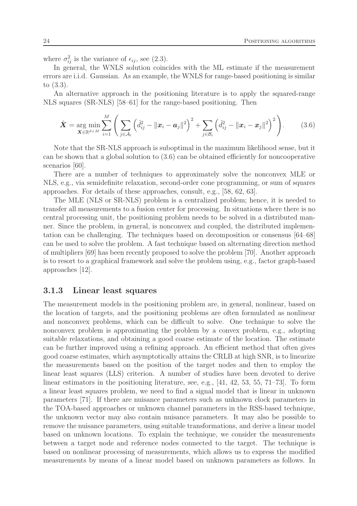where  $\sigma_{ij}^2$  is the variance of  $\epsilon_{ij}$ , see (2.3).

In general, the WNLS solution coincides with the ML estimate if the measurement errors are i.i.d. Gaussian. As an example, the WNLS for range-based positioning is similar to (3.3).

An alternative approach in the positioning literature is to apply the squared-range NLS squares (SR-NLS) [58–61] for the range-based positioning. Then

$$
\hat{\bm{X}} = \arg_{\bm{X} \in \mathbb{R}^{d \times M}} \sum_{i=1}^{M} \left( \sum_{j \in \mathcal{A}_i} \left( \hat{d}_{ij}^2 - ||\bm{x}_i - \bm{a}_j||^2 \right)^2 + \sum_{j \in \mathcal{B}_i} \left( \hat{d}_{ij}^2 - ||\bm{x}_i - \bm{x}_j||^2 \right)^2 \right).
$$
(3.6)

Note that the SR-NLS approach is suboptimal in the maximum likelihood sense, but it can be shown that a global solution to (3.6) can be obtained efficiently for noncooperative scenarios [60].

There are a number of techniques to approximately solve the nonconvex MLE or NLS, e.g., via semidefinite relaxation, second-order cone programming, or sum of squares approaches. For details of these approaches, consult, e.g., [58, 62, 63].

The MLE (NLS or SR-NLS) problem is a centralized problem; hence, it is needed to transfer all measurements to a fusion center for processing. In situations where there is no central processing unit, the positioning problem needs to be solved in a distributed manner. Since the problem, in general, is nonconvex and coupled, the distributed implementation can be challenging. The techniques based on decomposition or consensus [64–68] can be used to solve the problem. A fast technique based on alternating direction method of multipliers [69] has been recently proposed to solve the problem [70]. Another approach is to resort to a graphical framework and solve the problem using, e.g., factor graph-based approaches [12].

#### 3.1.3 Linear least squares

The measurement models in the positioning problem are, in general, nonlinear, based on the location of targets, and the positioning problems are often formulated as nonlinear and nonconvex problems, which can be difficult to solve. One technique to solve the nonconvex problem is approximating the problem by a convex problem, e.g., adopting suitable relaxations, and obtaining a good coarse estimate of the location. The estimate can be further improved using a refining approach. An efficient method that often gives good coarse estimates, which asymptotically attains the CRLB at high SNR, is to linearize the measurements based on the position of the target nodes and then to employ the linear least squares (LLS) criterion. A number of studies have been devoted to derive linear estimators in the positioning literature, see, e.g., [41, 42, 53, 55, 71–73]. To form a linear least squares problem, we need to find a signal model that is linear in unknown parameters [71]. If there are nuisance parameters such as unknown clock parameters in the TOA-based approaches or unknown channel parameters in the RSS-based technique, the unknown vector may also contain nuisance parameters. It may also be possible to remove the nuisance parameters, using suitable transformations, and derive a linear model based on unknown locations. To explain the technique, we consider the measurements between a target node and reference nodes connected to the target. The technique is based on nonlinear processing of measurements, which allows us to express the modified measurements by means of a linear model based on unknown parameters as follows. In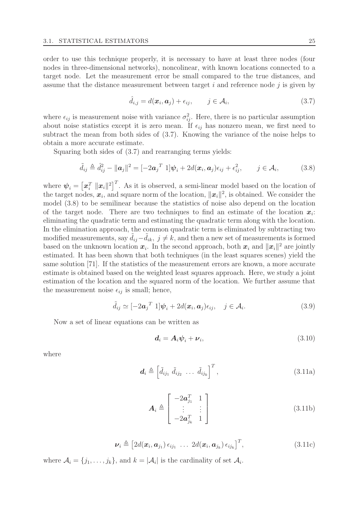order to use this technique properly, it is necessary to have at least three nodes (four nodes in three-dimensional networks), noncolinear, with known locations connected to a target node. Let the measurement error be small compared to the true distances, and assume that the distance measurement between target  $i$  and reference node  $j$  is given by

$$
\hat{d}_{i,j} = d(\boldsymbol{x}_i, \boldsymbol{a}_j) + \epsilon_{ij}, \qquad j \in \mathcal{A}_i,
$$
\n(3.7)

where  $\epsilon_{ij}$  is measurement noise with variance  $\sigma_{ij}^2$ . Here, there is no particular assumption about noise statistics except it is zero mean. If  $\epsilon_{ij}$  has nonzero mean, we first need to subtract the mean from both sides of (3.7). Knowing the variance of the noise helps to obtain a more accurate estimate.

Squaring both sides of (3.7) and rearranging terms yields:

$$
\tilde{d}_{ij} \triangleq \hat{d}_{ij}^2 - ||\mathbf{a}_j||^2 = [-2\mathbf{a}_j^T \; 1] \boldsymbol{\psi}_i + 2d(\mathbf{x}_i, \mathbf{a}_j)\epsilon_{ij} + \epsilon_{ij}^2, \qquad j \in \mathcal{A}_i,
$$
\n(3.8)

where  $\psi_i = \left[\boldsymbol{x}_i^T || \boldsymbol{x}_i ||^2\right]^T$ . As it is observed, a semi-linear model based on the location of the target nodes,  $x_i$ , and square norm of the location,  $||x_i||^2$ , is obtained. We consider the model (3.8) to be semilinear because the statistics of noise also depend on the location of the target node. There are two techniques to find an estimate of the location  $x_i$ : eliminating the quadratic term and estimating the quadratic term along with the location. In the elimination approach, the common quadratic term is eliminated by subtracting two modified measurements, say  $d_{ij}-d_{ik}$ ,  $j \neq k$ , and then a new set of measurements is formed based on the unknown location  $x_i$ . In the second approach, both  $x_i$  and  $||x_i||^2$  are jointly estimated. It has been shown that both techniques (in the least squares scenes) yield the same solution [71]. If the statistics of the measurement errors are known, a more accurate estimate is obtained based on the weighted least squares approach. Here, we study a joint estimation of the location and the squared norm of the location. We further assume that the measurement noise  $\epsilon_{ij}$  is small; hence,

$$
\tilde{d}_{ij} \simeq [-2\boldsymbol{a}_j^T \; 1] \boldsymbol{\psi}_i + 2d(\boldsymbol{x}_i, \boldsymbol{a}_j) \epsilon_{ij}, \quad j \in \mathcal{A}_i.
$$
\n(3.9)

Now a set of linear equations can be written as

$$
\mathbf{d}_i = \mathbf{A}_i \boldsymbol{\psi}_i + \boldsymbol{\nu}_i,\tag{3.10}
$$

where

$$
\boldsymbol{d}_{i} \triangleq \left[ \tilde{d}_{ij_{1}} \; \tilde{d}_{ij_{2}} \; \ldots \; \tilde{d}_{ij_{k}} \right]^{T}, \tag{3.11a}
$$

$$
\boldsymbol{A}_{i} \triangleq \begin{bmatrix} -2\boldsymbol{a}_{j_{1}}^{T} & 1\\ \vdots & \vdots\\ -2\boldsymbol{a}_{j_{k}}^{T} & 1 \end{bmatrix}
$$
(3.11b)

$$
\boldsymbol{\nu}_i \triangleq \left[2d(\boldsymbol{x}_i, \boldsymbol{a}_{j_1})\,\epsilon_{ij_1}\,\,\ldots\,\,2d(\boldsymbol{x}_i, \boldsymbol{a}_{j_k})\,\epsilon_{ij_k}\right]^T,\tag{3.11c}
$$

where  $A_i = \{j_1, \ldots, j_k\}$ , and  $k = |\mathcal{A}_i|$  is the cardinality of set  $\mathcal{A}_i$ .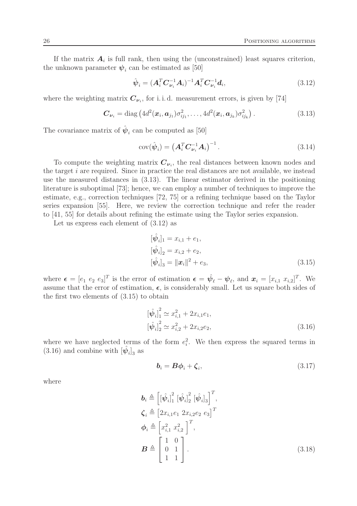If the matrix  $A_i$  is full rank, then using the (unconstrained) least squares criterion, the unknown parameter  $\psi_i$  can be estimated as [50]

$$
\hat{\psi}_i = (A_i^T C_{\nu_i}^{-1} A_i)^{-1} A_i^T C_{\nu_i}^{-1} d_i,
$$
\n(3.12)

where the weighting matrix  $C_{\nu_i}$ , for i.i.d. measurement errors, is given by [74]

$$
\boldsymbol{C}_{\boldsymbol{\nu}_i} = \text{diag}\left(4d^2(\boldsymbol{x}_i, \boldsymbol{a}_{j_1})\sigma_{ij_1}^2, \ldots, 4d^2(\boldsymbol{x}_i, \boldsymbol{a}_{j_k})\sigma_{ij_k}^2\right).
$$
(3.13)

The covariance matrix of  $\hat{\psi}_i$  can be computed as [50]

$$
cov(\hat{\boldsymbol{\psi}}_i) = \left(\boldsymbol{A}_i^T \boldsymbol{C}_{\boldsymbol{\nu}_i}^{-1} \boldsymbol{A}_i\right)^{-1}.
$$
\n(3.14)

To compute the weighting matrix  $C_{\nu_i}$ , the real distances between known nodes and the target i are required. Since in practice the real distances are not available, we instead use the measured distances in (3.13). The linear estimator derived in the positioning literature is suboptimal [73]; hence, we can employ a number of techniques to improve the estimate, e.g., correction techniques [72, 75] or a refining technique based on the Taylor series expansion [55]. Here, we review the correction technique and refer the reader to [41, 55] for details about refining the estimate using the Taylor series expansion.

Let us express each element of (3.12) as

$$
[\hat{\psi}_i]_1 = x_{i,1} + e_1,
$$
  
\n
$$
[\hat{\psi}_i]_2 = x_{i,2} + e_2,
$$
  
\n
$$
[\hat{\psi}_i]_3 = ||\mathbf{x}_i||^2 + e_3,
$$
\n(3.15)

where  $\boldsymbol{\epsilon} = [e_1 \ e_2 \ e_3]^T$  is the error of estimation  $\boldsymbol{\epsilon} = \hat{\boldsymbol{\psi}}_\ell - \boldsymbol{\psi}_\ell$ , and  $\boldsymbol{x}_i = [x_{i,1} \ x_{i,2}]^T$ . We assume that the error of estimation,  $\epsilon$ , is considerably small. Let us square both sides of the first two elements of (3.15) to obtain

$$
\left[\hat{\psi}_i\right]_1^2 \simeq x_{i,1}^2 + 2x_{i,1}e_1,
$$
  
\n
$$
\left[\hat{\psi}_i\right]_2^2 \simeq x_{i,2}^2 + 2x_{i,2}e_2,
$$
\n(3.16)

where we have neglected terms of the form  $e_i^2$ . We then express the squared terms in  $(3.16)$  and combine with  $[\hat{\psi}_i]_3$  as

$$
\boldsymbol{b}_i = \boldsymbol{B}\boldsymbol{\phi}_i + \boldsymbol{\zeta}_i,\tag{3.17}
$$

where

$$
\mathbf{b}_{i} \triangleq \left[ \left[ \hat{\psi}_{i} \right]_{1}^{2} \left[ \hat{\psi}_{i} \right]_{2}^{2} \left[ \hat{\psi}_{i} \right]_{3} \right]^{T},
$$
\n
$$
\mathbf{\zeta}_{i} \triangleq \left[ 2x_{i,1}e_{1} \ 2x_{i,2}e_{2} \ e_{3} \right]^{T}
$$
\n
$$
\mathbf{\phi}_{i} \triangleq \left[ x_{i,1}^{2} \ x_{i,2}^{2} \right]^{T},
$$
\n
$$
\mathbf{B} \triangleq \left[ \begin{array}{cc} 1 & 0 \\ 0 & 1 \\ 1 & 1 \end{array} \right].
$$
\n(3.18)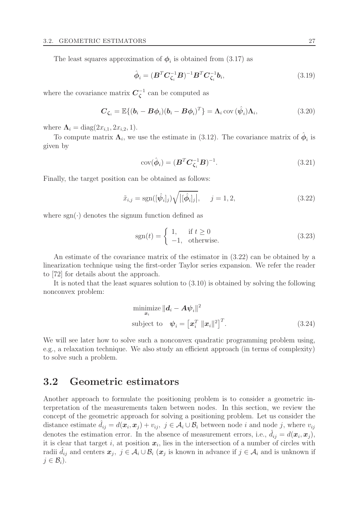The least squares approximation of  $\phi_i$  is obtained from (3.17) as

$$
\hat{\boldsymbol{\phi}}_i = (\boldsymbol{B}^T \boldsymbol{C}_{\zeta_i}^{-1} \boldsymbol{B})^{-1} \boldsymbol{B}^T \boldsymbol{C}_{\zeta_i}^{-1} \boldsymbol{b}_i, \tag{3.19}
$$

where the covariance matrix  $C_{\zeta}^{-1}$  $\zeta^1$  can be computed as

$$
\boldsymbol{C}_{\zeta_i} = \mathbb{E}\{(\boldsymbol{b}_i - \boldsymbol{B}\boldsymbol{\phi}_i)(\boldsymbol{b}_i - \boldsymbol{B}\boldsymbol{\phi}_i)^T\} = \boldsymbol{\Lambda}_i \operatorname{cov}(\hat{\boldsymbol{\psi}}_i)\boldsymbol{\Lambda}_i, \tag{3.20}
$$

where  $\Lambda_i = \text{diag}(2x_{i,1}, 2x_{i,2}, 1)$ .

To compute matrix  $\Lambda_i$ , we use the estimate in (3.12). The covariance matrix of  $\hat{\phi}_i$  is given by

$$
cov(\hat{\boldsymbol{\phi}}_i) = (\boldsymbol{B}^T \boldsymbol{C}_{\zeta_i}^{-1} \boldsymbol{B})^{-1}.
$$
\n(3.21)

Finally, the target position can be obtained as follows:

$$
\tilde{x}_{i,j} = \text{sgn}([\hat{\psi}_i]_j) \sqrt{\left| [\hat{\phi}_i]_j \right|}, \quad j = 1, 2,
$$
\n(3.22)

where  $sgn(\cdot)$  denotes the signum function defined as

$$
sgn(t) = \begin{cases} 1, & \text{if } t \ge 0 \\ -1, & \text{otherwise.} \end{cases}
$$
 (3.23)

An estimate of the covariance matrix of the estimator in (3.22) can be obtained by a linearization technique using the first-order Taylor series expansion. We refer the reader to [72] for details about the approach.

It is noted that the least squares solution to (3.10) is obtained by solving the following nonconvex problem:

$$
\begin{aligned}\n\text{minimize } & \|\mathbf{d}_i - \mathbf{A}\boldsymbol{\psi}_i\|^2 \\
\text{subject to } \quad & \boldsymbol{\psi}_i = \left[\mathbf{x}_i^T \ \|\mathbf{x}_i\|^2\right]^T.\n\end{aligned} \tag{3.24}
$$

We will see later how to solve such a nonconvex quadratic programming problem using, e.g., a relaxation technique. We also study an efficient approach (in terms of complexity) to solve such a problem.

## 3.2 Geometric estimators

Another approach to formulate the positioning problem is to consider a geometric interpretation of the measurements taken between nodes. In this section, we review the concept of the geometric approach for solving a positioning problem. Let us consider the distance estimate  $\hat{d}_{ij} = d(\mathbf{x}_i, \mathbf{x}_j) + v_{ij}, \ j \in \mathcal{A}_i \cup \mathcal{B}_i$  between node i and node j, where  $v_{ij}$ denotes the estimation error. In the absence of measurement errors, i.e.,  $\hat{d}_{ij} = d(\boldsymbol{x}_i, \boldsymbol{x}_j)$ , it is clear that target *i*, at position  $x_i$ , lies in the intersection of a number of circles with radii  $\hat{d}_{ij}$  and centers  $x_j$ ,  $j \in \mathcal{A}_i \cup \mathcal{B}_i$  ( $x_j$  is known in advance if  $j \in \mathcal{A}_i$  and is unknown if  $j \in \mathcal{B}_i$ ).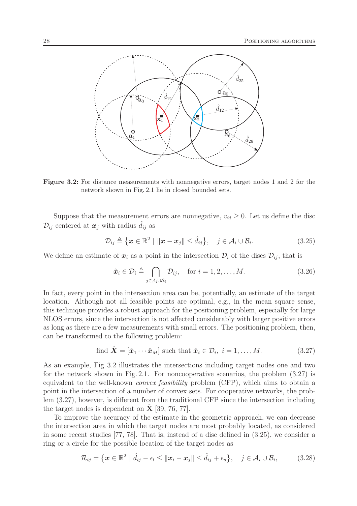

Figure 3.2: For distance measurements with nonnegative errors, target nodes 1 and 2 for the network shown in Fig. 2.1 lie in closed bounded sets.

Suppose that the measurement errors are nonnegative,  $v_{ij} \geq 0$ . Let us define the disc  $\mathcal{D}_{ij}$  centered at  $\boldsymbol{x}_j$  with radius  $\hat{d}_{ij}$  as

$$
\mathcal{D}_{ij} \triangleq \{ \boldsymbol{x} \in \mathbb{R}^2 \mid \|\boldsymbol{x} - \boldsymbol{x}_j\| \leq \hat{d}_{ij} \}, \quad j \in \mathcal{A}_i \cup \mathcal{B}_i. \tag{3.25}
$$

We define an estimate of  $x_i$  as a point in the intersection  $\mathcal{D}_i$  of the discs  $\mathcal{D}_{ij}$ , that is

$$
\hat{\boldsymbol{x}}_i \in \mathcal{D}_i \triangleq \bigcap_{j \in \mathcal{A}_i \cup \mathcal{B}_i} \mathcal{D}_{ij}, \quad \text{for } i = 1, 2, \dots, M. \tag{3.26}
$$

In fact, every point in the intersection area can be, potentially, an estimate of the target location. Although not all feasible points are optimal, e.g., in the mean square sense, this technique provides a robust approach for the positioning problem, especially for large NLOS errors, since the intersection is not affected considerably with larger positive errors as long as there are a few measurements with small errors. The positioning problem, then, can be transformed to the following problem:

find 
$$
\hat{\mathbf{X}} = [\hat{\mathbf{x}}_1 \cdots \hat{\mathbf{x}}_M]
$$
 such that  $\hat{\mathbf{x}}_i \in \mathcal{D}_i$ ,  $i = 1, ..., M$ . (3.27)

As an example, Fig. 3.2 illustrates the intersections including target nodes one and two for the network shown in Fig. 2.1. For noncooperative scenarios, the problem (3.27) is equivalent to the well-known convex feasibility problem (CFP), which aims to obtain a point in the intersection of a number of convex sets. For cooperative networks, the problem (3.27), however, is different from the traditional CFP since the intersection including the target nodes is dependent on  $X$  [39, 76, 77].

To improve the accuracy of the estimate in the geometric approach, we can decrease the intersection area in which the target nodes are most probably located, as considered in some recent studies [77, 78]. That is, instead of a disc defined in (3.25), we consider a ring or a circle for the possible location of the target nodes as

$$
\mathcal{R}_{ij} = \left\{ \boldsymbol{x} \in \mathbb{R}^2 \mid \hat{d}_{ij} - \epsilon_l \le ||\boldsymbol{x}_i - \boldsymbol{x}_j|| \le \hat{d}_{ij} + \epsilon_u \right\}, \quad j \in \mathcal{A}_i \cup \mathcal{B}_i,
$$
 (3.28)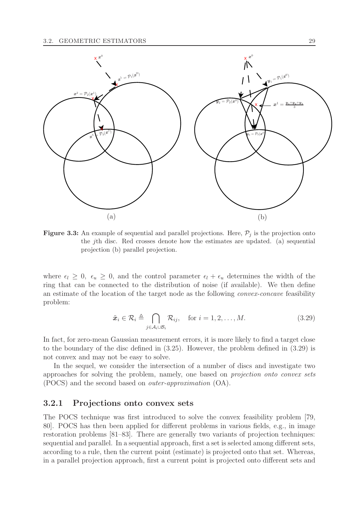

**Figure 3.3:** An example of sequential and parallel projections. Here,  $\mathcal{P}_i$  is the projection onto the jth disc. Red crosses denote how the estimates are updated. (a) sequential projection (b) parallel projection.

where  $\epsilon_l \geq 0$ ,  $\epsilon_u \geq 0$ , and the control parameter  $\epsilon_l + \epsilon_u$  determines the width of the ring that can be connected to the distribution of noise (if available). We then define an estimate of the location of the target node as the following convex-concave feasibility problem:

$$
\tilde{\boldsymbol{x}}_i \in \mathcal{R}_i \triangleq \bigcap_{j \in \mathcal{A}_i \cup \mathcal{B}_i} \mathcal{R}_{ij}, \quad \text{for } i = 1, 2, \dots, M. \tag{3.29}
$$

In fact, for zero-mean Gaussian measurement errors, it is more likely to find a target close to the boundary of the disc defined in (3.25). However, the problem defined in (3.29) is not convex and may not be easy to solve.

In the sequel, we consider the intersection of a number of discs and investigate two approaches for solving the problem, namely, one based on projection onto convex sets (POCS) and the second based on outer-approximation (OA).

#### 3.2.1 Projections onto convex sets

The POCS technique was first introduced to solve the convex feasibility problem [79, 80]. POCS has then been applied for different problems in various fields, e.g., in image restoration problems [81–83]. There are generally two variants of projection techniques: sequential and parallel. In a sequential approach, first a set is selected among different sets, according to a rule, then the current point (estimate) is projected onto that set. Whereas, in a parallel projection approach, first a current point is projected onto different sets and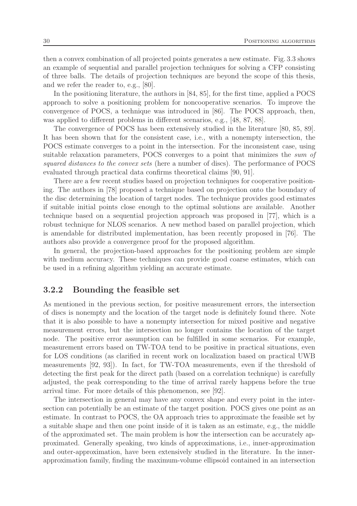then a convex combination of all projected points generates a new estimate. Fig. 3.3 shows an example of sequential and parallel projection techniques for solving a CFP consisting of three balls. The details of projection techniques are beyond the scope of this thesis, and we refer the reader to, e.g., [80].

In the positioning literature, the authors in [84, 85], for the first time, applied a POCS approach to solve a positioning problem for noncooperative scenarios. To improve the convergence of POCS, a technique was introduced in [86]. The POCS approach, then, was applied to different problems in different scenarios, e.g., [48, 87, 88].

The convergence of POCS has been extensively studied in the literature [80, 85, 89]. It has been shown that for the consistent case, i.e., with a nonempty intersection, the POCS estimate converges to a point in the intersection. For the inconsistent case, using suitable relaxation parameters, POCS converges to a point that minimizes the sum of squared distances to the convex sets (here a number of discs). The performance of POCS evaluated through practical data confirms theoretical claims [90, 91].

There are a few recent studies based on projection techniques for cooperative positioning. The authors in [78] proposed a technique based on projection onto the boundary of the disc determining the location of target nodes. The technique provides good estimates if suitable initial points close enough to the optimal solutions are available. Another technique based on a sequential projection approach was proposed in [77], which is a robust technique for NLOS scenarios. A new method based on parallel projection, which is amendable for distributed implementation, has been recently proposed in [76]. The authors also provide a convergence proof for the proposed algorithm.

In general, the projection-based approaches for the positioning problem are simple with medium accuracy. These techniques can provide good coarse estimates, which can be used in a refining algorithm yielding an accurate estimate.

#### 3.2.2 Bounding the feasible set

As mentioned in the previous section, for positive measurement errors, the intersection of discs is nonempty and the location of the target node is definitely found there. Note that it is also possible to have a nonempty intersection for mixed positive and negative measurement errors, but the intersection no longer contains the location of the target node. The positive error assumption can be fulfilled in some scenarios. For example, measurement errors based on TW-TOA tend to be positive in practical situations, even for LOS conditions (as clarified in recent work on localization based on practical UWB measurements [92, 93]). In fact, for TW-TOA measurements, even if the threshold of detecting the first peak for the direct path (based on a correlation technique) is carefully adjusted, the peak corresponding to the time of arrival rarely happens before the true arrival time. For more details of this phenomenon, see [92].

The intersection in general may have any convex shape and every point in the intersection can potentially be an estimate of the target position. POCS gives one point as an estimate. In contrast to POCS, the OA approach tries to approximate the feasible set by a suitable shape and then one point inside of it is taken as an estimate, e.g., the middle of the approximated set. The main problem is how the intersection can be accurately approximated. Generally speaking, two kinds of approximations, i.e., inner-approximation and outer-approximation, have been extensively studied in the literature. In the innerapproximation family, finding the maximum-volume ellipsoid contained in an intersection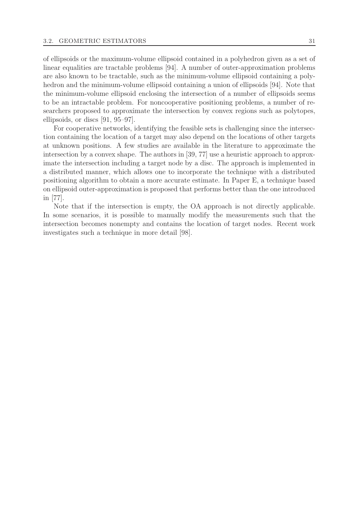of ellipsoids or the maximum-volume ellipsoid contained in a polyhedron given as a set of linear equalities are tractable problems [94]. A number of outer-approximation problems are also known to be tractable, such as the minimum-volume ellipsoid containing a polyhedron and the minimum-volume ellipsoid containing a union of ellipsoids [94]. Note that the minimum-volume ellipsoid enclosing the intersection of a number of ellipsoids seems to be an intractable problem. For noncooperative positioning problems, a number of researchers proposed to approximate the intersection by convex regions such as polytopes, ellipsoids, or discs [91, 95–97].

For cooperative networks, identifying the feasible sets is challenging since the intersection containing the location of a target may also depend on the locations of other targets at unknown positions. A few studies are available in the literature to approximate the intersection by a convex shape. The authors in [39, 77] use a heuristic approach to approximate the intersection including a target node by a disc. The approach is implemented in a distributed manner, which allows one to incorporate the technique with a distributed positioning algorithm to obtain a more accurate estimate. In Paper E, a technique based on ellipsoid outer-approximation is proposed that performs better than the one introduced in [77].

Note that if the intersection is empty, the OA approach is not directly applicable. In some scenarios, it is possible to manually modify the measurements such that the intersection becomes nonempty and contains the location of target nodes. Recent work investigates such a technique in more detail [98].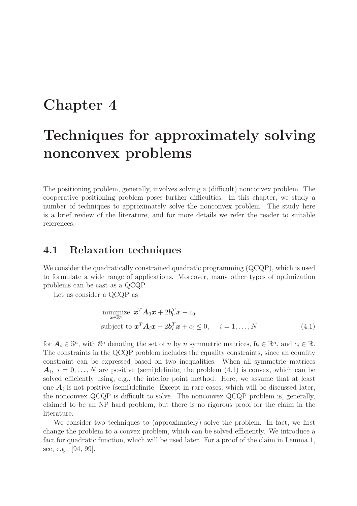# Chapter 4

# Techniques for approximately solving nonconvex problems

The positioning problem, generally, involves solving a (difficult) nonconvex problem. The cooperative positioning problem poses further difficulties. In this chapter, we study a number of techniques to approximately solve the nonconvex problem. The study here is a brief review of the literature, and for more details we refer the reader to suitable references.

# 4.1 Relaxation techniques

We consider the quadratically constrained quadratic programming (QCQP), which is used to formulate a wide range of applications. Moreover, many other types of optimization problems can be cast as a QCQP.

Let us consider a QCQP as

$$
\begin{array}{ll}\n\text{minimize} & \mathbf{x}^T \mathbf{A}_0 \mathbf{x} + 2\mathbf{b}_0^T \mathbf{x} + c_0 \\
\text{subject to} & \mathbf{x}^T \mathbf{A}_i \mathbf{x} + 2\mathbf{b}_i^T \mathbf{x} + c_i \le 0, \quad i = 1, \dots, N\n\end{array} \tag{4.1}
$$

for  $A_i \in \mathbb{S}^n$ , with  $\mathbb{S}^n$  denoting the set of n by n symmetric matrices,  $b_i \in \mathbb{R}^n$ , and  $c_i \in \mathbb{R}$ . The constraints in the QCQP problem includes the equality constraints, since an equality constraint can be expressed based on two inequalities. When all symmetric matrices  $A_i, i = 0, \ldots, N$  are positive (semi)definite, the problem (4.1) is convex, which can be solved efficiently using, e.g., the interior point method. Here, we assume that at least one  $A_i$  is not positive (semi)definite. Except in rare cases, which will be discussed later, the nonconvex QCQP is difficult to solve. The nonconvex QCQP problem is, generally, claimed to be an NP hard problem, but there is no rigorous proof for the claim in the literature.

We consider two techniques to (approximately) solve the problem. In fact, we first change the problem to a convex problem, which can be solved efficiently. We introduce a fact for quadratic function, which will be used later. For a proof of the claim in Lemma 1, see, e.g., [94, 99].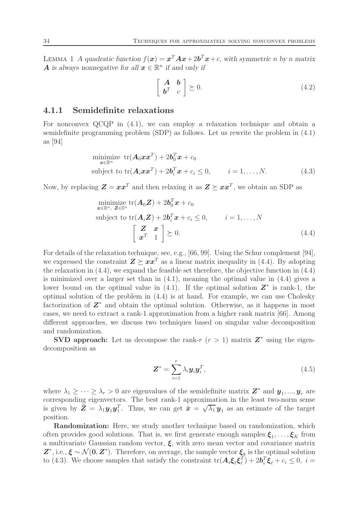LEMMA 1 A quadratic function  $f(x) = x^T A x + 2b^T x + c$ , with symmetric n by n matrix **A** is always nonnegative for all  $\mathbf{x} \in \mathbb{R}^n$  if and only if

$$
\left[\begin{array}{cc} \mathbf{A} & \mathbf{b} \\ \mathbf{b}^T & c \end{array}\right] \succeq 0. \tag{4.2}
$$

#### 4.1.1 Semidefinite relaxations

For nonconvex QCQP in (4.1), we can employ a relaxation technique and obtain a semidefinite programming problem (SDP) as follows. Let us rewrite the problem in (4.1) as [94]

$$
\begin{array}{ll}\n\text{minimize} & \text{tr}(\mathbf{A}_0 \mathbf{x} \mathbf{x}^T) + 2\mathbf{b}_0^T \mathbf{x} + c_0 \\
\text{subject to} & \text{tr}(\mathbf{A}_i \mathbf{x} \mathbf{x}^T) + 2\mathbf{b}_i^T \mathbf{x} + c_i \le 0, \qquad i = 1, \dots, N.\n\end{array} \tag{4.3}
$$

Now, by replacing  $\mathbf{Z} = \boldsymbol{x} \boldsymbol{x}^T$  and then relaxing it as  $\mathbf{Z} \succeq \boldsymbol{x} \boldsymbol{x}^T$ , we obtain an SDP as

$$
\begin{aligned}\n\min_{\mathbf{x} \in \mathbb{R}^n, \ \mathbf{Z} \in \mathbb{S}^n} & \text{tr}(\mathbf{A}_0 \mathbf{Z}) + 2\mathbf{b}_0^T \mathbf{x} + c_0 \\
\text{subject to } & \text{tr}(\mathbf{A}_i \mathbf{Z}) + 2\mathbf{b}_i^T \mathbf{x} + c_i \le 0, \qquad i = 1, \dots, N \\
& \begin{bmatrix} \mathbf{Z} & \mathbf{x} \\ \mathbf{x}^T & 1 \end{bmatrix} \succeq 0.\n\end{aligned}\n\tag{4.4}
$$

For details of the relaxation technique, see, e.g., [66, 99]. Using the Schur complement [94], we expressed the constraint  $\mathbf{Z} \succ \mathbf{x} \mathbf{x}^T$  as a linear matrix inequality in (4.4). By adopting the relaxation in (4.4), we expand the feasible set therefore, the objective function in (4.4) is minimized over a larger set than in (4.1), meaning the optimal value in (4.4) gives a lower bound on the optimal value in  $(4.1)$ . If the optimal solution  $\mathbb{Z}^*$  is rank-1, the optimal solution of the problem in (4.4) is at hand. For example, we can use Cholesky factorization of  $Z^*$  and obtain the optimal solution. Otherwise, as it happens in most cases, we need to extract a rank-1 approximation from a higher rank matrix [66]. Among different approaches, we discuss two techniques based on singular value decomposition and randomization.

**SVD approach:** Let us decompose the rank-r  $(r > 1)$  matrix  $\mathbf{Z}^*$  using the eigendecomposition as

$$
\mathbf{Z}^* = \sum_{i=1}^r \lambda_i \mathbf{y}_i \mathbf{y}_i^T, \tag{4.5}
$$

where  $\lambda_1 \geq \cdots \geq \lambda_r > 0$  are eigenvalues of the semidefinite matrix  $\mathbf{Z}^*$  and  $\mathbf{y}_1, ..., \mathbf{y}_r$  are corresponding eigenvectors. The best rank-1 approximation in the least two-norm sense is given by  $\mathbf{Z} = \lambda_1 \mathbf{y}_1 \mathbf{y}_1^T$ . Thus, we can get  $\hat{\mathbf{x}} = \sqrt{\lambda_1} \mathbf{y}_1$  as an estimate of the target position.

Randomization: Here, we study another technique based on randomization, which often provides good solutions. That is, we first generate enough samples  $\xi_1, \ldots, \xi_K$  from a multivariate Gaussian random vector,  $\xi$ , with zero mean vector and covariance matrix  $\mathbf{Z}^*,$  i.e.,  $\xi \sim \mathcal{N}(\mathbf{0}, \mathbf{Z}^*)$ . Therefore, on average, the sample vector  $\xi_k$  is the optimal solution to (4.3). We choose samples that satisfy the constraint  $\text{tr}(\mathbf{A}_i \boldsymbol{\xi}_\ell \boldsymbol{\xi}_\ell^T)$  $(\frac{T}{\ell}) + 2\mathbf{b}_i^T \boldsymbol{\xi}_{\ell} + c_i \leq 0, \ i =$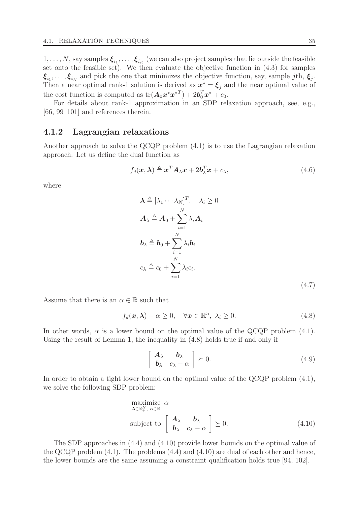$1,\ldots,N,$  say samples  $\boldsymbol{\xi}_{i_1},\ldots,\boldsymbol{\xi}_{i_K}$  (we can also project samples that lie outside the feasible set onto the feasible set). We then evaluate the objective function in (4.3) for samples  $\xi_{i_1}, \ldots, \xi_{i_K}$  and pick the one that minimizes the objective function, say, sample jth,  $\xi_j$ . Then a near optimal rank-1 solution is derived as  $x^* = \xi_j$  and the near optimal value of the cost function is computed as  $\text{tr}(\boldsymbol{A}_0 \boldsymbol{x}^* \boldsymbol{x}^{*T}) + 2 \boldsymbol{b}_0^T \boldsymbol{x}^* + c_0$ .

For details about rank-1 approximation in an SDP relaxation approach, see, e.g., [66, 99–101] and references therein.

#### 4.1.2 Lagrangian relaxations

Another approach to solve the QCQP problem (4.1) is to use the Lagrangian relaxation approach. Let us define the dual function as

$$
f_d(\boldsymbol{x}, \boldsymbol{\lambda}) \triangleq \boldsymbol{x}^T \boldsymbol{A}_{\lambda} \boldsymbol{x} + 2 \boldsymbol{b}_{\lambda}^T \boldsymbol{x} + c_{\lambda},
$$
\n(4.6)

where

$$
\lambda \triangleq [\lambda_1 \cdots \lambda_N]^T, \quad \lambda_i \geq 0
$$
  
\n
$$
A_{\lambda} \triangleq A_0 + \sum_{i=1}^N \lambda_i A_i
$$
  
\n
$$
b_{\lambda} \triangleq b_0 + \sum_{i=1}^N \lambda_i b_i
$$
  
\n
$$
c_{\lambda} \triangleq c_0 + \sum_{i=1}^N \lambda_i c_i.
$$
  
\n(4.7)

Assume that there is an  $\alpha \in \mathbb{R}$  such that

$$
f_d(\boldsymbol{x}, \boldsymbol{\lambda}) - \alpha \ge 0, \quad \forall \boldsymbol{x} \in \mathbb{R}^n, \ \lambda_i \ge 0. \tag{4.8}
$$

In other words,  $\alpha$  is a lower bound on the optimal value of the QCQP problem (4.1). Using the result of Lemma 1, the inequality in (4.8) holds true if and only if

$$
\left[\begin{array}{cc}\n\mathbf{A}_{\lambda} & \mathbf{b}_{\lambda} \\
\mathbf{b}_{\lambda} & c_{\lambda} - \alpha\n\end{array}\right] \succeq 0.
$$
\n(4.9)

In order to obtain a tight lower bound on the optimal value of the QCQP problem (4.1), we solve the following SDP problem:

maximize 
$$
\alpha
$$
  
\n $\lambda \in \mathbb{R}^N_+$ ,  $\alpha \in \mathbb{R}$   
\nsubject to  $\begin{bmatrix} A_{\lambda} & b_{\lambda} \\ b_{\lambda} & c_{\lambda} - \alpha \end{bmatrix} \succeq 0.$  (4.10)

The SDP approaches in (4.4) and (4.10) provide lower bounds on the optimal value of the QCQP problem  $(4.1)$ . The problems  $(4.4)$  and  $(4.10)$  are dual of each other and hence, the lower bounds are the same assuming a constraint qualification holds true [94, 102].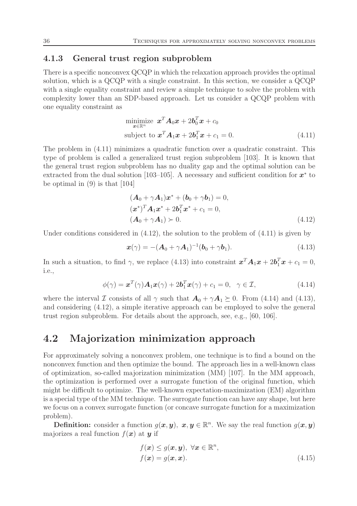#### 4.1.3 General trust region subproblem

There is a specific nonconvex QCQP in which the relaxation approach provides the optimal solution, which is a QCQP with a single constraint. In this section, we consider a QCQP with a single equality constraint and review a simple technique to solve the problem with complexity lower than an SDP-based approach. Let us consider a QCQP problem with one equality constraint as

$$
\begin{aligned}\n\text{minimize } \mathbf{x}^T \mathbf{A}_0 \mathbf{x} + 2\mathbf{b}_0^T \mathbf{x} + c_0\\ \n\text{subject to } \mathbf{x}^T \mathbf{A}_1 \mathbf{x} + 2\mathbf{b}_1^T \mathbf{x} + c_1 = 0. \n\end{aligned} \tag{4.11}
$$

The problem in (4.11) minimizes a quadratic function over a quadratic constraint. This type of problem is called a generalized trust region subproblem [103]. It is known that the general trust region subproblem has no duality gap and the optimal solution can be extracted from the dual solution [103–105]. A necessary and sufficient condition for  $x^*$  to be optimal in  $(9)$  is that [104]

$$
(\mathbf{A}_0 + \gamma \mathbf{A}_1)\mathbf{x}^* + (\mathbf{b}_0 + \gamma \mathbf{b}_1) = 0,\n(\mathbf{x}^*)^T \mathbf{A}_1 \mathbf{x}^* + 2\mathbf{b}_1^T \mathbf{x}^* + c_1 = 0,\n(\mathbf{A}_0 + \gamma \mathbf{A}_1) \succ 0.
$$
\n(4.12)

Under conditions considered in  $(4.12)$ , the solution to the problem of  $(4.11)$  is given by

$$
x(\gamma) = -(A_0 + \gamma A_1)^{-1} (b_0 + \gamma b_1).
$$
 (4.13)

In such a situation, to find  $\gamma$ , we replace (4.13) into constraint  $\mathbf{x}^T \mathbf{A}_1 \mathbf{x} + 2 \mathbf{b}_1^T \mathbf{x} + c_1 = 0$ , i.e.,

$$
\phi(\gamma) = \boldsymbol{x}^T(\gamma)\boldsymbol{A}_1\boldsymbol{x}(\gamma) + 2\boldsymbol{b}_1^T\boldsymbol{x}(\gamma) + c_1 = 0, \ \ \gamma \in \mathcal{I}, \tag{4.14}
$$

where the interval I consists of all  $\gamma$  such that  $A_0 + \gamma A_1 \succeq 0$ . From (4.14) and (4.13), and considering (4.12), a simple iterative approach can be employed to solve the general trust region subproblem. For details about the approach, see, e.g., [60, 106].

## 4.2 Majorization minimization approach

For approximately solving a nonconvex problem, one technique is to find a bound on the nonconvex function and then optimize the bound. The approach lies in a well-known class of optimization, so-called majorization minimization (MM) [107]. In the MM approach, the optimization is performed over a surrogate function of the original function, which might be difficult to optimize. The well-known expectation-maximization (EM) algorithm is a special type of the MM technique. The surrogate function can have any shape, but here we focus on a convex surrogate function (or concave surrogate function for a maximization problem).

**Definition:** consider a function  $g(x, y)$ ,  $x, y \in \mathbb{R}^n$ . We say the real function  $g(x, y)$ majorizes a real function  $f(x)$  at y if

$$
f(\boldsymbol{x}) \le g(\boldsymbol{x}, \boldsymbol{y}), \ \forall \boldsymbol{x} \in \mathbb{R}^n, f(\boldsymbol{x}) = g(\boldsymbol{x}, \boldsymbol{x}).
$$
 (4.15)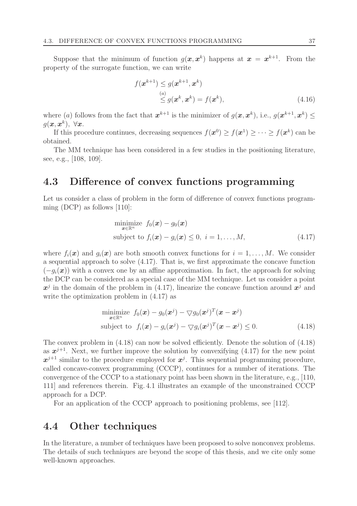Suppose that the minimum of function  $g(x, x^k)$  happens at  $x = x^{k+1}$ . From the property of the surrogate function, we can write

$$
f(\boldsymbol{x}^{k+1}) \le g(\boldsymbol{x}^{k+1}, \boldsymbol{x}^k)
$$
  

$$
\stackrel{(a)}{\le} g(\boldsymbol{x}^k, \boldsymbol{x}^k) = f(\boldsymbol{x}^k),
$$
 (4.16)

where (a) follows from the fact that  $x^{k+1}$  is the minimizer of  $g(x, x^k)$ , i.e.,  $g(x^{k+1}, x^k) \leq$  $g(\bm{x}, \bm{x}^k), \ \forall \bm{x}.$ 

If this procedure continues, decreasing sequences  $f(\mathbf{x}^0) \ge f(\mathbf{x}^1) \ge \cdots \ge f(\mathbf{x}^k)$  can be obtained.

The MM technique has been considered in a few studies in the positioning literature, see, e.g., [108, 109].

# 4.3 Difference of convex functions programming

Let us consider a class of problem in the form of difference of convex functions programming (DCP) as follows [110]:

$$
\begin{array}{ll}\n\text{minimize} & f_0(\boldsymbol{x}) - g_0(\boldsymbol{x}) \\
\text{subject to} & f_i(\boldsymbol{x}) - g_i(\boldsymbol{x}) \le 0, \ i = 1, \dots, M,\n\end{array} \tag{4.17}
$$

where  $f_i(\bm{x})$  and  $q_i(\bm{x})$  are both smooth convex functions for  $i = 1, \ldots, M$ . We consider a sequential approach to solve (4.17). That is, we first approximate the concave function  $(-g_i(\boldsymbol{x}))$  with a convex one by an affine approximation. In fact, the approach for solving the DCP can be considered as a special case of the MM technique. Let us consider a point  $x^j$  in the domain of the problem in (4.17), linearize the concave function around  $x^j$  and write the optimization problem in (4.17) as

$$
\begin{aligned}\n\text{minimize} \quad & f_0(\boldsymbol{x}) - g_0(\boldsymbol{x}^j) - \nabla g_0(\boldsymbol{x}^j)^T(\boldsymbol{x} - \boldsymbol{x}^j) \\
\text{subject to} \quad & f_i(\boldsymbol{x}) - g_i(\boldsymbol{x}^j) - \nabla g_i(\boldsymbol{x}^j)^T(\boldsymbol{x} - \boldsymbol{x}^j) \leq 0.\n\end{aligned} \tag{4.18}
$$

The convex problem in (4.18) can now be solved efficiently. Denote the solution of (4.18) as  $x^{j+1}$ . Next, we further improve the solution by convexifying (4.17) for the new point  $x^{j+1}$  similar to the procedure employed for  $x^j$ . This sequential programming procedure, called concave-convex programming (CCCP), continues for a number of iterations. The convergence of the CCCP to a stationary point has been shown in the literature, e.g., [110, 111] and references therein. Fig. 4.1 illustrates an example of the unconstrained CCCP approach for a DCP.

For an application of the CCCP approach to positioning problems, see [112].

## 4.4 Other techniques

In the literature, a number of techniques have been proposed to solve nonconvex problems. The details of such techniques are beyond the scope of this thesis, and we cite only some well-known approaches.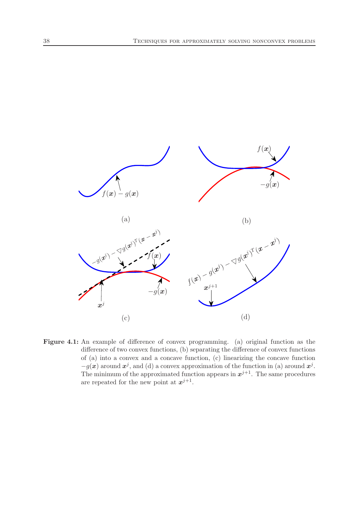

Figure 4.1: An example of difference of convex programming. (a) original function as the difference of two convex functions, (b) separating the difference of convex functions of (a) into a convex and a concave function, (c) linearizing the concave function  $-g(x)$  around  $x^j$ , and (d) a convex approximation of the function in (a) around  $x^j$ . The minimum of the approximated function appears in  $x^{j+1}$ . The same procedures are repeated for the new point at  $x^{j+1}$ .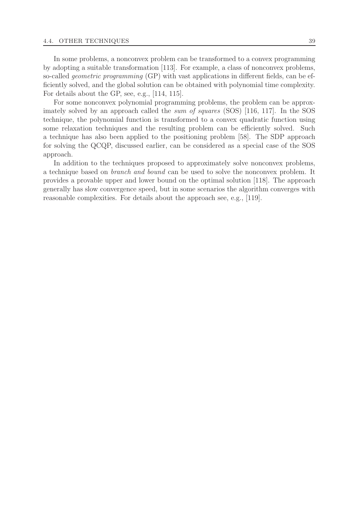In some problems, a nonconvex problem can be transformed to a convex programming by adopting a suitable transformation [113]. For example, a class of nonconvex problems, so-called geometric programming (GP) with vast applications in different fields, can be efficiently solved, and the global solution can be obtained with polynomial time complexity. For details about the GP, see, e.g., [114, 115].

For some nonconvex polynomial programming problems, the problem can be approximately solved by an approach called the sum of squares (SOS) [116, 117]. In the SOS technique, the polynomial function is transformed to a convex quadratic function using some relaxation techniques and the resulting problem can be efficiently solved. Such a technique has also been applied to the positioning problem [58]. The SDP approach for solving the QCQP, discussed earlier, can be considered as a special case of the SOS approach.

In addition to the techniques proposed to approximately solve nonconvex problems, a technique based on branch and bound can be used to solve the nonconvex problem. It provides a provable upper and lower bound on the optimal solution [118]. The approach generally has slow convergence speed, but in some scenarios the algorithm converges with reasonable complexities. For details about the approach see, e.g., [119].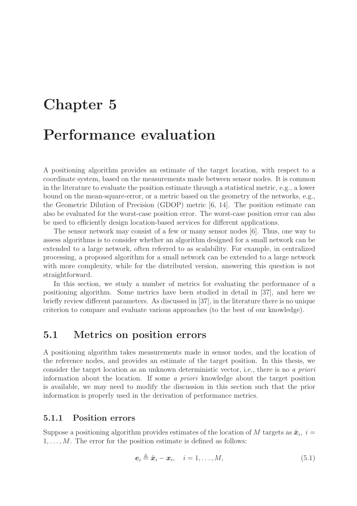# Chapter 5

# Performance evaluation

A positioning algorithm provides an estimate of the target location, with respect to a coordinate system, based on the measurements made between sensor nodes. It is common in the literature to evaluate the position estimate through a statistical metric, e.g., a lower bound on the mean-square-error, or a metric based on the geometry of the networks, e.g., the Geometric Dilution of Precision (GDOP) metric [6, 14]. The position estimate can also be evaluated for the worst-case position error. The worst-case position error can also be used to efficiently design location-based services for different applications.

The sensor network may consist of a few or many sensor nodes [6]. Thus, one way to assess algorithms is to consider whether an algorithm designed for a small network can be extended to a large network, often referred to as scalability. For example, in centralized processing, a proposed algorithm for a small network can be extended to a large network with more complexity, while for the distributed version, answering this question is not straightforward.

In this section, we study a number of metrics for evaluating the performance of a positioning algorithm. Some metrics have been studied in detail in [37], and here we briefly review different parameters. As discussed in [37], in the literature there is no unique criterion to compare and evaluate various approaches (to the best of our knowledge).

# 5.1 Metrics on position errors

A positioning algorithm takes measurements made in sensor nodes, and the location of the reference nodes, and provides an estimate of the target position. In this thesis, we consider the target location as an unknown deterministic vector, i.e., there is no a priori information about the location. If some a priori knowledge about the target position is available, we may need to modify the discussion in this section such that the prior information is properly used in the derivation of performance metrics.

#### 5.1.1 Position errors

Suppose a positioning algorithm provides estimates of the location of M targets as  $\hat{x}_i$ ,  $i =$  $1, \ldots, M$ . The error for the position estimate is defined as follows:

$$
\boldsymbol{e}_i \triangleq \hat{\boldsymbol{x}}_i - \boldsymbol{x}_i, \quad i = 1, \dots, M,
$$
\n(5.1)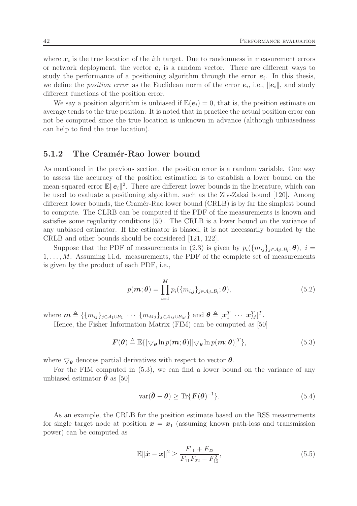where  $x_i$  is the true location of the *i*<sup>th</sup> target. Due to randomness in measurement errors or network deployment, the vector  $e_i$  is a random vector. There are different ways to study the performance of a positioning algorithm through the error  $e_i$ . In this thesis, we define the *position error* as the Euclidean norm of the error  $e_i$ , i.e.,  $||e_i||$ , and study different functions of the position error.

We say a position algorithm is unbiased if  $\mathbb{E}(\mathbf{e}_i) = 0$ , that is, the position estimate on average tends to the true position. It is noted that in practice the actual position error can not be computed since the true location is unknown in advance (although unbiasedness can help to find the true location).

#### 5.1.2 The Cramér-Rao lower bound

As mentioned in the previous section, the position error is a random variable. One way to assess the accuracy of the position estimation is to establish a lower bound on the mean-squared error  $\mathbb{E}||e_i||^2$ . There are different lower bounds in the literature, which can be used to evaluate a positioning algorithm, such as the Ziv-Zakai bound [120]. Among different lower bounds, the Cramér-Rao lower bound (CRLB) is by far the simplest bound to compute. The CLRB can be computed if the PDF of the measurements is known and satisfies some regularity conditions [50]. The CRLB is a lower bound on the variance of any unbiased estimator. If the estimator is biased, it is not necessarily bounded by the CRLB and other bounds should be considered [121, 122].

Suppose that the PDF of measurements in (2.3) is given by  $p_i({m_{ij}}_{j\in A_i\cup B_i};\theta)$ ,  $i=$  $1, \ldots, M$ . Assuming i.i.d. measurements, the PDF of the complete set of measurements is given by the product of each PDF, i.e.,

$$
p(\boldsymbol{m};\boldsymbol{\theta}) = \prod_{i=1}^{M} p_i(\{m_{i,j}\}_{j \in \mathcal{A}_i \cup \mathcal{B}_i};\boldsymbol{\theta}),
$$
\n(5.2)

where  $\boldsymbol{m} \triangleq \{ \{m_{ij}\}_{j\in\mathcal{A}_1\cup\mathcal{B}_1} \cdots \{m_{Mj}\}_{j\in\mathcal{A}_M\cup\mathcal{B}_M} \}$  and  $\boldsymbol{\theta} \triangleq [\boldsymbol{x}_1^T \cdots \boldsymbol{x}_M^T]^T$ .

Hence, the Fisher Information Matrix (FIM) can be computed as [50]

$$
\boldsymbol{F}(\boldsymbol{\theta}) \triangleq \mathbb{E}\{[\nabla_{\boldsymbol{\theta}} \ln p(\boldsymbol{m}; \boldsymbol{\theta})] [\nabla_{\boldsymbol{\theta}} \ln p(\boldsymbol{m}; \boldsymbol{\theta})]^T\},\tag{5.3}
$$

where  $\bigtriangledown_{\theta}$  denotes partial derivatives with respect to vector  $\theta$ .

For the FIM computed in (5.3), we can find a lower bound on the variance of any unbiased estimator  $\boldsymbol{\theta}$  as [50]

$$
\text{var}(\hat{\boldsymbol{\theta}} - \boldsymbol{\theta}) \ge \text{Tr}\{\boldsymbol{F}(\boldsymbol{\theta})^{-1}\}.
$$
\n(5.4)

As an example, the CRLB for the position estimate based on the RSS measurements for single target node at position  $x = x_1$  (assuming known path-loss and transmission power) can be computed as

$$
\mathbb{E} \|\hat{\mathbf{x}} - \mathbf{x}\|^2 \ge \frac{F_{11} + F_{22}}{F_{11} F_{22} - F_{12}^2},\tag{5.5}
$$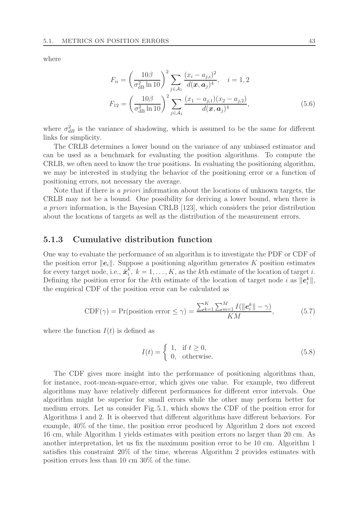where

$$
F_{ii} = \left(\frac{10\beta}{\sigma_{\text{dB}}^2 \ln 10}\right)^2 \sum_{j \in \mathcal{A}_1} \frac{(x_i - a_{j,i})^2}{d(\boldsymbol{x}, \boldsymbol{a}_j)^4}, \quad i = 1, 2
$$

$$
F_{12} = \left(\frac{10\beta}{\sigma_{\text{dB}}^2 \ln 10}\right)^2 \sum_{j \in \mathcal{A}_1} \frac{(x_1 - a_{j,1})(x_2 - a_{j,2})}{d(\boldsymbol{x}, \boldsymbol{a}_j)^4},\tag{5.6}
$$

where  $\sigma_{dB}^2$  is the variance of shadowing, which is assumed to be the same for different links for simplicity.

The CRLB determines a lower bound on the variance of any unbiased estimator and can be used as a benchmark for evaluating the position algorithms. To compute the CRLB, we often need to know the true positions. In evaluating the positioning algorithm, we may be interested in studying the behavior of the positioning error or a function of positioning errors, not necessary the average.

Note that if there is a priori information about the locations of unknown targets, the CRLB may not be a bound. One possibility for deriving a lower bound, when there is a priori information, is the Bayesian CRLB [123], which considers the prior distribution about the locations of targets as well as the distribution of the measurement errors.

#### 5.1.3 Cumulative distribution function

One way to evaluate the performance of an algorithm is to investigate the PDF or CDF of the position error  $||e_i||$ . Suppose a positioning algorithm generates K position estimates for every target node, i.e.,  $\hat{\boldsymbol{x}}_i^k$  $i, k = 1, \ldots, K$ , as the k<sup>th</sup> estimate of the location of target *i*. Defining the position error for the k<sup>th</sup> estimate of the location of target node i as  $||e_i^k||$ , the empirical CDF of the position error can be calculated as

$$
\text{CDF}(\gamma) = \Pr(\text{position error} \le \gamma) = \frac{\sum_{k=1}^{K} \sum_{m=1}^{M} I(\|e_i^k\| - \gamma)}{KM},\tag{5.7}
$$

where the function  $I(t)$  is defined as

$$
I(t) = \begin{cases} 1, & \text{if } t \ge 0, \\ 0, & \text{otherwise.} \end{cases}
$$
 (5.8)

The CDF gives more insight into the performance of positioning algorithms than, for instance, root-mean-square-error, which gives one value. For example, two different algorithms may have relatively different performances for different error intervals. One algorithm might be superior for small errors while the other may perform better for medium errors. Let us consider Fig. 5.1, which shows the CDF of the position error for Algorithms 1 and 2. It is observed that different algorithms have different behaviors. For example, 40% of the time, the position error produced by Algorithm 2 does not exceed 16 cm, while Algorithm 1 yields estimates with position errors no larger than 20 cm. As another interpretation, let us fix the maximum position error to be 10 cm. Algorithm 1 satisfies this constraint 20% of the time, whereas Algorithm 2 provides estimates with position errors less than 10 cm 30% of the time.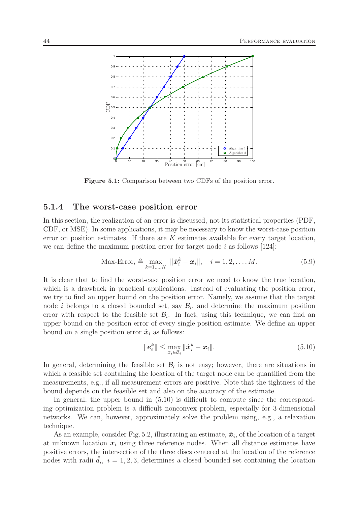

Figure 5.1: Comparison between two CDFs of the position error.

#### 5.1.4 The worst-case position error

In this section, the realization of an error is discussed, not its statistical properties (PDF, CDF, or MSE). In some applications, it may be necessary to know the worst-case position error on position estimates. If there are  $K$  estimates available for every target location, we can define the maximum position error for target node i as follows  $[124]$ :

$$
\text{Max-Error}_{i} \triangleq \max_{k=1,\dots,K} \|\hat{\boldsymbol{x}}_i^k - \boldsymbol{x}_i\|, \quad i = 1,2,\dots,M. \tag{5.9}
$$

It is clear that to find the worst-case position error we need to know the true location, which is a drawback in practical applications. Instead of evaluating the position error, we try to find an upper bound on the position error. Namely, we assume that the target node *i* belongs to a closed bounded set, say  $\mathcal{B}_i$ , and determine the maximum position error with respect to the feasible set  $\mathcal{B}_i$ . In fact, using this technique, we can find an upper bound on the position error of every single position estimate. We define an upper bound on a single position error  $\hat{x}_i$  as follows:

$$
\|\boldsymbol{e}_i^k\| \le \max_{\boldsymbol{x}_i \in \mathcal{B}_i} \|\hat{\boldsymbol{x}}_i^k - \boldsymbol{x}_i\|.
$$
\n(5.10)

In general, determining the feasible set  $\mathcal{B}_i$  is not easy; however, there are situations in which a feasible set containing the location of the target node can be quantified from the measurements, e.g., if all measurement errors are positive. Note that the tightness of the bound depends on the feasible set and also on the accuracy of the estimate.

In general, the upper bound in (5.10) is difficult to compute since the corresponding optimization problem is a difficult nonconvex problem, especially for 3-dimensional networks. We can, however, approximately solve the problem using, e.g., a relaxation technique.

As an example, consider Fig. 5.2, illustrating an estimate,  $\hat{x}_i$ , of the location of a target at unknown location  $x_i$  using three reference nodes. When all distance estimates have positive errors, the intersection of the three discs centered at the location of the reference nodes with radii  $\hat{d}_i$ ,  $i = 1, 2, 3$ , determines a closed bounded set containing the location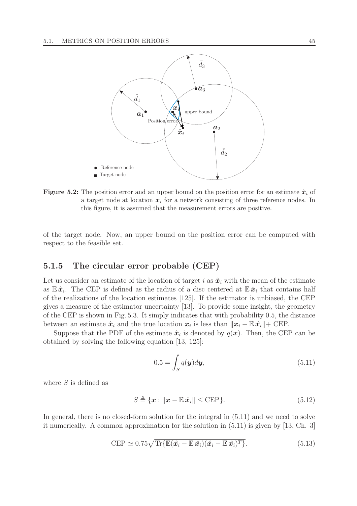

**Figure 5.2:** The position error and an upper bound on the position error for an estimate  $\hat{x}_i$  of a target node at location  $x_i$  for a network consisting of three reference nodes. In this figure, it is assumed that the measurement errors are positive.

of the target node. Now, an upper bound on the position error can be computed with respect to the feasible set.

#### 5.1.5 The circular error probable (CEP)

Let us consider an estimate of the location of target i as  $\hat{x}_i$  with the mean of the estimate as  $\mathbb{E} \hat{x}_i$ . The CEP is defined as the radius of a disc centered at  $\mathbb{E} \hat{x}_i$  that contains half of the realizations of the location estimates [125]. If the estimator is unbiased, the CEP gives a measure of the estimator uncertainty [13]. To provide some insight, the geometry of the CEP is shown in Fig. 5.3. It simply indicates that with probability 0.5, the distance between an estimate  $\hat{x}_i$  and the true location  $x_i$  is less than  $\|\hat{x}_i - \mathbb{E} \hat{x}_i\|$ + CEP.

Suppose that the PDF of the estimate  $\hat{x}_i$  is denoted by  $q(x)$ . Then, the CEP can be obtained by solving the following equation [13, 125]:

$$
0.5 = \int_{S} q(\mathbf{y}) d\mathbf{y},\tag{5.11}
$$

where  $S$  is defined as

$$
S \triangleq \{ \boldsymbol{x} : ||\boldsymbol{x} - \mathbb{E} \,\hat{\boldsymbol{x}}_i|| \leq \text{CEP} \}. \tag{5.12}
$$

In general, there is no closed-form solution for the integral in  $(5.11)$  and we need to solve it numerically. A common approximation for the solution in (5.11) is given by [13, Ch. 3]

$$
CEP \simeq 0.75\sqrt{\text{Tr}\{\mathbb{E}(\hat{\mathbf{x}}_i - \mathbb{E}\,\hat{\mathbf{x}}_i)(\hat{\mathbf{x}}_i - \mathbb{E}\,\hat{\mathbf{x}}_i)^T\}}.
$$
\n(5.13)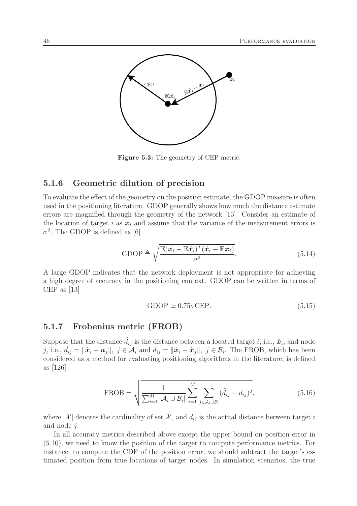

Figure 5.3: The geometry of CEP metric.

#### 5.1.6 Geometric dilution of precision

To evaluate the effect of the geometry on the position estimate, the GDOP measure is often used in the positioning literature. GDOP generally shows how much the distance estimate errors are magnified through the geometry of the network [13]. Consider an estimate of the location of target i as  $\hat{x}_i$  and assume that the variance of the measurement errors is  $\sigma^2$ . The GDOP is defined as [6]

GDOP 
$$
\triangleq \sqrt{\frac{\mathbb{E}(\hat{x}_i - \mathbb{E}\hat{x}_i)^T(\hat{x}_i - \mathbb{E}\hat{x}_i)}{\sigma^2}}
$$
. (5.14)

A large GDOP indicates that the network deployment is not appropriate for achieving a high degree of accuracy in the positioning context. GDOP can be written in terms of CEP as [13]

GDOP 
$$
\simeq 0.75\sigma
$$
CEP. (5.15)

#### 5.1.7 Frobenius metric (FROB)

Suppose that the distance  $\tilde{d}_{ij}$  is the distance between a located target *i*, i.e.,  $\hat{x}_i$ , and node j, i.e.,  $\tilde{d}_{ij} = \|\hat{x}_i - \hat{a}_j\|$ ,  $j \in \mathcal{A}_i$  and  $\tilde{d}_{ij} = \|\hat{x}_i - \hat{x}_j\|$ ,  $j \in \mathcal{B}_i$ . The FROB, which has been considered as a method for evaluating positioning algorithms in the literature, is defined as [126]

$$
\text{FROB} = \sqrt{\frac{1}{\sum_{i=1}^{M} |\mathcal{A}_i \cup \mathcal{B}_i|} \sum_{i=1}^{M} \sum_{j \in \mathcal{A}_i \cup \mathcal{B}_i} (\tilde{d}_{ij} - d_{ij})^2},
$$
(5.16)

where  $|\mathcal{X}|$  denotes the cardinality of set X, and  $d_{ij}$  is the actual distance between target i and node j.

In all accuracy metrics described above except the upper bound on position error in (5.10), we need to know the position of the target to compute performance metrics. For instance, to compute the CDF of the position error, we should subtract the target's estimated position from true locations of target nodes. In simulation scenarios, the true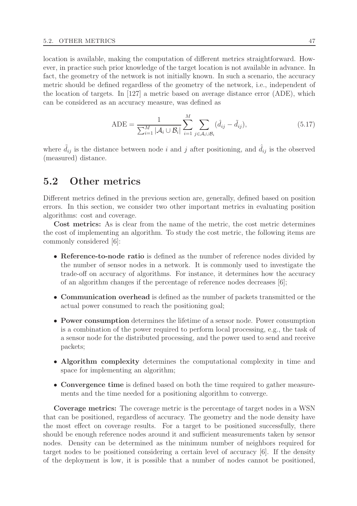location is available, making the computation of different metrics straightforward. However, in practice such prior knowledge of the target location is not available in advance. In fact, the geometry of the network is not initially known. In such a scenario, the accuracy metric should be defined regardless of the geometry of the network, i.e., independent of the location of targets. In [127] a metric based on average distance error (ADE), which can be considered as an accuracy measure, was defined as

$$
ADE = \frac{1}{\sum_{i=1}^{M} |\mathcal{A}_i \cup \mathcal{B}_i|} \sum_{i=1}^{M} \sum_{j \in \mathcal{A}_i \cup \mathcal{B}_i} (\hat{d}_{ij} - \tilde{d}_{ij}),
$$
(5.17)

where  $\tilde{d}_{ij}$  is the distance between node i and j after positioning, and  $\hat{d}_{ij}$  is the observed (measured) distance.

## 5.2 Other metrics

Different metrics defined in the previous section are, generally, defined based on position errors. In this section, we consider two other important metrics in evaluating position algorithms: cost and coverage.

Cost metrics: As is clear from the name of the metric, the cost metric determines the cost of implementing an algorithm. To study the cost metric, the following items are commonly considered [6]:

- Reference-to-node ratio is defined as the number of reference nodes divided by the number of sensor nodes in a network. It is commonly used to investigate the trade-off on accuracy of algorithms. For instance, it determines how the accuracy of an algorithm changes if the percentage of reference nodes decreases [6];
- Communication overhead is defined as the number of packets transmitted or the actual power consumed to reach the positioning goal;
- Power consumption determines the lifetime of a sensor node. Power consumption is a combination of the power required to perform local processing, e.g., the task of a sensor node for the distributed processing, and the power used to send and receive packets;
- Algorithm complexity determines the computational complexity in time and space for implementing an algorithm;
- Convergence time is defined based on both the time required to gather measurements and the time needed for a positioning algorithm to converge.

Coverage metrics: The coverage metric is the percentage of target nodes in a WSN that can be positioned, regardless of accuracy. The geometry and the node density have the most effect on coverage results. For a target to be positioned successfully, there should be enough reference nodes around it and sufficient measurements taken by sensor nodes. Density can be determined as the minimum number of neighbors required for target nodes to be positioned considering a certain level of accuracy [6]. If the density of the deployment is low, it is possible that a number of nodes cannot be positioned,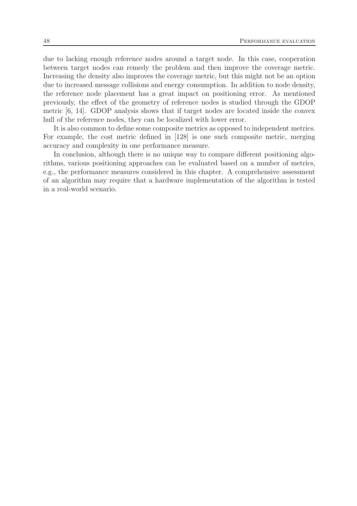due to lacking enough reference nodes around a target node. In this case, cooperation between target nodes can remedy the problem and then improve the coverage metric. Increasing the density also improves the coverage metric, but this might not be an option due to increased message collisions and energy consumption. In addition to node density, the reference node placement has a great impact on positioning error. As mentioned previously, the effect of the geometry of reference nodes is studied through the GDOP metric [6, 14]. GDOP analysis shows that if target nodes are located inside the convex hull of the reference nodes, they can be localized with lower error.

It is also common to define some composite metrics as opposed to independent metrics. For example, the cost metric defined in [128] is one such composite metric, merging accuracy and complexity in one performance measure.

In conclusion, although there is no unique way to compare different positioning algorithms, various positioning approaches can be evaluated based on a number of metrics, e.g., the performance measures considered in this chapter. A comprehensive assessment of an algorithm may require that a hardware implementation of the algorithm is tested in a real-world scenario.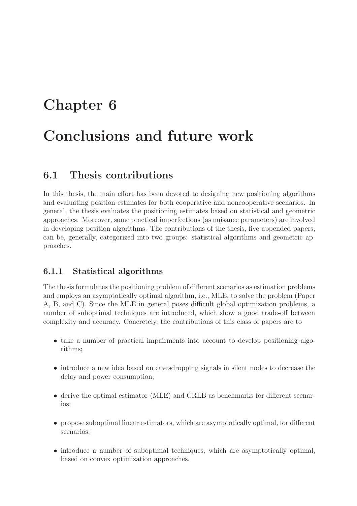# Chapter 6 Conclusions and future work

# 6.1 Thesis contributions

In this thesis, the main effort has been devoted to designing new positioning algorithms and evaluating position estimates for both cooperative and noncooperative scenarios. In general, the thesis evaluates the positioning estimates based on statistical and geometric approaches. Moreover, some practical imperfections (as nuisance parameters) are involved in developing position algorithms. The contributions of the thesis, five appended papers, can be, generally, categorized into two groups: statistical algorithms and geometric approaches.

## 6.1.1 Statistical algorithms

The thesis formulates the positioning problem of different scenarios as estimation problems and employs an asymptotically optimal algorithm, i.e., MLE, to solve the problem (Paper A, B, and C). Since the MLE in general poses difficult global optimization problems, a number of suboptimal techniques are introduced, which show a good trade-off between complexity and accuracy. Concretely, the contributions of this class of papers are to

- take a number of practical impairments into account to develop positioning algorithms;
- introduce a new idea based on eavesdropping signals in silent nodes to decrease the delay and power consumption;
- derive the optimal estimator (MLE) and CRLB as benchmarks for different scenarios;
- propose suboptimal linear estimators, which are asymptotically optimal, for different scenarios;
- introduce a number of suboptimal techniques, which are asymptotically optimal, based on convex optimization approaches.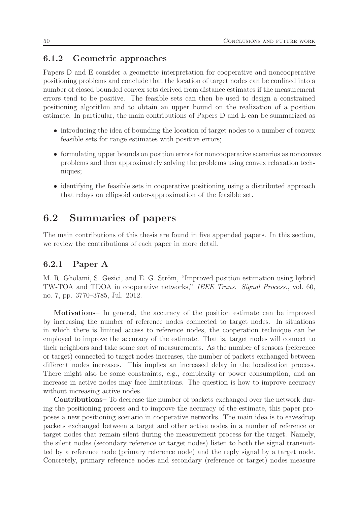#### 6.1.2 Geometric approaches

Papers D and E consider a geometric interpretation for cooperative and noncooperative positioning problems and conclude that the location of target nodes can be confined into a number of closed bounded convex sets derived from distance estimates if the measurement errors tend to be positive. The feasible sets can then be used to design a constrained positioning algorithm and to obtain an upper bound on the realization of a position estimate. In particular, the main contributions of Papers D and E can be summarized as

- introducing the idea of bounding the location of target nodes to a number of convex feasible sets for range estimates with positive errors;
- formulating upper bounds on position errors for noncooperative scenarios as nonconvex problems and then approximately solving the problems using convex relaxation techniques;
- identifying the feasible sets in cooperative positioning using a distributed approach that relays on ellipsoid outer-approximation of the feasible set.

# 6.2 Summaries of papers

The main contributions of this thesis are found in five appended papers. In this section, we review the contributions of each paper in more detail.

#### 6.2.1 Paper A

M. R. Gholami, S. Gezici, and E. G. Ström, "Improved position estimation using hybrid TW-TOA and TDOA in cooperative networks," IEEE Trans. Signal Process., vol. 60, no. 7, pp. 3770–3785, Jul. 2012.

Motivations– In general, the accuracy of the position estimate can be improved by increasing the number of reference nodes connected to target nodes. In situations in which there is limited access to reference nodes, the cooperation technique can be employed to improve the accuracy of the estimate. That is, target nodes will connect to their neighbors and take some sort of measurements. As the number of sensors (reference or target) connected to target nodes increases, the number of packets exchanged between different nodes increases. This implies an increased delay in the localization process. There might also be some constraints, e.g., complexity or power consumption, and an increase in active nodes may face limitations. The question is how to improve accuracy without increasing active nodes.

Contributions– To decrease the number of packets exchanged over the network during the positioning process and to improve the accuracy of the estimate, this paper proposes a new positioning scenario in cooperative networks. The main idea is to eavesdrop packets exchanged between a target and other active nodes in a number of reference or target nodes that remain silent during the measurement process for the target. Namely, the silent nodes (secondary reference or target nodes) listen to both the signal transmitted by a reference node (primary reference node) and the reply signal by a target node. Concretely, primary reference nodes and secondary (reference or target) nodes measure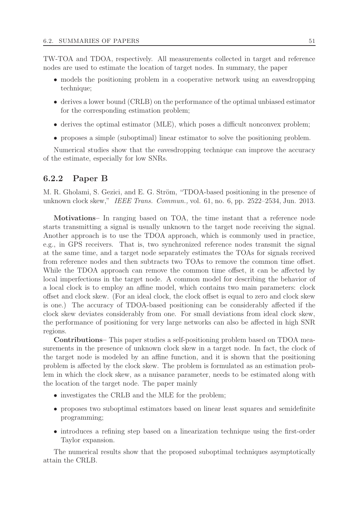TW-TOA and TDOA, respectively. All measurements collected in target and reference nodes are used to estimate the location of target nodes. In summary, the paper

- models the positioning problem in a cooperative network using an eavesdropping technique;
- derives a lower bound (CRLB) on the performance of the optimal unbiased estimator for the corresponding estimation problem;
- derives the optimal estimator (MLE), which poses a difficult nonconvex problem;
- proposes a simple (suboptimal) linear estimator to solve the positioning problem.

Numerical studies show that the eavesdropping technique can improve the accuracy of the estimate, especially for low SNRs.

#### 6.2.2 Paper B

M. R. Gholami, S. Gezici, and E. G. Ström, "TDOA-based positioning in the presence of unknown clock skew," IEEE Trans. Commun., vol. 61, no. 6, pp. 2522–2534, Jun. 2013.

Motivations– In ranging based on TOA, the time instant that a reference node starts transmitting a signal is usually unknown to the target node receiving the signal. Another approach is to use the TDOA approach, which is commonly used in practice, e.g., in GPS receivers. That is, two synchronized reference nodes transmit the signal at the same time, and a target node separately estimates the TOAs for signals received from reference nodes and then subtracts two TOAs to remove the common time offset. While the TDOA approach can remove the common time offset, it can be affected by local imperfections in the target node. A common model for describing the behavior of a local clock is to employ an affine model, which contains two main parameters: clock offset and clock skew. (For an ideal clock, the clock offset is equal to zero and clock skew is one.) The accuracy of TDOA-based positioning can be considerably affected if the clock skew deviates considerably from one. For small deviations from ideal clock skew, the performance of positioning for very large networks can also be affected in high SNR regions.

Contributions– This paper studies a self-positioning problem based on TDOA measurements in the presence of unknown clock skew in a target node. In fact, the clock of the target node is modeled by an affine function, and it is shown that the positioning problem is affected by the clock skew. The problem is formulated as an estimation problem in which the clock skew, as a nuisance parameter, needs to be estimated along with the location of the target node. The paper mainly

- investigates the CRLB and the MLE for the problem;
- proposes two suboptimal estimators based on linear least squares and semidefinite programming;
- introduces a refining step based on a linearization technique using the first-order Taylor expansion.

The numerical results show that the proposed suboptimal techniques asymptotically attain the CRLB.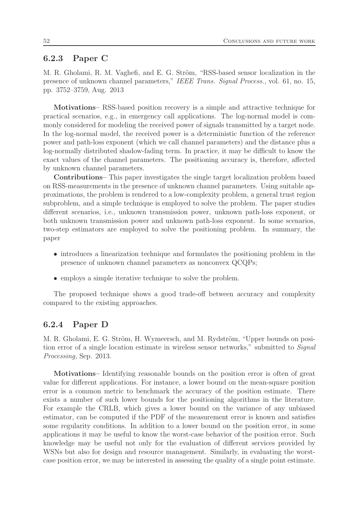#### 6.2.3 Paper C

M. R. Gholami, R. M. Vaghefi, and E. G. Ström, "RSS-based sensor localization in the presence of unknown channel parameters," IEEE Trans. Signal Process., vol. 61, no. 15, pp. 3752–3759, Aug. 2013

Motivations– RSS-based position recovery is a simple and attractive technique for practical scenarios, e.g., in emergency call applications. The log-normal model is commonly considered for modeling the received power of signals transmitted by a target node. In the log-normal model, the received power is a deterministic function of the reference power and path-loss exponent (which we call channel parameters) and the distance plus a log-normally distributed shadow-fading term. In practice, it may be difficult to know the exact values of the channel parameters. The positioning accuracy is, therefore, affected by unknown channel parameters.

Contributions– This paper investigates the single target localization problem based on RSS-measurements in the presence of unknown channel parameters. Using suitable approximations, the problem is rendered to a low-complexity problem, a general trust region subproblem, and a simple technique is employed to solve the problem. The paper studies different scenarios, i.e., unknown transmission power, unknown path-loss exponent, or both unknown transmission power and unknown path-loss exponent. In some scenarios, two-step estimators are employed to solve the positioning problem. In summary, the paper

- introduces a linearization technique and formulates the positioning problem in the presence of unknown channel parameters as nonconvex QCQPs;
- employs a simple iterative technique to solve the problem.

The proposed technique shows a good trade-off between accuracy and complexity compared to the existing approaches.

#### 6.2.4 Paper D

M. R. Gholami, E. G. Ström, H. Wymeersch, and M. Rydström, "Upper bounds on position error of a single location estimate in wireless sensor networks," submitted to Signal Processing, Sep. 2013.

Motivations– Identifying reasonable bounds on the position error is often of great value for different applications. For instance, a lower bound on the mean-square position error is a common metric to benchmark the accuracy of the position estimate. There exists a number of such lower bounds for the positioning algorithms in the literature. For example the CRLB, which gives a lower bound on the variance of any unbiased estimator, can be computed if the PDF of the measurement error is known and satisfies some regularity conditions. In addition to a lower bound on the position error, in some applications it may be useful to know the worst-case behavior of the position error. Such knowledge may be useful not only for the evaluation of different services provided by WSNs but also for design and resource management. Similarly, in evaluating the worstcase position error, we may be interested in assessing the quality of a single point estimate.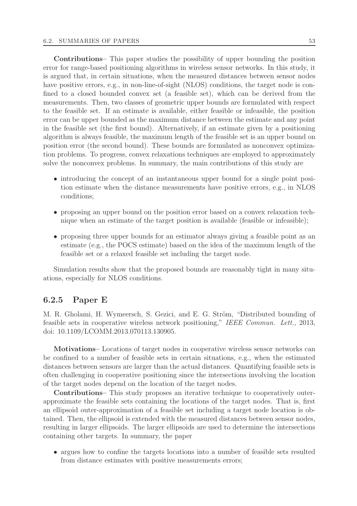Contributions– This paper studies the possibility of upper bounding the position error for range-based positioning algorithms in wireless sensor networks. In this study, it is argued that, in certain situations, when the measured distances between sensor nodes have positive errors, e.g., in non-line-of-sight (NLOS) conditions, the target node is confined to a closed bounded convex set (a feasible set), which can be derived from the measurements. Then, two classes of geometric upper bounds are formulated with respect to the feasible set. If an estimate is available, either feasible or infeasible, the position error can be upper bounded as the maximum distance between the estimate and any point in the feasible set (the first bound). Alternatively, if an estimate given by a positioning algorithm is always feasible, the maximum length of the feasible set is an upper bound on position error (the second bound). These bounds are formulated as nonconvex optimization problems. To progress, convex relaxations techniques are employed to approximately solve the nonconvex problems. In summary, the main contributions of this study are

- introducing the concept of an instantaneous upper bound for a single point position estimate when the distance measurements have positive errors, e.g., in NLOS conditions;
- proposing an upper bound on the position error based on a convex relaxation technique when an estimate of the target position is available (feasible or infeasible);
- proposing three upper bounds for an estimator always giving a feasible point as an estimate (e.g., the POCS estimate) based on the idea of the maximum length of the feasible set or a relaxed feasible set including the target node.

Simulation results show that the proposed bounds are reasonably tight in many situations, especially for NLOS conditions.

#### 6.2.5 Paper E

M. R. Gholami, H. Wymeersch, S. Gezici, and E. G. Ström, "Distributed bounding of feasible sets in cooperative wireless network positioning," IEEE Commun. Lett., 2013, doi: 10.1109/LCOMM.2013.070113.130905.

Motivations– Locations of target nodes in cooperative wireless sensor networks can be confined to a number of feasible sets in certain situations, e.g., when the estimated distances between sensors are larger than the actual distances. Quantifying feasible sets is often challenging in cooperative positioning since the intersections involving the location of the target nodes depend on the location of the target nodes.

Contributions– This study proposes an iterative technique to cooperatively outerapproximate the feasible sets containing the locations of the target nodes. That is, first an ellipsoid outer-approximation of a feasible set including a target node location is obtained. Then, the ellipsoid is extended with the measured distances between sensor nodes, resulting in larger ellipsoids. The larger ellipsoids are used to determine the intersections containing other targets. In summary, the paper

• argues how to confine the targets locations into a number of feasible sets resulted from distance estimates with positive measurements errors;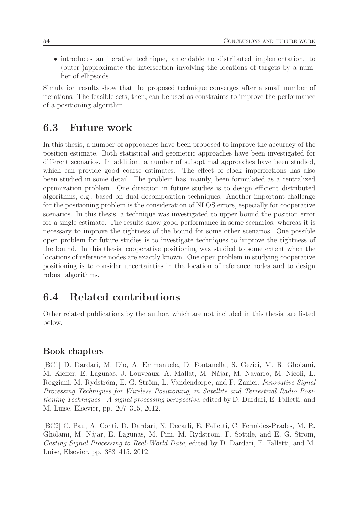• introduces an iterative technique, amendable to distributed implementation, to (outer-)approximate the intersection involving the locations of targets by a number of ellipsoids.

Simulation results show that the proposed technique converges after a small number of iterations. The feasible sets, then, can be used as constraints to improve the performance of a positioning algorithm.

# 6.3 Future work

In this thesis, a number of approaches have been proposed to improve the accuracy of the position estimate. Both statistical and geometric approaches have been investigated for different scenarios. In addition, a number of suboptimal approaches have been studied, which can provide good coarse estimates. The effect of clock imperfections has also been studied in some detail. The problem has, mainly, been formulated as a centralized optimization problem. One direction in future studies is to design efficient distributed algorithms, e.g., based on dual decomposition techniques. Another important challenge for the positioning problem is the consideration of NLOS errors, especially for cooperative scenarios. In this thesis, a technique was investigated to upper bound the position error for a single estimate. The results show good performance in some scenarios, whereas it is necessary to improve the tightness of the bound for some other scenarios. One possible open problem for future studies is to investigate techniques to improve the tightness of the bound. In this thesis, cooperative positioning was studied to some extent when the locations of reference nodes are exactly known. One open problem in studying cooperative positioning is to consider uncertainties in the location of reference nodes and to design robust algorithms.

# 6.4 Related contributions

Other related publications by the author, which are not included in this thesis, are listed below.

## Book chapters

[BC1] D. Dardari, M. Dio, A. Emmanuele, D. Fontanella, S. Gezici, M. R. Gholami, M. Kieffer, E. Lagunas, J. Louveaux, A. Mallat, M. N´ajar, M. Navarro, M. Nicoli, L. Reggiani, M. Rydström, E. G. Ström, L. Vandendorpe, and F. Zanier, *Innovative Signal* Processing Techniques for Wireless Positioning, in Satellite and Terrestrial Radio Positioning Techniques - A signal processing perspective, edited by D. Dardari, E. Falletti, and M. Luise, Elsevier, pp. 207–315, 2012.

[BC2] C. Pau, A. Conti, D. Dardari, N. Decarli, E. Falletti, C. Fernádez-Prades, M. R. Gholami, M. Nájar, E. Lagunas, M. Pini, M. Rydström, F. Sottile, and E. G. Ström, Casting Signal Processing to Real-World Data, edited by D. Dardari, E. Falletti, and M. Luise, Elsevier, pp. 383–415, 2012.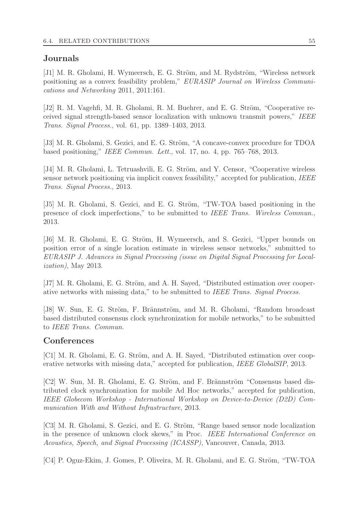#### Journals

[J1] M. R. Gholami, H. Wymeersch, E. G. Ström, and M. Rydström, "Wireless network positioning as a convex feasibility problem," EURASIP Journal on Wireless Communications and Networking 2011, 2011:161.

[J2] R. M. Vagehfi, M. R. Gholami, R. M. Buehrer, and E. G. Ström, "Cooperative received signal strength-based sensor localization with unknown transmit powers," IEEE Trans. Signal Process., vol. 61, pp. 1389–1403, 2013.

[J3] M. R. Gholami, S. Gezici, and E. G. Ström, "A concave-convex procedure for TDOA based positioning," IEEE Commun. Lett., vol. 17, no. 4, pp. 765–768, 2013.

[J4] M. R. Gholami, L. Tetruashvili, E. G. Ström, and Y. Censor, "Cooperative wireless sensor network positioning via implicit convex feasibility," accepted for publication, IEEE Trans. Signal Process., 2013.

[J5] M. R. Gholami, S. Gezici, and E. G. Ström, "TW-TOA based positioning in the presence of clock imperfections," to be submitted to IEEE Trans. Wireless Commun., 2013.

[J6] M. R. Gholami, E. G. Ström, H. Wymeersch, and S. Gezici, "Upper bounds on position error of a single location estimate in wireless sensor networks," submitted to EURASIP J. Advances in Signal Processing (issue on Digital Signal Processing for Localization), May 2013.

[J7] M. R. Gholami, E. G. Ström, and A. H. Sayed, "Distributed estimation over cooperative networks with missing data," to be submitted to IEEE Trans. Signal Process.

[J8] W. Sun, E. G. Ström, F. Brännström, and M. R. Gholami, "Random broadcast" based distributed consensus clock synchronization for mobile networks," to be submitted to IEEE Trans. Commun.

#### **Conferences**

 $[C1]$  M. R. Gholami, E. G. Ström, and A. H. Sayed, "Distributed estimation over cooperative networks with missing data," accepted for publication, *IEEE GlobalSIP*, 2013.

 $[C2]$  W. Sun, M. R. Gholami, E. G. Ström, and F. Brännström "Consensus based distributed clock synchronization for mobile Ad Hoc networks," accepted for publication, IEEE Globecom Workshop - International Workshop on Device-to-Device (D2D) Communication With and Without Infrastructure, 2013.

[C3] M. R. Gholami, S. Gezici, and E. G. Ström, "Range based sensor node localization in the presence of unknown clock skews," in Proc. IEEE International Conference on Acoustics, Speech, and Signal Processing (ICASSP), Vancouver, Canada, 2013.

[C4] P. Oguz-Ekim, J. Gomes, P. Oliveira, M. R. Gholami, and E. G. Ström, "TW-TOA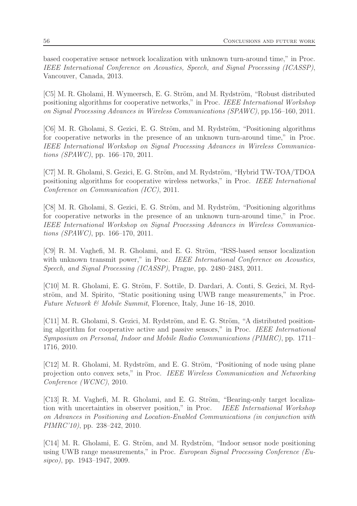based cooperative sensor network localization with unknown turn-around time," in Proc. IEEE International Conference on Acoustics, Speech, and Signal Processing (ICASSP), Vancouver, Canada, 2013.

[C5] M. R. Gholami, H. Wymeersch, E. G. Ström, and M. Rydström, "Robust distributed" positioning algorithms for cooperative networks," in Proc. IEEE International Workshop on Signal Processing Advances in Wireless Communications (SPAWC), pp.156–160, 2011.

[C6] M. R. Gholami, S. Gezici, E. G. Ström, and M. Rydström, "Positioning algorithms" for cooperative networks in the presence of an unknown turn-around time," in Proc. IEEE International Workshop on Signal Processing Advances in Wireless Communications (SPAWC), pp. 166–170, 2011.

[C7] M. R. Gholami, S. Gezici, E. G. Ström, and M. Rydström, "Hybrid TW-TOA/TDOA" positioning algorithms for cooperative wireless networks," in Proc. IEEE International Conference on Communication (ICC), 2011.

[C8] M. R. Gholami, S. Gezici, E. G. Ström, and M. Rydström, "Positioning algorithms" for cooperative networks in the presence of an unknown turn-around time," in Proc. IEEE International Workshop on Signal Processing Advances in Wireless Communications (SPAWC), pp. 166–170, 2011.

[C9] R. M. Vaghefi, M. R. Gholami, and E. G. Ström, "RSS-based sensor localization with unknown transmit power," in Proc. IEEE International Conference on Acoustics, Speech, and Signal Processing (ICASSP), Prague, pp. 2480–2483, 2011.

[C10] M. R. Gholami, E. G. Ström, F. Sottile, D. Dardari, A. Conti, S. Gezici, M. Rydström, and M. Spirito, "Static positioning using UWB range measurements," in Proc. Future Network  $\mathcal{B}$  Mobile Summit, Florence, Italy, June 16–18, 2010.

 $[C11]$  M. R. Gholami, S. Gezici, M. Rydström, and E. G. Ström, "A distributed positioning algorithm for cooperative active and passive sensors," in Proc. IEEE International Symposium on Personal, Indoor and Mobile Radio Communications (PIMRC), pp. 1711– 1716, 2010.

[C12] M. R. Gholami, M. Rydström, and E. G. Ström, "Positioning of node using plane projection onto convex sets," in Proc. IEEE Wireless Communication and Networking Conference (WCNC), 2010.

[C13] R. M. Vaghefi, M. R. Gholami, and E. G. Ström, "Bearing-only target localization with uncertainties in observer position," in Proc. IEEE International Workshop on Advances in Positioning and Location-Enabled Communications (in conjunction with PIMRC'10), pp. 238–242, 2010.

[C14] M. R. Gholami, E. G. Ström, and M. Rydström, "Indoor sensor node positioning using UWB range measurements," in Proc. European Signal Processing Conference (Eusipco), pp. 1943–1947, 2009.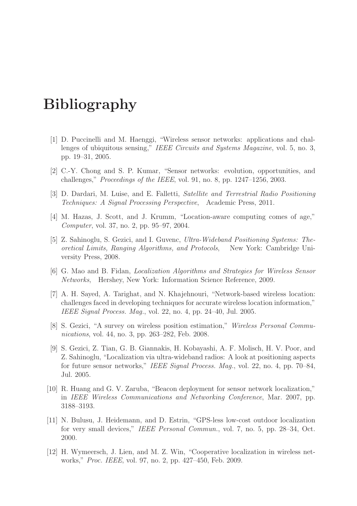# Bibliography

- [1] D. Puccinelli and M. Haenggi, "Wireless sensor networks: applications and challenges of ubiquitous sensing," IEEE Circuits and Systems Magazine, vol. 5, no. 3, pp. 19–31, 2005.
- [2] C.-Y. Chong and S. P. Kumar, "Sensor networks: evolution, opportunities, and challenges," *Proceedings of the IEEE*, vol. 91, no. 8, pp.  $1247-1256$ , 2003.
- [3] D. Dardari, M. Luise, and E. Falletti, Satellite and Terrestrial Radio Positioning Techniques: A Signal Processing Perspective, Academic Press, 2011.
- [4] M. Hazas, J. Scott, and J. Krumm, "Location-aware computing comes of age," Computer, vol. 37, no. 2, pp. 95–97, 2004.
- [5] Z. Sahinoglu, S. Gezici, and I. Guvenc, Ultra-Wideband Positioning Systems: Theoretical Limits, Ranging Algorithms, and Protocols, New York: Cambridge University Press, 2008.
- [6] G. Mao and B. Fidan, Localization Algorithms and Strategies for Wireless Sensor Networks, Hershey, New York: Information Science Reference, 2009.
- [7] A. H. Sayed, A. Tarighat, and N. Khajehnouri, "Network-based wireless location: challenges faced in developing techniques for accurate wireless location information," IEEE Signal Process. Mag., vol. 22, no. 4, pp. 24–40, Jul. 2005.
- [8] S. Gezici, "A survey on wireless position estimation," Wireless Personal Communications, vol. 44, no. 3, pp. 263–282, Feb. 2008.
- [9] S. Gezici, Z. Tian, G. B. Giannakis, H. Kobayashi, A. F. Molisch, H. V. Poor, and Z. Sahinoglu, "Localization via ultra-wideband radios: A look at positioning aspects for future sensor networks," IEEE Signal Process. Mag., vol. 22, no. 4, pp. 70–84, Jul. 2005.
- [10] R. Huang and G. V. Zaruba, "Beacon deployment for sensor network localization," in IEEE Wireless Communications and Networking Conference, Mar. 2007, pp. 3188–3193.
- [11] N. Bulusu, J. Heidemann, and D. Estrin, "GPS-less low-cost outdoor localization for very small devices," IEEE Personal Commun., vol. 7, no. 5, pp. 28–34, Oct. 2000.
- [12] H. Wymeersch, J. Lien, and M. Z. Win, "Cooperative localization in wireless networks," Proc. IEEE, vol. 97, no. 2, pp. 427–450, Feb. 2009.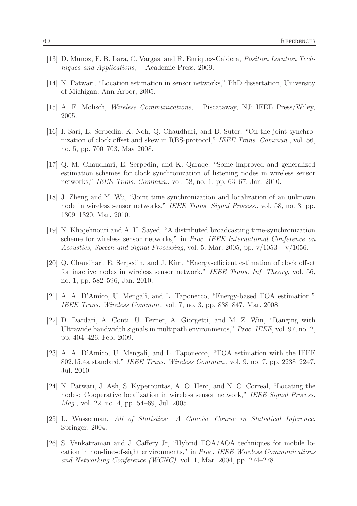- [13] D. Munoz, F. B. Lara, C. Vargas, and R. Enriquez-Caldera, Position Location Techniques and Applications, Academic Press, 2009.
- [14] N. Patwari, "Location estimation in sensor networks," PhD dissertation, University of Michigan, Ann Arbor, 2005.
- [15] A. F. Molisch, Wireless Communications, Piscataway, NJ: IEEE Press/Wiley, 2005.
- [16] I. Sari, E. Serpedin, K. Noh, Q. Chaudhari, and B. Suter, "On the joint synchronization of clock offset and skew in RBS-protocol," IEEE Trans. Commun., vol. 56, no. 5, pp. 700–703, May 2008.
- [17] Q. M. Chaudhari, E. Serpedin, and K. Qaraqe, "Some improved and generalized estimation schemes for clock synchronization of listening nodes in wireless sensor networks," IEEE Trans. Commun., vol. 58, no. 1, pp. 63–67, Jan. 2010.
- [18] J. Zheng and Y. Wu, "Joint time synchronization and localization of an unknown node in wireless sensor networks," IEEE Trans. Signal Process., vol. 58, no. 3, pp. 1309–1320, Mar. 2010.
- [19] N. Khajehnouri and A. H. Sayed, "A distributed broadcasting time-synchronization scheme for wireless sensor networks," in Proc. IEEE International Conference on Acoustics, Speech and Signal Processing, vol. 5, Mar. 2005, pp.  $v/1053 - v/1056$ .
- [20] Q. Chaudhari, E. Serpedin, and J. Kim, "Energy-efficient estimation of clock offset for inactive nodes in wireless sensor network," IEEE Trans. Inf. Theory, vol. 56, no. 1, pp. 582–596, Jan. 2010.
- [21] A. A. D'Amico, U. Mengali, and L. Taponecco, "Energy-based TOA estimation," IEEE Trans. Wireless Commun., vol. 7, no. 3, pp. 838–847, Mar. 2008.
- [22] D. Dardari, A. Conti, U. Ferner, A. Giorgetti, and M. Z. Win, "Ranging with Ultrawide bandwidth signals in multipath environments," Proc. IEEE, vol. 97, no. 2, pp. 404–426, Feb. 2009.
- [23] A. A. D'Amico, U. Mengali, and L. Taponecco, "TOA estimation with the IEEE 802.15.4a standard," IEEE Trans. Wireless Commun., vol. 9, no. 7, pp. 2238–2247, Jul. 2010.
- [24] N. Patwari, J. Ash, S. Kyperountas, A. O. Hero, and N. C. Correal, "Locating the nodes: Cooperative localization in wireless sensor network," IEEE Signal Process. Mag., vol. 22, no. 4, pp. 54–69, Jul. 2005.
- [25] L. Wasserman, All of Statistics: A Concise Course in Statistical Inference, Springer, 2004.
- [26] S. Venkatraman and J. Caffery Jr, "Hybrid TOA/AOA techniques for mobile location in non-line-of-sight environments," in Proc. IEEE Wireless Communications and Networking Conference (WCNC), vol. 1, Mar. 2004, pp. 274–278.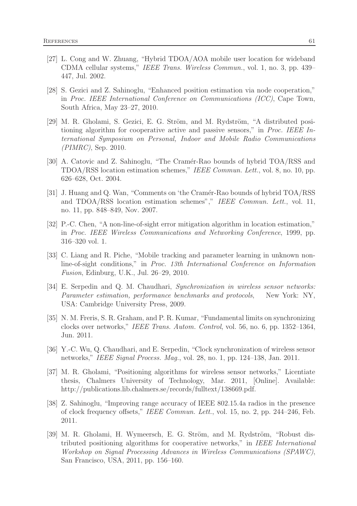- [27] L. Cong and W. Zhuang, "Hybrid TDOA/AOA mobile user location for wideband CDMA cellular systems," IEEE Trans. Wireless Commun., vol. 1, no. 3, pp. 439– 447, Jul. 2002.
- [28] S. Gezici and Z. Sahinoglu, "Enhanced position estimation via node cooperation," in Proc. IEEE International Conference on Communications (ICC), Cape Town, South Africa, May 23–27, 2010.
- [29] M. R. Gholami, S. Gezici, E. G. Ström, and M. Rydström, "A distributed positioning algorithm for cooperative active and passive sensors," in Proc. IEEE International Symposium on Personal, Indoor and Mobile Radio Communications (PIMRC), Sep. 2010.
- [30] A. Catovic and Z. Sahinoglu, "The Cramér-Rao bounds of hybrid TOA/RSS and TDOA/RSS location estimation schemes," IEEE Commun. Lett., vol. 8, no. 10, pp. 626–628, Oct. 2004.
- [31] J. Huang and Q. Wan, "Comments on 'the Cram´er-Rao bounds of hybrid TOA/RSS and TDOA/RSS location estimation schemes"," IEEE Commun. Lett., vol. 11, no. 11, pp. 848–849, Nov. 2007.
- [32] P.-C. Chen, "A non-line-of-sight error mitigation algorithm in location estimation," in Proc. IEEE Wireless Communications and Networking Conference, 1999, pp. 316–320 vol. 1.
- [33] C. Liang and R. Piche, "Mobile tracking and parameter learning in unknown nonline-of-sight conditions," in Proc. 13th International Conference on Information Fusion, Edinburg, U.K., Jul. 26–29, 2010.
- [34] E. Serpedin and Q. M. Chaudhari, Synchronization in wireless sensor networks: Parameter estimation, performance benchmarks and protocols, New York: NY, USA: Cambridge University Press, 2009.
- [35] N. M. Freris, S. R. Graham, and P. R. Kumar, "Fundamental limits on synchronizing clocks over networks," IEEE Trans. Autom. Control, vol. 56, no. 6, pp. 1352–1364, Jun. 2011.
- [36] Y.-C. Wu, Q. Chaudhari, and E. Serpedin, "Clock synchronization of wireless sensor networks," IEEE Signal Process. Mag., vol. 28, no. 1, pp. 124–138, Jan. 2011.
- [37] M. R. Gholami, "Positioning algorithms for wireless sensor networks," Licentiate thesis, Chalmers University of Technology, Mar. 2011, [Online]. Available: http://publications.lib.chalmers.se/records/fulltext/138669.pdf.
- [38] Z. Sahinoglu, "Improving range accuracy of IEEE 802.15.4a radios in the presence of clock frequency offsets," IEEE Commun. Lett., vol. 15, no. 2, pp. 244–246, Feb. 2011.
- [39] M. R. Gholami, H. Wymeersch, E. G. Ström, and M. Rydström, "Robust distributed positioning algorithms for cooperative networks," in IEEE International Workshop on Signal Processing Advances in Wireless Communications (SPAWC), San Francisco, USA, 2011, pp. 156–160.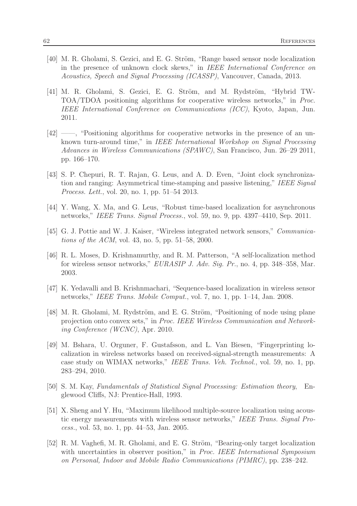- [40] M. R. Gholami, S. Gezici, and E. G. Ström, "Range based sensor node localization in the presence of unknown clock skews," in IEEE International Conference on Acoustics, Speech and Signal Processing (ICASSP), Vancouver, Canada, 2013.
- [41] M. R. Gholami, S. Gezici, E. G. Ström, and M. Rydström, "Hybrid TW-TOA/TDOA positioning algorithms for cooperative wireless networks," in Proc. IEEE International Conference on Communications (ICC), Kyoto, Japan, Jun. 2011.
- [42] ——, "Positioning algorithms for cooperative networks in the presence of an unknown turn-around time," in IEEE International Workshop on Signal Processing Advances in Wireless Communications (SPAWC), San Francisco, Jun. 26–29 2011, pp. 166–170.
- [43] S. P. Chepuri, R. T. Rajan, G. Leus, and A. D. Even, "Joint clock synchronization and ranging: Asymmetrical time-stamping and passive listening," IEEE Signal Process. Lett., vol. 20, no. 1, pp. 51–54 2013.
- [44] Y. Wang, X. Ma, and G. Leus, "Robust time-based localization for asynchronous networks," IEEE Trans. Signal Process., vol. 59, no. 9, pp. 4397–4410, Sep. 2011.
- [45] G. J. Pottie and W. J. Kaiser, "Wireless integrated network sensors," Communications of the ACM, vol. 43, no. 5, pp. 51–58, 2000.
- [46] R. L. Moses, D. Krishnamurthy, and R. M. Patterson, "A self-localization method for wireless sensor networks," EURASIP J. Adv. Sig. Pr., no. 4, pp. 348–358, Mar. 2003.
- [47] K. Yedavalli and B. Krishnmachari, "Sequence-based localization in wireless sensor networks," IEEE Trans. Mobile Comput., vol. 7, no. 1, pp. 1–14, Jan. 2008.
- [48] M. R. Gholami, M. Rydström, and E. G. Ström, "Positioning of node using plane projection onto convex sets," in Proc. IEEE Wireless Communication and Networking Conference (WCNC), Apr. 2010.
- [49] M. Bshara, U. Orguner, F. Gustafsson, and L. Van Biesen, "Fingerprinting localization in wireless networks based on received-signal-strength measurements: A case study on WIMAX networks," IEEE Trans. Veh. Technol., vol. 59, no. 1, pp. 283–294, 2010.
- [50] S. M. Kay, Fundamentals of Statistical Signal Processing: Estimation theory, Englewood Cliffs, NJ: Prentice-Hall, 1993.
- [51] X. Sheng and Y. Hu, "Maximum likelihood multiple-source localization using acoustic energy measurements with wireless sensor networks," IEEE Trans. Signal Process., vol. 53, no. 1, pp. 44–53, Jan. 2005.
- [52] R. M. Vaghefi, M. R. Gholami, and E. G. Ström, "Bearing-only target localization with uncertainties in observer position," in Proc. IEEE International Symposium on Personal, Indoor and Mobile Radio Communications (PIMRC), pp. 238–242.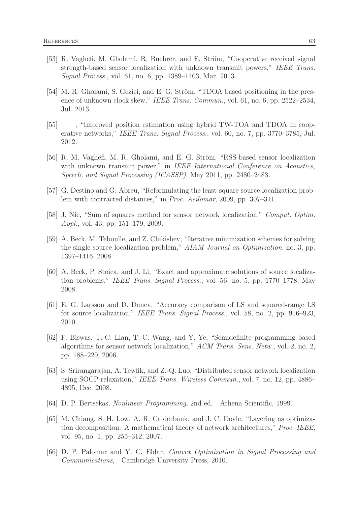- [53] R. Vaghefi, M. Gholami, R. Buehrer, and E. Ström, "Cooperative received signal strength-based sensor localization with unknown transmit powers," IEEE Trans. Signal Process., vol. 61, no. 6, pp. 1389–1403, Mar. 2013.
- [54] M. R. Gholami, S. Gezici, and E. G. Ström, "TDOA based positioning in the presence of unknown clock skew," IEEE Trans. Commun., vol. 61, no. 6, pp. 2522–2534, Jul. 2013.
- [55] ——, "Improved position estimation using hybrid TW-TOA and TDOA in cooperative networks," IEEE Trans. Signal Process., vol. 60, no. 7, pp. 3770–3785, Jul. 2012.
- [56] R. M. Vaghefi, M. R. Gholami, and E. G. Ström, "RSS-based sensor localization with unknown transmit power," in IEEE International Conference on Acoustics, Speech, and Signal Processing (ICASSP), May 2011, pp. 2480–2483.
- [57] G. Destino and G. Abreu, "Reformulating the least-square source localization problem with contracted distances," in *Proc. Asilomar*, 2009, pp. 307–311.
- [58] J. Nie, "Sum of squares method for sensor network localization," Comput. Optim. Appl., vol. 43, pp. 151–179, 2009.
- [59] A. Beck, M. Teboulle, and Z. Chikishev, "Iterative minimization schemes for solving the single source localization problem," AIAM Journal on Optimization, no. 3, pp. 1397–1416, 2008.
- [60] A. Beck, P. Stoica, and J. Li, "Exact and approximate solutions of source localization problems," IEEE Trans. Signal Process., vol. 56, no. 5, pp. 1770–1778, May 2008.
- [61] E. G. Larsson and D. Danev, "Accuracy comparison of LS and squared-range LS for source localization," IEEE Trans. Signal Process., vol. 58, no. 2, pp. 916–923, 2010.
- [62] P. Biswas, T.-C. Lian, T.-C. Wang, and Y. Ye, "Semidefinite programming based algorithms for sensor network localization," ACM Trans. Sens. Netw., vol. 2, no. 2, pp. 188–220, 2006.
- [63] S. Srirangarajan, A. Tewfik, and Z.-Q. Luo, "Distributed sensor network localization using SOCP relaxation," IEEE Trans. Wireless Commun., vol. 7, no. 12, pp. 4886– 4895, Dec. 2008.
- [64] D. P. Bertsekas, Nonlinear Programming, 2nd ed, Athena Scientific, 1999.
- [65] M. Chiang, S. H. Low, A. R. Calderbank, and J. C. Doyle, "Layering as optimization decomposition: A mathematical theory of network architectures," Proc. IEEE, vol. 95, no. 1, pp. 255–312, 2007.
- [66] D. P. Palomar and Y. C. Eldar, Convex Optimization in Signal Processing and Communications, Cambridge University Press, 2010.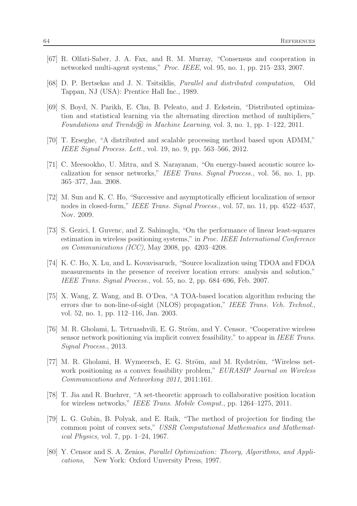- [67] R. Olfati-Saber, J. A. Fax, and R. M. Murray, "Consensus and cooperation in networked multi-agent systems," Proc. IEEE, vol. 95, no. 1, pp. 215–233, 2007.
- [68] D. P. Bertsekas and J. N. Tsitsiklis, Parallel and distributed computation, Old Tappan, NJ (USA): Prentice Hall Inc., 1989.
- [69] S. Boyd, N. Parikh, E. Chu, B. Peleato, and J. Eckstein, "Distributed optimization and statistical learning via the alternating direction method of multipliers," Foundations and Trends $\overline{R}$  in Machine Learning, vol. 3, no. 1, pp. 1–122, 2011.
- [70] T. Erseghe, "A distributed and scalable processing method based upon ADMM," IEEE Signal Process. Lett., vol. 19, no. 9, pp. 563–566, 2012.
- [71] C. Meesookho, U. Mitra, and S. Narayanan, "On energy-based acoustic source localization for sensor networks," IEEE Trans. Signal Process., vol. 56, no. 1, pp. 365–377, Jan. 2008.
- [72] M. Sun and K. C. Ho, "Successive and asymptotically efficient localization of sensor nodes in closed-form," IEEE Trans. Signal Process., vol. 57, no. 11, pp. 4522–4537, Nov. 2009.
- [73] S. Gezici, I. Guvenc, and Z. Sahinoglu, "On the performance of linear least-squares estimation in wireless positioning systems," in Proc. IEEE International Conference on Communications (ICC), May 2008, pp. 4203–4208.
- [74] K. C. Ho, X. Lu, and L. Kovavisaruch, "Source localization using TDOA and FDOA measurements in the presence of receiver location errors: analysis and solution," IEEE Trans. Signal Process., vol. 55, no. 2, pp. 684–696, Feb. 2007.
- [75] X. Wang, Z. Wang, and B. O'Dea, "A TOA-based location algorithm reducing the errors due to non-line-of-sight (NLOS) propagation," IEEE Trans. Veh. Technol., vol. 52, no. 1, pp. 112–116, Jan. 2003.
- [76] M. R. Gholami, L. Tetruashvili, E. G. Ström, and Y. Censor, "Cooperative wireless" sensor network positioning via implicit convex feasibility," to appear in IEEE Trans. Signal Process., 2013.
- [77] M. R. Gholami, H. Wymeersch, E. G. Ström, and M. Rydström, "Wireless network positioning as a convex feasibility problem," *EURASIP Journal on Wireless* Communications and Networking 2011, 2011:161.
- [78] T. Jia and R. Buehrer, "A set-theoretic approach to collaborative position location for wireless networks," IEEE Trans. Mobile Comput., pp. 1264–1275, 2011.
- [79] L. G. Gubin, B. Polyak, and E. Raik, "The method of projection for finding the common point of convex sets," USSR Computational Mathematics and Mathematical Physics, vol. 7, pp. 1–24, 1967.
- [80] Y. Censor and S. A. Zenios, Parallel Optimization: Theory, Algorithms, and Applications, New York: Oxford Unversity Press, 1997.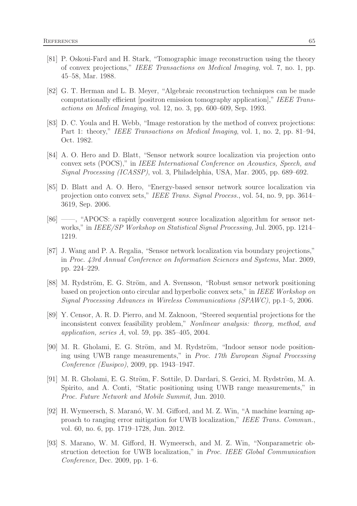- [81] P. Oskoui-Fard and H. Stark, "Tomographic image reconstruction using the theory of convex projections," IEEE Transactions on Medical Imaging, vol. 7, no. 1, pp. 45–58, Mar. 1988.
- [82] G. T. Herman and L. B. Meyer, "Algebraic reconstruction techniques can be made computationally efficient [positron emission tomography application]," IEEE Transactions on Medical Imaging, vol. 12, no. 3, pp. 600–609, Sep. 1993.
- [83] D. C. Youla and H. Webb, "Image restoration by the method of convex projections: Part 1: theory," IEEE Transactions on Medical Imaging, vol. 1, no. 2, pp. 81–94, Oct. 1982.
- [84] A. O. Hero and D. Blatt, "Sensor network source localization via projection onto convex sets (POCS)," in IEEE International Conference on Acoustics, Speech, and Signal Processing (ICASSP), vol. 3, Philadelphia, USA, Mar. 2005, pp. 689–692.
- [85] D. Blatt and A. O. Hero, "Energy-based sensor network source localization via projection onto convex sets," IEEE Trans. Signal Process., vol. 54, no. 9, pp. 3614– 3619, Sep. 2006.
- [86] ——, "APOCS: a rapidly convergent source localization algorithm for sensor networks," in *IEEE/SP Workshop on Statistical Signal Processing*, Jul. 2005, pp. 1214– 1219.
- [87] J. Wang and P. A. Regalia, "Sensor network localization via boundary projections," in Proc. 43rd Annual Conference on Information Sciences and Systems, Mar. 2009, pp. 224–229.
- [88] M. Rydström, E. G. Ström, and A. Svensson, "Robust sensor network positioning based on projection onto circular and hyperbolic convex sets," in IEEE Workshop on Signal Processing Advances in Wireless Communications (SPAWC), pp.1–5, 2006.
- [89] Y. Censor, A. R. D. Pierro, and M. Zaknoon, "Steered sequential projections for the inconsistent convex feasibility problem," Nonlinear analysis: theory, method, and application, series  $A$ , vol. 59, pp. 385–405, 2004.
- [90] M. R. Gholami, E. G. Ström, and M. Rydström, "Indoor sensor node positioning using UWB range measurements," in Proc. 17th European Signal Processing Conference (Eusipco), 2009, pp. 1943–1947.
- [91] M. R. Gholami, E. G. Ström, F. Sottile, D. Dardari, S. Gezici, M. Rydström, M. A. Spirito, and A. Conti, "Static positioning using UWB range measurements," in Proc. Future Network and Mobile Summit, Jun. 2010.
- [92] H. Wymeersch, S. Maranó, W. M. Gifford, and M. Z. Win, "A machine learning approach to ranging error mitigation for UWB localization," IEEE Trans. Commun., vol. 60, no. 6, pp. 1719–1728, Jun. 2012.
- [93] S. Marano, W. M. Gifford, H. Wymeersch, and M. Z. Win, "Nonparametric obstruction detection for UWB localization," in Proc. IEEE Global Communication Conference, Dec. 2009, pp. 1–6.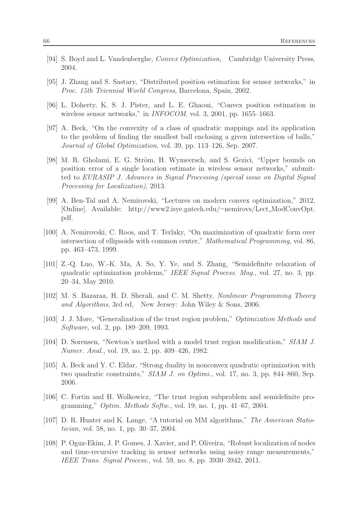- [94] S. Boyd and L. Vandenberghe, Convex Optimization, Cambridge University Press, 2004.
- [95] J. Zhang and S. Sastary, "Distributed position estimation for sensor networks," in Proc. 15th Triennial World Congress, Barcelona, Spain, 2002.
- [96] L. Doherty, K. S. J. Pister, and L. E. Ghaoui, "Convex position estimation in wireless sensor networks," in *INFOCOM*, vol. 3, 2001, pp. 1655–1663.
- [97] A. Beck, "On the convexity of a class of quadratic mappings and its application to the problem of finding the smallest ball enclosing a given intersection of balls," Journal of Global Optimization, vol. 39, pp. 113–126, Sep. 2007.
- [98] M. R. Gholami, E. G. Ström, H. Wymeersch, and S. Gezici, "Upper bounds on position error of a single location estimate in wireless sensor networks," submitted to EURASIP J. Advances in Signal Processing (special issue on Digital Signal Processing for Localization), 2013.
- [99] A. Ben-Tal and A. Nemirovski, "Lectures on modern convex optimization," 2012, [Online]. Available: http://www2.isye.gatech.edu/∼nemirovs/Lect ModConvOpt. pdf.
- [100] A. Nemirovski, C. Roos, and T. Terlaky, "On maximization of quadratic form over intersection of ellipsoids with common center," Mathematical Programming, vol. 86, pp. 463–473, 1999.
- [101] Z.-Q. Luo, W.-K. Ma, A. So, Y. Ye, and S. Zhang, "Semidefinite relaxation of quadratic optimization problems," IEEE Signal Process. Mag., vol. 27, no. 3, pp. 20–34, May 2010.
- [102] M. S. Bazaraa, H. D. Sherali, and C. M. Shetty, Nonlinear Programming Theory and Algorithms, 3rd ed, New Jersey: John Wiley & Sons, 2006.
- [103] J. J. More, "Generalization of the trust region problem," Optimization Methods and Software, vol. 2, pp. 189–209, 1993.
- [104] D. Sorensen, "Newton's method with a model trust region modification," SIAM J. Numer. Anal., vol. 19, no. 2, pp. 409–426, 1982.
- [105] A. Beck and Y. C. Eldar, "Strong duality in nonconvex quadratic optimization with two quadratic constraints," SIAM J. on Optimi., vol. 17, no. 3, pp. 844–860, Sep. 2006.
- [106] C. Fortin and H. Wolkowicz, "The trust region subproblem and semidefinite programming," Optim. Methods Softw., vol. 19, no. 1, pp. 41–67, 2004.
- [107] D. R. Hunter and K. Lange, "A tutorial on MM algorithms," The American Statistician, vol. 58, no. 1, pp. 30–37, 2004.
- [108] P. Oguz-Ekim, J. P. Gomes, J. Xavier, and P. Oliveira, "Robust localization of nodes and time-recursive tracking in sensor networks using noisy range measurements," IEEE Trans. Signal Process., vol. 59, no. 8, pp. 3930–3942, 2011.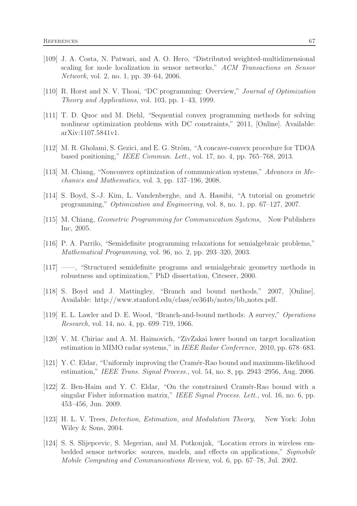- [109] J. A. Costa, N. Patwari, and A. O. Hero, "Distributed weighted-multidimensional scaling for node localization in sensor networks," ACM Transactions on Sensor Network, vol. 2, no. 1, pp. 39–64, 2006.
- [110] R. Horst and N. V. Thoai, "DC programming: Overview," Journal of Optimization Theory and Applications, vol. 103, pp. 1–43, 1999.
- [111] T. D. Quoc and M. Diehl, "Sequential convex programming methods for solving nonlinear optimization problems with DC constraints," 2011, [Online]. Available: arXiv:1107.5841v1.
- [112] M. R. Gholami, S. Gezici, and E. G. Ström, "A concave-convex procedure for TDOA based positioning," IEEE Commun. Lett., vol. 17, no. 4, pp. 765–768, 2013.
- [113] M. Chiang, "Nonconvex optimization of communication systems," Advances in Mechanics and Mathematics, vol. 3, pp. 137–196, 2008.
- [114] S. Boyd, S.-J. Kim, L. Vandenberghe, and A. Hassibi, "A tutorial on geometric programming," Optimization and Engineering, vol. 8, no. 1, pp. 67–127, 2007.
- [115] M. Chiang, Geometric Programming for Communication Systems, Now Publishers Inc, 2005.
- [116] P. A. Parrilo, "Semidefinite programming relaxations for semialgebraic problems," Mathematical Programming, vol. 96, no. 2, pp. 293–320, 2003.
- [117] ——, "Structured semidefinite programs and semialgebraic geometry methods in robustness and optimization," PhD dissertation, Citeseer, 2000.
- [118] S. Boyd and J. Mattingley, "Branch and bound methods," 2007, [Online]. Available: http://www.stanford.edu/class/ee364b/notes/bb\_notes.pdf.
- [119] E. L. Lawler and D. E. Wood, "Branch-and-bound methods: A survey," Operations Research, vol. 14, no. 4, pp. 699–719, 1966.
- [120] V. M. Chiriac and A. M. Haimovich, "ZivZakai lower bound on target localization estimation in MIMO radar systems," in IEEE Radar Conference, 2010, pp. 678–683.
- [121] Y. C. Eldar, "Uniformly improving the Cram´er-Rao bound and maximum-likelihood estimation," IEEE Trans. Signal Process., vol. 54, no. 8, pp. 2943–2956, Aug. 2006.
- [122] Z. Ben-Haim and Y. C. Eldar, "On the constrained Cramér-Rao bound with a singular Fisher information matrix," IEEE Signal Process. Lett., vol. 16, no. 6, pp. 453–456, Jun. 2009.
- [123] H. L. V. Trees, Detection, Estimation, and Modulation Theory, New York: John Wiley & Sons, 2004.
- [124] S. S. Slijepcevic, S. Megerian, and M. Potkonjak, "Location errors in wireless embedded sensor networks: sources, models, and effects on applications," Sigmobile Mobile Computing and Communications Review, vol. 6, pp. 67–78, Jul. 2002.